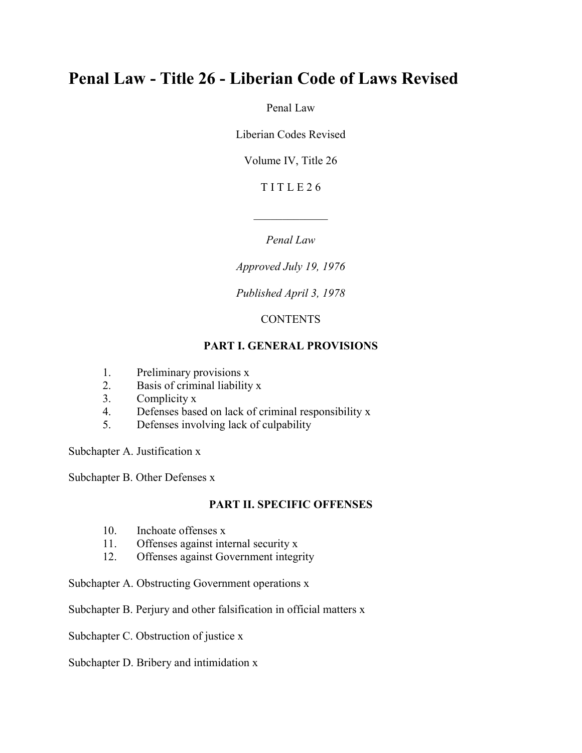# **Penal Law - Title 26 - Liberian Code of Laws Revised**

Penal Law

Liberian Codes Revised

Volume IV, Title 26

T I T L E 2 6

 $\frac{1}{2}$ 

*Penal Law*

*Approved July 19, 1976*

*Published April 3, 1978*

### **CONTENTS**

#### **PART I. GENERAL PROVISIONS**

- 1. Preliminary provisions x
- 2. Basis of criminal liability x
- 3. Complicity x
- 4. Defenses based on lack of criminal responsibility x
- 5. Defenses involving lack of culpability

Subchapter A. Justification x

Subchapter B. Other Defenses x

#### **PART II. SPECIFIC OFFENSES**

- 10. Inchoate offenses x
- 11. Offenses against internal security x
- 12. Offenses against Government integrity

Subchapter A. Obstructing Government operations x

Subchapter B. Perjury and other falsification in official matters x

Subchapter C. Obstruction of justice x

Subchapter D. Bribery and intimidation x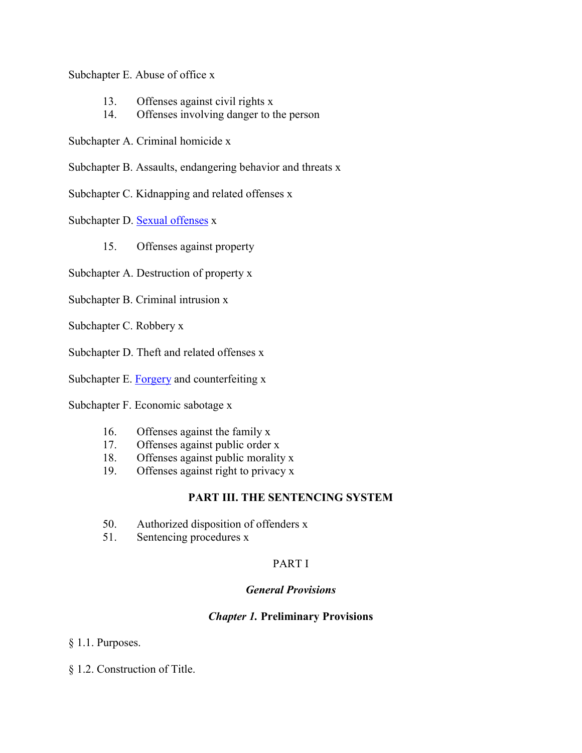#### Subchapter E. Abuse of office x

- 13. Offenses against civil rights x
- 14. Offenses involving danger to the person
- Subchapter A. Criminal homicide x
- Subchapter B. Assaults, endangering behavior and threats x
- Subchapter C. Kidnapping and related offenses x

Subchapter D. Sexual offenses x

- 15. Offenses against property
- Subchapter A. Destruction of property x
- Subchapter B. Criminal intrusion x
- Subchapter C. Robbery x
- Subchapter D. Theft and related offenses x
- Subchapter E. Forgery and counterfeiting x
- Subchapter F. Economic sabotage x
	- 16. Offenses against the family x
	- 17. Offenses against public order x
	- 18. Offenses against public morality x
	- 19. Offenses against right to privacy x

#### **PART III. THE SENTENCING SYSTEM**

- 50. Authorized disposition of offenders x
- 51. Sentencing procedures x

#### PART I

#### *General Provisions*

#### *Chapter 1.* **Preliminary Provisions**

- § 1.1. Purposes.
- § 1.2. Construction of Title.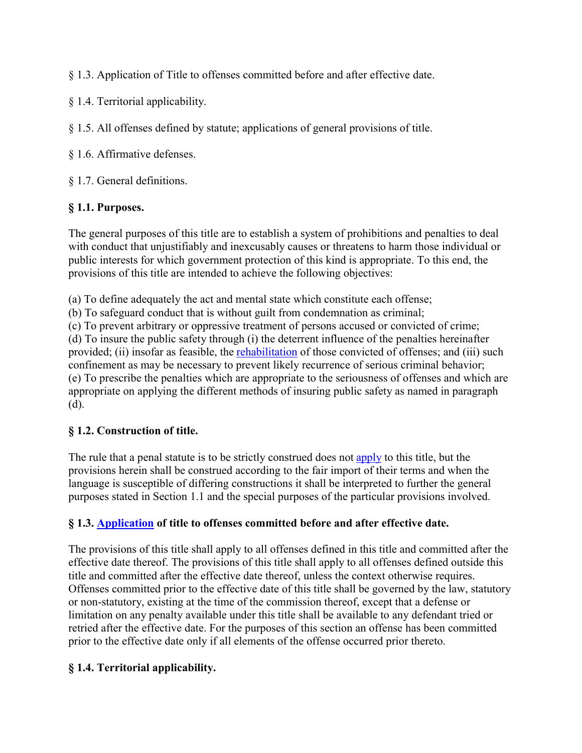§ 1.3. Application of Title to offenses committed before and after effective date.

- § 1.4. Territorial applicability.
- § 1.5. All offenses defined by statute; applications of general provisions of title.
- § 1.6. Affirmative defenses.
- § 1.7. General definitions.

#### **§ 1.1. Purposes.**

The general purposes of this title are to establish a system of prohibitions and penalties to deal with conduct that unjustifiably and inexcusably causes or threatens to harm those individual or public interests for which government protection of this kind is appropriate. To this end, the provisions of this title are intended to achieve the following objectives:

(a) To define adequately the act and mental state which constitute each offense;

(b) To safeguard conduct that is without guilt from condemnation as criminal;

(c) To prevent arbitrary or oppressive treatment of persons accused or convicted of crime;

(d) To insure the public safety through (i) the deterrent influence of the penalties hereinafter provided; (ii) insofar as feasible, the rehabilitation of those convicted of offenses; and (iii) such confinement as may be necessary to prevent likely recurrence of serious criminal behavior; (e) To prescribe the penalties which are appropriate to the seriousness of offenses and which are appropriate on applying the different methods of insuring public safety as named in paragraph (d).

#### **§ 1.2. Construction of title.**

The rule that a penal statute is to be strictly construed does not apply to this title, but the provisions herein shall be construed according to the fair import of their terms and when the language is susceptible of differing constructions it shall be interpreted to further the general purposes stated in Section 1.1 and the special purposes of the particular provisions involved.

#### **§ 1.3. Application of title to offenses committed before and after effective date.**

The provisions of this title shall apply to all offenses defined in this title and committed after the effective date thereof. The provisions of this title shall apply to all offenses defined outside this title and committed after the effective date thereof, unless the context otherwise requires. Offenses committed prior to the effective date of this title shall be governed by the law, statutory or non-statutory, existing at the time of the commission thereof, except that a defense or limitation on any penalty available under this title shall be available to any defendant tried or retried after the effective date. For the purposes of this section an offense has been committed prior to the effective date only if all elements of the offense occurred prior thereto.

#### **§ 1.4. Territorial applicability.**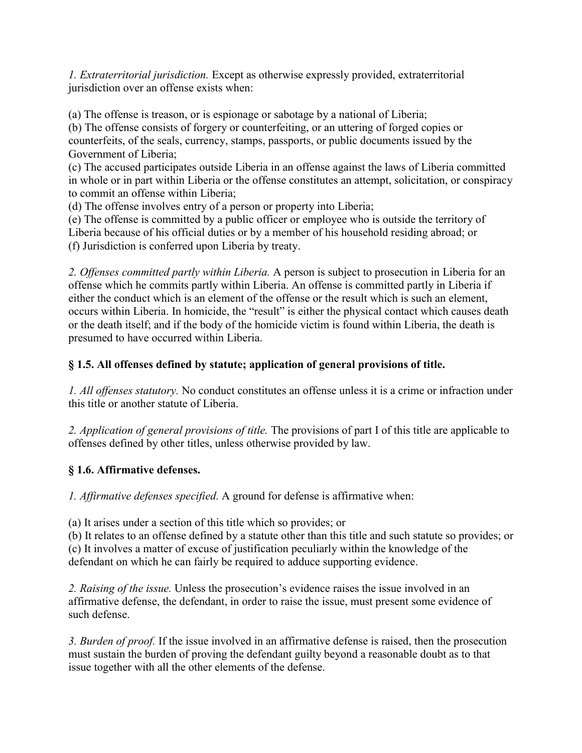*1. Extraterritorial jurisdiction.* Except as otherwise expressly provided, extraterritorial jurisdiction over an offense exists when:

(a) The offense is treason, or is espionage or sabotage by a national of Liberia; (b) The offense consists of forgery or counterfeiting, or an uttering of forged copies or counterfeits, of the seals, currency, stamps, passports, or public documents issued by the Government of Liberia;

(c) The accused participates outside Liberia in an offense against the laws of Liberia committed in whole or in part within Liberia or the offense constitutes an attempt, solicitation, or conspiracy to commit an offense within Liberia;

(d) The offense involves entry of a person or property into Liberia;

(e) The offense is committed by a public officer or employee who is outside the territory of Liberia because of his official duties or by a member of his household residing abroad; or (f) Jurisdiction is conferred upon Liberia by treaty.

*2. Offenses committed partly within Liberia.* A person is subject to prosecution in Liberia for an offense which he commits partly within Liberia. An offense is committed partly in Liberia if either the conduct which is an element of the offense or the result which is such an element, occurs within Liberia. In homicide, the "result" is either the physical contact which causes death or the death itself; and if the body of the homicide victim is found within Liberia, the death is presumed to have occurred within Liberia.

# **§ 1.5. All offenses defined by statute; application of general provisions of title.**

*1. All offenses statutory.* No conduct constitutes an offense unless it is a crime or infraction under this title or another statute of Liberia.

*2. Application of general provisions of title.* The provisions of part I of this title are applicable to offenses defined by other titles, unless otherwise provided by law.

# **§ 1.6. Affirmative defenses.**

*1. Affirmative defenses specified.* A ground for defense is affirmative when:

(a) It arises under a section of this title which so provides; or

(b) It relates to an offense defined by a statute other than this title and such statute so provides; or (c) It involves a matter of excuse of justification peculiarly within the knowledge of the defendant on which he can fairly be required to adduce supporting evidence.

*2. Raising of the issue.* Unless the prosecution's evidence raises the issue involved in an affirmative defense, the defendant, in order to raise the issue, must present some evidence of such defense.

*3. Burden of proof.* If the issue involved in an affirmative defense is raised, then the prosecution must sustain the burden of proving the defendant guilty beyond a reasonable doubt as to that issue together with all the other elements of the defense.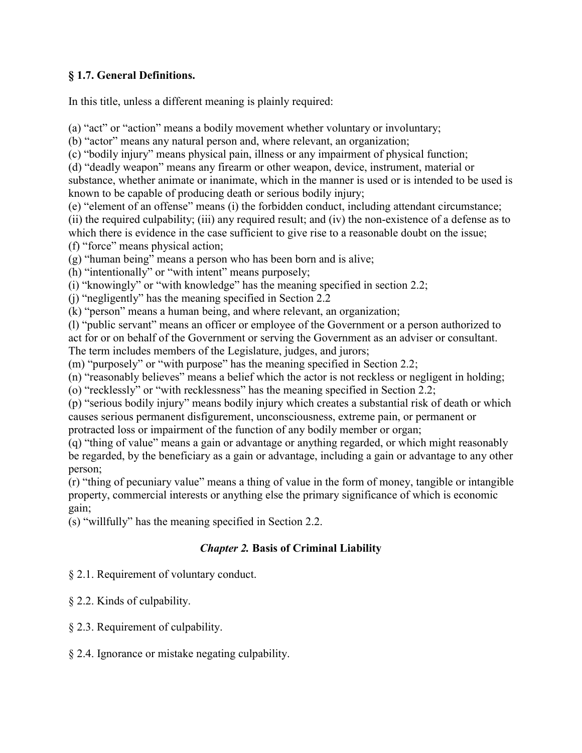#### **§ 1.7. General Definitions.**

In this title, unless a different meaning is plainly required:

(a) "act" or "action" means a bodily movement whether voluntary or involuntary;

(b) "actor" means any natural person and, where relevant, an organization;

(c) "bodily injury" means physical pain, illness or any impairment of physical function;

(d) "deadly weapon" means any firearm or other weapon, device, instrument, material or

substance, whether animate or inanimate, which in the manner is used or is intended to be used is known to be capable of producing death or serious bodily injury;

(e) "element of an offense" means (i) the forbidden conduct, including attendant circumstance;

(ii) the required culpability; (iii) any required result; and (iv) the non-existence of a defense as to which there is evidence in the case sufficient to give rise to a reasonable doubt on the issue;

(f) "force" means physical action;

(g) "human being" means a person who has been born and is alive;

(h) "intentionally" or "with intent" means purposely;

(i) "knowingly" or "with knowledge" has the meaning specified in section 2.2;

(j) "negligently" has the meaning specified in Section 2.2

(k) "person" means a human being, and where relevant, an organization;

(l) "public servant" means an officer or employee of the Government or a person authorized to act for or on behalf of the Government or serving the Government as an adviser or consultant. The term includes members of the Legislature, judges, and jurors;

(m) "purposely" or "with purpose" has the meaning specified in Section 2.2;

(n) "reasonably believes" means a belief which the actor is not reckless or negligent in holding;

(o) "recklessly" or "with recklessness" has the meaning specified in Section 2.2;

(p) "serious bodily injury" means bodily injury which creates a substantial risk of death or which causes serious permanent disfigurement, unconsciousness, extreme pain, or permanent or protracted loss or impairment of the function of any bodily member or organ;

(q) "thing of value" means a gain or advantage or anything regarded, or which might reasonably be regarded, by the beneficiary as a gain or advantage, including a gain or advantage to any other person;

(r) "thing of pecuniary value" means a thing of value in the form of money, tangible or intangible property, commercial interests or anything else the primary significance of which is economic gain;

(s) "willfully" has the meaning specified in Section 2.2.

# *Chapter 2.* **Basis of Criminal Liability**

§ 2.1. Requirement of voluntary conduct.

§ 2.2. Kinds of culpability.

§ 2.3. Requirement of culpability.

§ 2.4. Ignorance or mistake negating culpability.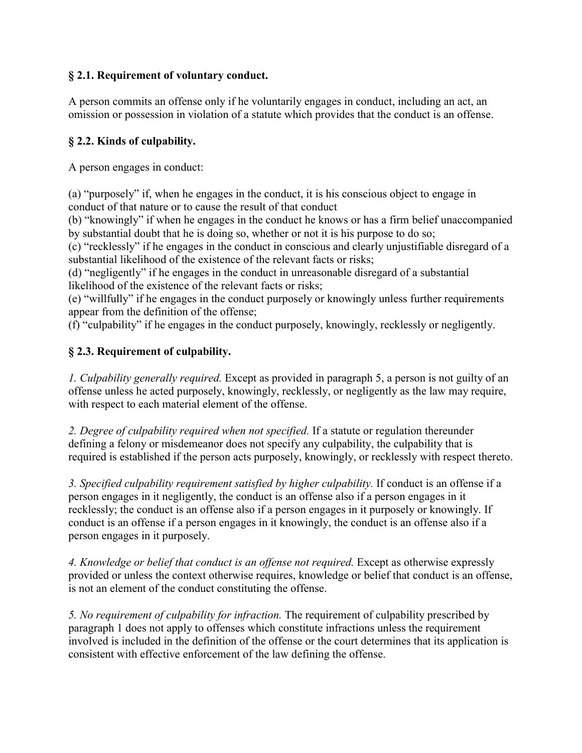#### **§ 2.1. Requirement of voluntary conduct.**

A person commits an offense only if he voluntarily engages in conduct, including an act, an omission or possession in violation of a statute which provides that the conduct is an offense.

#### **§ 2.2. Kinds of culpability.**

A person engages in conduct:

(a) "purposely" if, when he engages in the conduct, it is his conscious object to engage in conduct of that nature or to cause the result of that conduct

(b) "knowingly" if when he engages in the conduct he knows or has a firm belief unaccompanied by substantial doubt that he is doing so, whether or not it is his purpose to do so;

(c) "recklessly" if he engages in the conduct in conscious and clearly unjustifiable disregard of a substantial likelihood of the existence of the relevant facts or risks;

(d) "negligently" if he engages in the conduct in unreasonable disregard of a substantial likelihood of the existence of the relevant facts or risks;

(e) "willfully" if he engages in the conduct purposely or knowingly unless further requirements appear from the definition of the offense;

(f) "culpability" if he engages in the conduct purposely, knowingly, recklessly or negligently.

#### **§ 2.3. Requirement of culpability.**

*1. Culpability generally required.* Except as provided in paragraph 5, a person is not guilty of an offense unless he acted purposely, knowingly, recklessly, or negligently as the law may require, with respect to each material element of the offense.

*2. Degree of culpability required when not specified.* If a statute or regulation thereunder defining a felony or misdemeanor does not specify any culpability, the culpability that is required is established if the person acts purposely, knowingly, or recklessly with respect thereto.

*3. Specified culpability requirement satisfied by higher culpability.* If conduct is an offense if a person engages in it negligently, the conduct is an offense also if a person engages in it recklessly; the conduct is an offense also if a person engages in it purposely or knowingly. If conduct is an offense if a person engages in it knowingly, the conduct is an offense also if a person engages in it purposely.

*4. Knowledge or belief that conduct is an offense not required.* Except as otherwise expressly provided or unless the context otherwise requires, knowledge or belief that conduct is an offense, is not an element of the conduct constituting the offense.

*5. No requirement of culpability for infraction.* The requirement of culpability prescribed by paragraph 1 does not apply to offenses which constitute infractions unless the requirement involved is included in the definition of the offense or the court determines that its application is consistent with effective enforcement of the law defining the offense.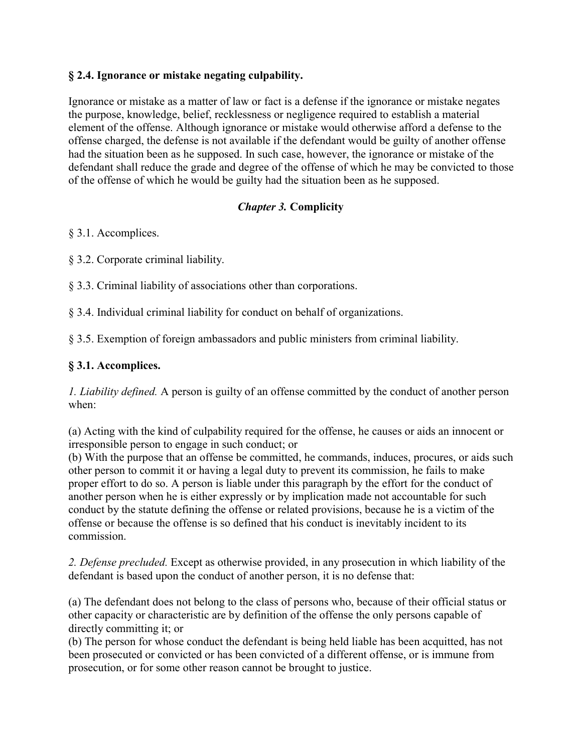#### **§ 2.4. Ignorance or mistake negating culpability.**

Ignorance or mistake as a matter of law or fact is a defense if the ignorance or mistake negates the purpose, knowledge, belief, recklessness or negligence required to establish a material element of the offense. Although ignorance or mistake would otherwise afford a defense to the offense charged, the defense is not available if the defendant would be guilty of another offense had the situation been as he supposed. In such case, however, the ignorance or mistake of the defendant shall reduce the grade and degree of the offense of which he may be convicted to those of the offense of which he would be guilty had the situation been as he supposed.

#### *Chapter 3.* **Complicity**

§ 3.1. Accomplices.

§ 3.2. Corporate criminal liability.

§ 3.3. Criminal liability of associations other than corporations.

§ 3.4. Individual criminal liability for conduct on behalf of organizations.

§ 3.5. Exemption of foreign ambassadors and public ministers from criminal liability.

#### **§ 3.1. Accomplices.**

*1. Liability defined.* A person is guilty of an offense committed by the conduct of another person when:

(a) Acting with the kind of culpability required for the offense, he causes or aids an innocent or irresponsible person to engage in such conduct; or

(b) With the purpose that an offense be committed, he commands, induces, procures, or aids such other person to commit it or having a legal duty to prevent its commission, he fails to make proper effort to do so. A person is liable under this paragraph by the effort for the conduct of another person when he is either expressly or by implication made not accountable for such conduct by the statute defining the offense or related provisions, because he is a victim of the offense or because the offense is so defined that his conduct is inevitably incident to its commission.

*2. Defense precluded.* Except as otherwise provided, in any prosecution in which liability of the defendant is based upon the conduct of another person, it is no defense that:

(a) The defendant does not belong to the class of persons who, because of their official status or other capacity or characteristic are by definition of the offense the only persons capable of directly committing it; or

(b) The person for whose conduct the defendant is being held liable has been acquitted, has not been prosecuted or convicted or has been convicted of a different offense, or is immune from prosecution, or for some other reason cannot be brought to justice.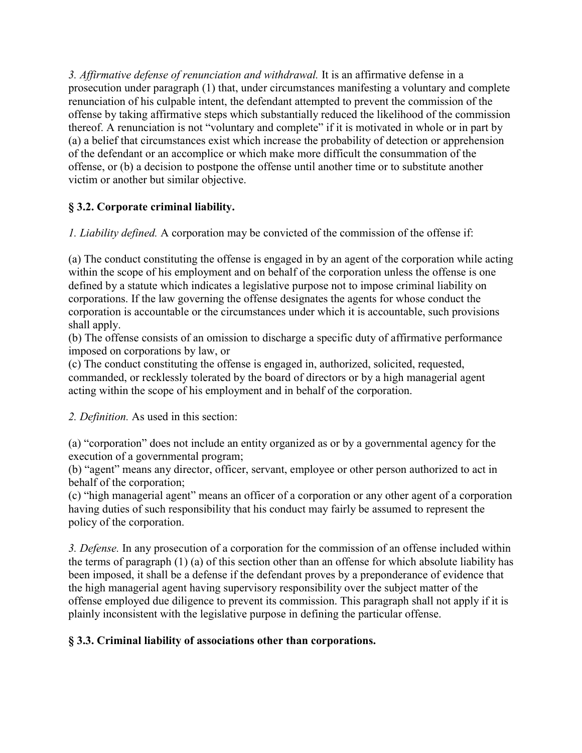*3. Affirmative defense of renunciation and withdrawal.* It is an affirmative defense in a prosecution under paragraph (1) that, under circumstances manifesting a voluntary and complete renunciation of his culpable intent, the defendant attempted to prevent the commission of the offense by taking affirmative steps which substantially reduced the likelihood of the commission thereof. A renunciation is not "voluntary and complete" if it is motivated in whole or in part by (a) a belief that circumstances exist which increase the probability of detection or apprehension of the defendant or an accomplice or which make more difficult the consummation of the offense, or (b) a decision to postpone the offense until another time or to substitute another victim or another but similar objective.

### **§ 3.2. Corporate criminal liability.**

*1. Liability defined.* A corporation may be convicted of the commission of the offense if:

(a) The conduct constituting the offense is engaged in by an agent of the corporation while acting within the scope of his employment and on behalf of the corporation unless the offense is one defined by a statute which indicates a legislative purpose not to impose criminal liability on corporations. If the law governing the offense designates the agents for whose conduct the corporation is accountable or the circumstances under which it is accountable, such provisions shall apply.

(b) The offense consists of an omission to discharge a specific duty of affirmative performance imposed on corporations by law, or

(c) The conduct constituting the offense is engaged in, authorized, solicited, requested, commanded, or recklessly tolerated by the board of directors or by a high managerial agent acting within the scope of his employment and in behalf of the corporation.

*2. Definition.* As used in this section:

(a) "corporation" does not include an entity organized as or by a governmental agency for the execution of a governmental program;

(b) "agent" means any director, officer, servant, employee or other person authorized to act in behalf of the corporation;

(c) "high managerial agent" means an officer of a corporation or any other agent of a corporation having duties of such responsibility that his conduct may fairly be assumed to represent the policy of the corporation.

*3. Defense.* In any prosecution of a corporation for the commission of an offense included within the terms of paragraph (1) (a) of this section other than an offense for which absolute liability has been imposed, it shall be a defense if the defendant proves by a preponderance of evidence that the high managerial agent having supervisory responsibility over the subject matter of the offense employed due diligence to prevent its commission. This paragraph shall not apply if it is plainly inconsistent with the legislative purpose in defining the particular offense.

#### **§ 3.3. Criminal liability of associations other than corporations.**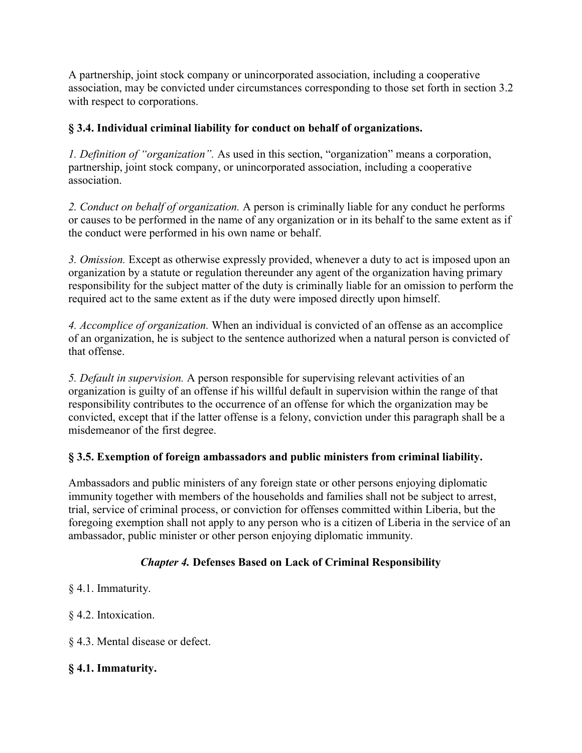A partnership, joint stock company or unincorporated association, including a cooperative association, may be convicted under circumstances corresponding to those set forth in section 3.2 with respect to corporations.

### **§ 3.4. Individual criminal liability for conduct on behalf of organizations.**

*1. Definition of "organization".* As used in this section, "organization" means a corporation, partnership, joint stock company, or unincorporated association, including a cooperative association.

*2. Conduct on behalf of organization.* A person is criminally liable for any conduct he performs or causes to be performed in the name of any organization or in its behalf to the same extent as if the conduct were performed in his own name or behalf.

*3. Omission.* Except as otherwise expressly provided, whenever a duty to act is imposed upon an organization by a statute or regulation thereunder any agent of the organization having primary responsibility for the subject matter of the duty is criminally liable for an omission to perform the required act to the same extent as if the duty were imposed directly upon himself.

*4. Accomplice of organization.* When an individual is convicted of an offense as an accomplice of an organization, he is subject to the sentence authorized when a natural person is convicted of that offense.

*5. Default in supervision.* A person responsible for supervising relevant activities of an organization is guilty of an offense if his willful default in supervision within the range of that responsibility contributes to the occurrence of an offense for which the organization may be convicted, except that if the latter offense is a felony, conviction under this paragraph shall be a misdemeanor of the first degree.

# **§ 3.5. Exemption of foreign ambassadors and public ministers from criminal liability.**

Ambassadors and public ministers of any foreign state or other persons enjoying diplomatic immunity together with members of the households and families shall not be subject to arrest, trial, service of criminal process, or conviction for offenses committed within Liberia, but the foregoing exemption shall not apply to any person who is a citizen of Liberia in the service of an ambassador, public minister or other person enjoying diplomatic immunity.

# *Chapter 4.* **Defenses Based on Lack of Criminal Responsibility**

§ 4.1. Immaturity.

§ 4.2. Intoxication.

§ 4.3. Mental disease or defect.

# **§ 4.1. Immaturity.**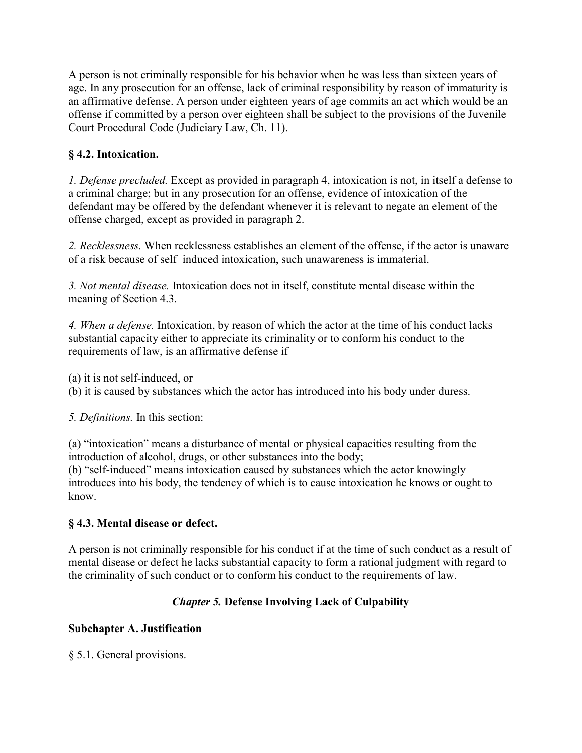A person is not criminally responsible for his behavior when he was less than sixteen years of age. In any prosecution for an offense, lack of criminal responsibility by reason of immaturity is an affirmative defense. A person under eighteen years of age commits an act which would be an offense if committed by a person over eighteen shall be subject to the provisions of the Juvenile Court Procedural Code (Judiciary Law, Ch. 11).

### **§ 4.2. Intoxication.**

*1. Defense precluded.* Except as provided in paragraph 4, intoxication is not, in itself a defense to a criminal charge; but in any prosecution for an offense, evidence of intoxication of the defendant may be offered by the defendant whenever it is relevant to negate an element of the offense charged, except as provided in paragraph 2.

*2. Recklessness.* When recklessness establishes an element of the offense, if the actor is unaware of a risk because of self–induced intoxication, such unawareness is immaterial.

*3. Not mental disease.* Intoxication does not in itself, constitute mental disease within the meaning of Section 4.3.

*4. When a defense.* Intoxication, by reason of which the actor at the time of his conduct lacks substantial capacity either to appreciate its criminality or to conform his conduct to the requirements of law, is an affirmative defense if

(a) it is not self-induced, or

(b) it is caused by substances which the actor has introduced into his body under duress.

*5. Definitions.* In this section:

(a) "intoxication" means a disturbance of mental or physical capacities resulting from the introduction of alcohol, drugs, or other substances into the body;

(b) "self-induced" means intoxication caused by substances which the actor knowingly introduces into his body, the tendency of which is to cause intoxication he knows or ought to know.

#### **§ 4.3. Mental disease or defect.**

A person is not criminally responsible for his conduct if at the time of such conduct as a result of mental disease or defect he lacks substantial capacity to form a rational judgment with regard to the criminality of such conduct or to conform his conduct to the requirements of law.

# *Chapter 5.* **Defense Involving Lack of Culpability**

#### **Subchapter A. Justification**

§ 5.1. General provisions.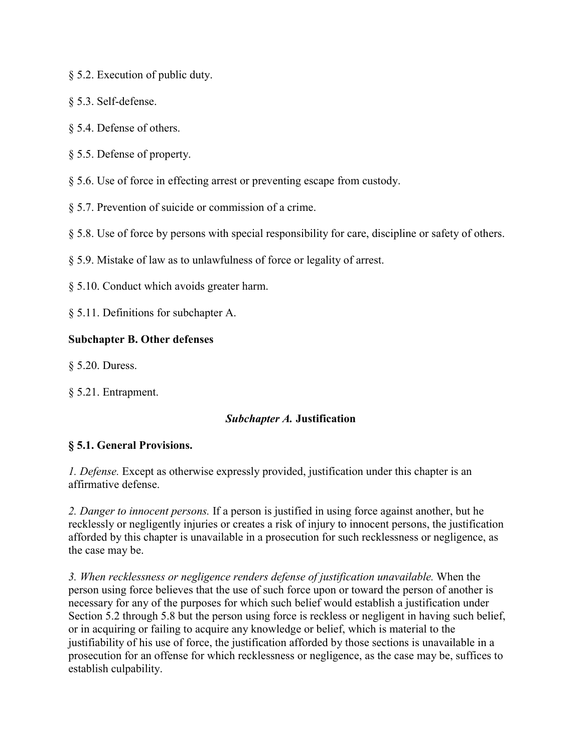§ 5.2. Execution of public duty.

- § 5.3. Self-defense.
- § 5.4. Defense of others.
- § 5.5. Defense of property.
- § 5.6. Use of force in effecting arrest or preventing escape from custody.
- § 5.7. Prevention of suicide or commission of a crime.
- § 5.8. Use of force by persons with special responsibility for care, discipline or safety of others.
- § 5.9. Mistake of law as to unlawfulness of force or legality of arrest.
- § 5.10. Conduct which avoids greater harm.
- § 5.11. Definitions for subchapter A.

#### **Subchapter B. Other defenses**

§ 5.20. Duress.

§ 5.21. Entrapment.

#### *Subchapter A.* **Justification**

#### **§ 5.1. General Provisions.**

*1. Defense.* Except as otherwise expressly provided, justification under this chapter is an affirmative defense.

*2. Danger to innocent persons.* If a person is justified in using force against another, but he recklessly or negligently injuries or creates a risk of injury to innocent persons, the justification afforded by this chapter is unavailable in a prosecution for such recklessness or negligence, as the case may be.

*3. When recklessness or negligence renders defense of justification unavailable.* When the person using force believes that the use of such force upon or toward the person of another is necessary for any of the purposes for which such belief would establish a justification under Section 5.2 through 5.8 but the person using force is reckless or negligent in having such belief, or in acquiring or failing to acquire any knowledge or belief, which is material to the justifiability of his use of force, the justification afforded by those sections is unavailable in a prosecution for an offense for which recklessness or negligence, as the case may be, suffices to establish culpability.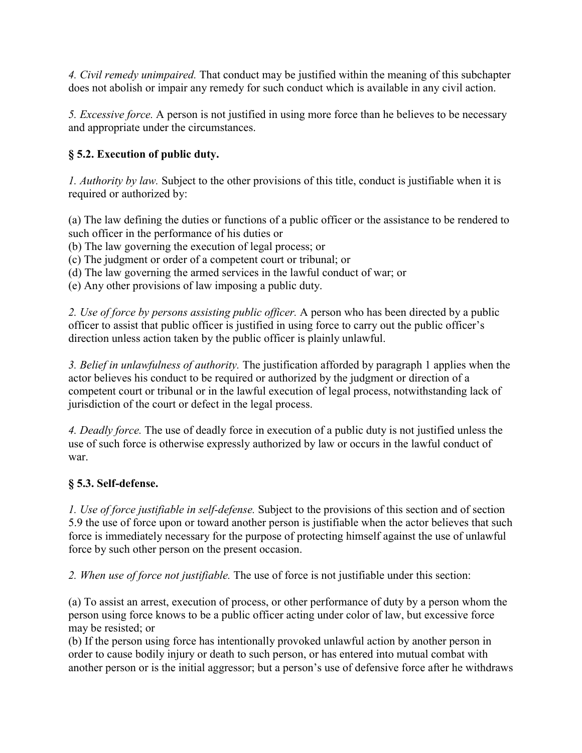*4. Civil remedy unimpaired.* That conduct may be justified within the meaning of this subchapter does not abolish or impair any remedy for such conduct which is available in any civil action.

*5. Excessive force.* A person is not justified in using more force than he believes to be necessary and appropriate under the circumstances.

# **§ 5.2. Execution of public duty.**

*1. Authority by law.* Subject to the other provisions of this title, conduct is justifiable when it is required or authorized by:

(a) The law defining the duties or functions of a public officer or the assistance to be rendered to such officer in the performance of his duties or

(b) The law governing the execution of legal process; or

(c) The judgment or order of a competent court or tribunal; or

(d) The law governing the armed services in the lawful conduct of war; or

(e) Any other provisions of law imposing a public duty.

*2. Use of force by persons assisting public officer.* A person who has been directed by a public officer to assist that public officer is justified in using force to carry out the public officer's direction unless action taken by the public officer is plainly unlawful.

*3. Belief in unlawfulness of authority.* The justification afforded by paragraph 1 applies when the actor believes his conduct to be required or authorized by the judgment or direction of a competent court or tribunal or in the lawful execution of legal process, notwithstanding lack of jurisdiction of the court or defect in the legal process.

*4. Deadly force.* The use of deadly force in execution of a public duty is not justified unless the use of such force is otherwise expressly authorized by law or occurs in the lawful conduct of war.

#### **§ 5.3. Self-defense.**

*1. Use of force justifiable in self-defense.* Subject to the provisions of this section and of section 5.9 the use of force upon or toward another person is justifiable when the actor believes that such force is immediately necessary for the purpose of protecting himself against the use of unlawful force by such other person on the present occasion.

*2. When use of force not justifiable.* The use of force is not justifiable under this section:

(a) To assist an arrest, execution of process, or other performance of duty by a person whom the person using force knows to be a public officer acting under color of law, but excessive force may be resisted; or

(b) If the person using force has intentionally provoked unlawful action by another person in order to cause bodily injury or death to such person, or has entered into mutual combat with another person or is the initial aggressor; but a person's use of defensive force after he withdraws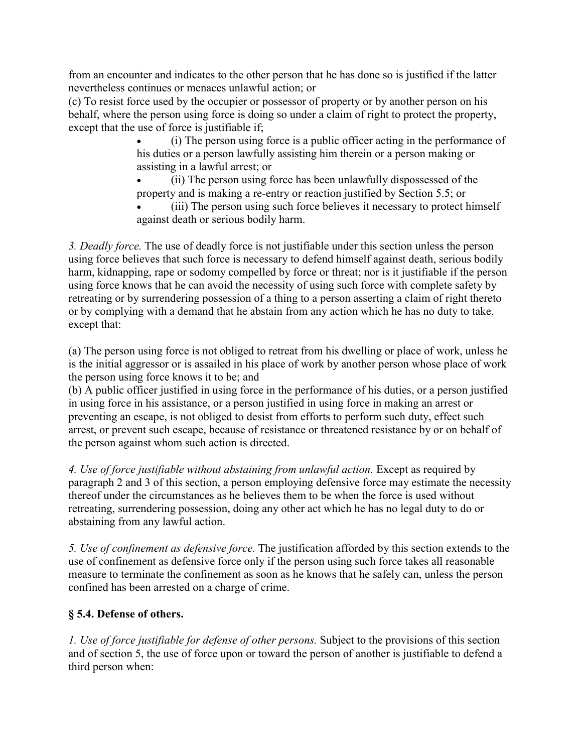from an encounter and indicates to the other person that he has done so is justified if the latter nevertheless continues or menaces unlawful action; or

(c) To resist force used by the occupier or possessor of property or by another person on his behalf, where the person using force is doing so under a claim of right to protect the property, except that the use of force is justifiable if;

· (i) The person using force is a public officer acting in the performance of his duties or a person lawfully assisting him therein or a person making or assisting in a lawful arrest; or

· (ii) The person using force has been unlawfully dispossessed of the property and is making a re-entry or reaction justified by Section 5.5; or

(iii) The person using such force believes it necessary to protect himself against death or serious bodily harm.

*3. Deadly force.* The use of deadly force is not justifiable under this section unless the person using force believes that such force is necessary to defend himself against death, serious bodily harm, kidnapping, rape or sodomy compelled by force or threat; nor is it justifiable if the person using force knows that he can avoid the necessity of using such force with complete safety by retreating or by surrendering possession of a thing to a person asserting a claim of right thereto or by complying with a demand that he abstain from any action which he has no duty to take, except that:

(a) The person using force is not obliged to retreat from his dwelling or place of work, unless he is the initial aggressor or is assailed in his place of work by another person whose place of work the person using force knows it to be; and

(b) A public officer justified in using force in the performance of his duties, or a person justified in using force in his assistance, or a person justified in using force in making an arrest or preventing an escape, is not obliged to desist from efforts to perform such duty, effect such arrest, or prevent such escape, because of resistance or threatened resistance by or on behalf of the person against whom such action is directed.

*4. Use of force justifiable without abstaining from unlawful action.* Except as required by paragraph 2 and 3 of this section, a person employing defensive force may estimate the necessity thereof under the circumstances as he believes them to be when the force is used without retreating, surrendering possession, doing any other act which he has no legal duty to do or abstaining from any lawful action.

*5. Use of confinement as defensive force.* The justification afforded by this section extends to the use of confinement as defensive force only if the person using such force takes all reasonable measure to terminate the confinement as soon as he knows that he safely can, unless the person confined has been arrested on a charge of crime.

#### **§ 5.4. Defense of others.**

*1. Use of force justifiable for defense of other persons.* Subject to the provisions of this section and of section 5, the use of force upon or toward the person of another is justifiable to defend a third person when: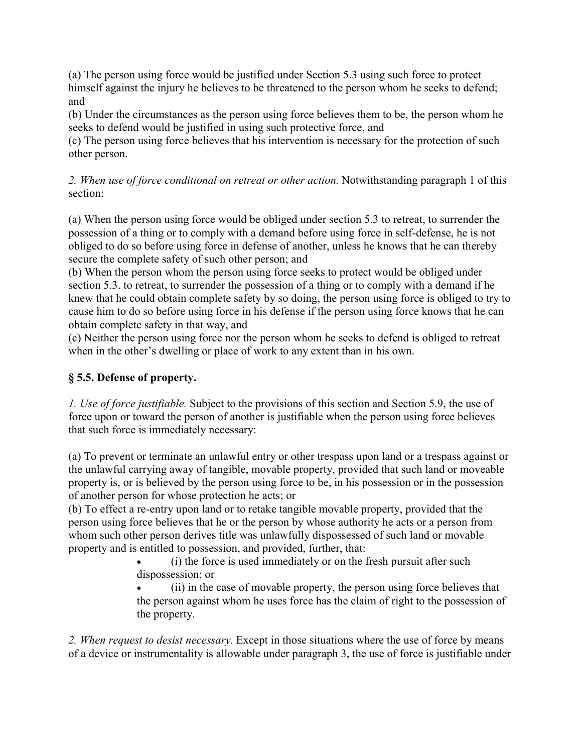(a) The person using force would be justified under Section 5.3 using such force to protect himself against the injury he believes to be threatened to the person whom he seeks to defend; and

(b) Under the circumstances as the person using force believes them to be, the person whom he seeks to defend would be justified in using such protective force, and

(c) The person using force believes that his intervention is necessary for the protection of such other person.

*2. When use of force conditional on retreat or other action.* Notwithstanding paragraph 1 of this section:

(a) When the person using force would be obliged under section 5.3 to retreat, to surrender the possession of a thing or to comply with a demand before using force in self-defense, he is not obliged to do so before using force in defense of another, unless he knows that he can thereby secure the complete safety of such other person; and

(b) When the person whom the person using force seeks to protect would be obliged under section 5.3. to retreat, to surrender the possession of a thing or to comply with a demand if he knew that he could obtain complete safety by so doing, the person using force is obliged to try to cause him to do so before using force in his defense if the person using force knows that he can obtain complete safety in that way, and

(c) Neither the person using force nor the person whom he seeks to defend is obliged to retreat when in the other's dwelling or place of work to any extent than in his own.

# **§ 5.5. Defense of property.**

*1. Use of force justifiable.* Subject to the provisions of this section and Section 5.9, the use of force upon or toward the person of another is justifiable when the person using force believes that such force is immediately necessary:

(a) To prevent or terminate an unlawful entry or other trespass upon land or a trespass against or the unlawful carrying away of tangible, movable property, provided that such land or moveable property is, or is believed by the person using force to be, in his possession or in the possession of another person for whose protection he acts; or

(b) To effect a re-entry upon land or to retake tangible movable property, provided that the person using force believes that he or the person by whose authority he acts or a person from whom such other person derives title was unlawfully dispossessed of such land or movable property and is entitled to possession, and provided, further, that:

· (i) the force is used immediately or on the fresh pursuit after such dispossession; or

· (ii) in the case of movable property, the person using force believes that the person against whom he uses force has the claim of right to the possession of the property.

*2. When request to desist necessary.* Except in those situations where the use of force by means of a device or instrumentality is allowable under paragraph 3, the use of force is justifiable under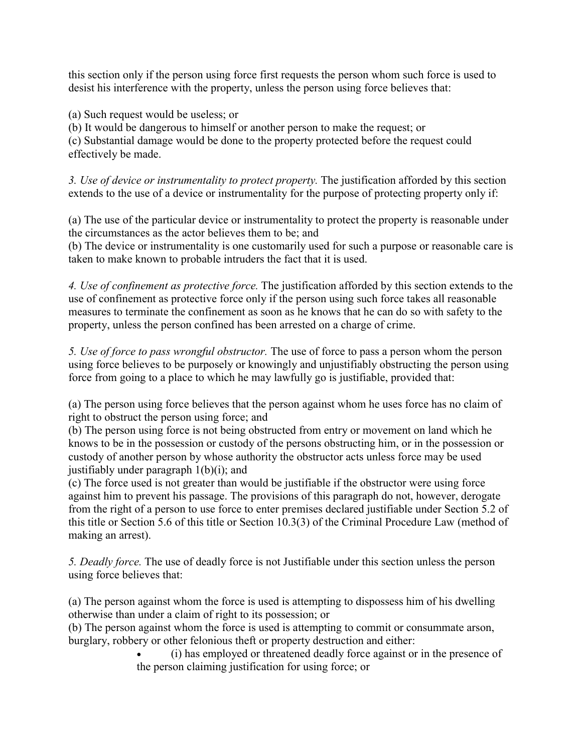this section only if the person using force first requests the person whom such force is used to desist his interference with the property, unless the person using force believes that:

(a) Such request would be useless; or

(b) It would be dangerous to himself or another person to make the request; or

(c) Substantial damage would be done to the property protected before the request could effectively be made.

*3. Use of device or instrumentality to protect property.* The justification afforded by this section extends to the use of a device or instrumentality for the purpose of protecting property only if:

(a) The use of the particular device or instrumentality to protect the property is reasonable under the circumstances as the actor believes them to be; and

(b) The device or instrumentality is one customarily used for such a purpose or reasonable care is taken to make known to probable intruders the fact that it is used.

*4. Use of confinement as protective force.* The justification afforded by this section extends to the use of confinement as protective force only if the person using such force takes all reasonable measures to terminate the confinement as soon as he knows that he can do so with safety to the property, unless the person confined has been arrested on a charge of crime.

*5. Use of force to pass wrongful obstructor.* The use of force to pass a person whom the person using force believes to be purposely or knowingly and unjustifiably obstructing the person using force from going to a place to which he may lawfully go is justifiable, provided that:

(a) The person using force believes that the person against whom he uses force has no claim of right to obstruct the person using force; and

(b) The person using force is not being obstructed from entry or movement on land which he knows to be in the possession or custody of the persons obstructing him, or in the possession or custody of another person by whose authority the obstructor acts unless force may be used justifiably under paragraph  $1(b)(i)$ ; and

(c) The force used is not greater than would be justifiable if the obstructor were using force against him to prevent his passage. The provisions of this paragraph do not, however, derogate from the right of a person to use force to enter premises declared justifiable under Section 5.2 of this title or Section 5.6 of this title or Section 10.3(3) of the Criminal Procedure Law (method of making an arrest).

*5. Deadly force.* The use of deadly force is not Justifiable under this section unless the person using force believes that:

(a) The person against whom the force is used is attempting to dispossess him of his dwelling otherwise than under a claim of right to its possession; or

(b) The person against whom the force is used is attempting to commit or consummate arson, burglary, robbery or other felonious theft or property destruction and either:

· (i) has employed or threatened deadly force against or in the presence of the person claiming justification for using force; or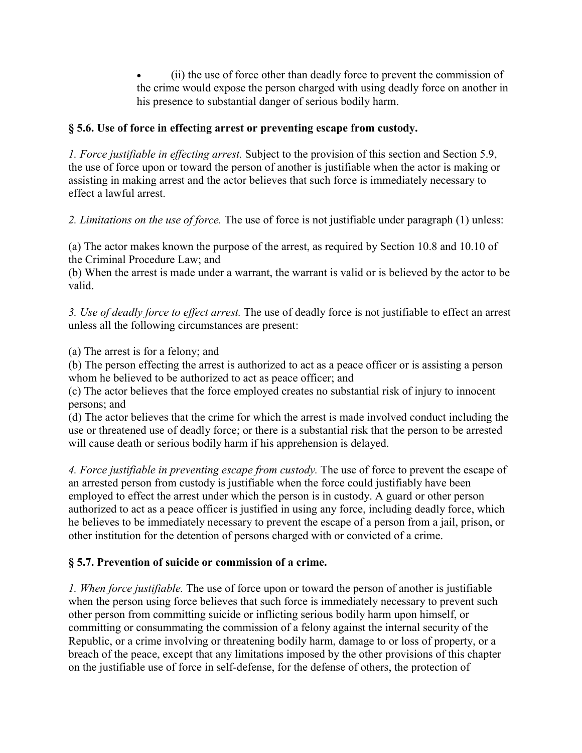· (ii) the use of force other than deadly force to prevent the commission of the crime would expose the person charged with using deadly force on another in his presence to substantial danger of serious bodily harm.

#### **§ 5.6. Use of force in effecting arrest or preventing escape from custody.**

*1. Force justifiable in effecting arrest.* Subject to the provision of this section and Section 5.9, the use of force upon or toward the person of another is justifiable when the actor is making or assisting in making arrest and the actor believes that such force is immediately necessary to effect a lawful arrest.

*2. Limitations on the use of force.* The use of force is not justifiable under paragraph (1) unless:

(a) The actor makes known the purpose of the arrest, as required by Section 10.8 and 10.10 of the Criminal Procedure Law; and

(b) When the arrest is made under a warrant, the warrant is valid or is believed by the actor to be valid.

*3. Use of deadly force to effect arrest.* The use of deadly force is not justifiable to effect an arrest unless all the following circumstances are present:

(a) The arrest is for a felony; and

(b) The person effecting the arrest is authorized to act as a peace officer or is assisting a person whom he believed to be authorized to act as peace officer; and

(c) The actor believes that the force employed creates no substantial risk of injury to innocent persons; and

(d) The actor believes that the crime for which the arrest is made involved conduct including the use or threatened use of deadly force; or there is a substantial risk that the person to be arrested will cause death or serious bodily harm if his apprehension is delayed.

*4. Force justifiable in preventing escape from custody.* The use of force to prevent the escape of an arrested person from custody is justifiable when the force could justifiably have been employed to effect the arrest under which the person is in custody. A guard or other person authorized to act as a peace officer is justified in using any force, including deadly force, which he believes to be immediately necessary to prevent the escape of a person from a jail, prison, or other institution for the detention of persons charged with or convicted of a crime.

#### **§ 5.7. Prevention of suicide or commission of a crime.**

*1. When force justifiable.* The use of force upon or toward the person of another is justifiable when the person using force believes that such force is immediately necessary to prevent such other person from committing suicide or inflicting serious bodily harm upon himself, or committing or consummating the commission of a felony against the internal security of the Republic, or a crime involving or threatening bodily harm, damage to or loss of property, or a breach of the peace, except that any limitations imposed by the other provisions of this chapter on the justifiable use of force in self-defense, for the defense of others, the protection of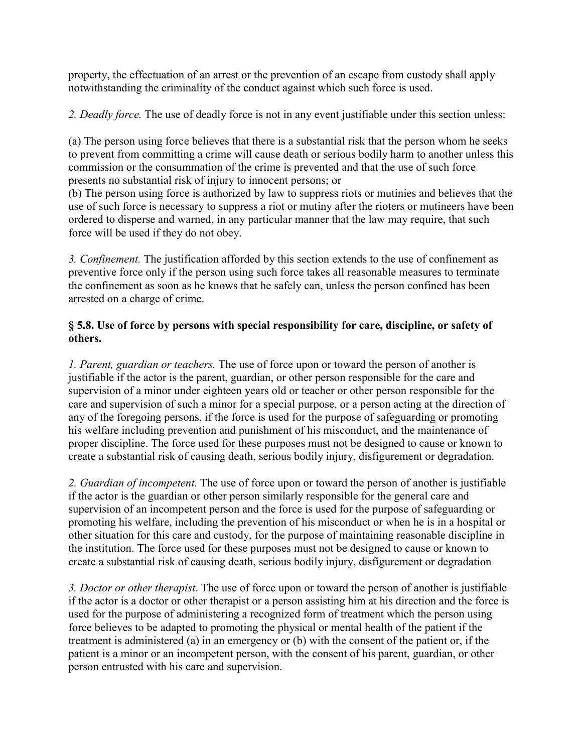property, the effectuation of an arrest or the prevention of an escape from custody shall apply notwithstanding the criminality of the conduct against which such force is used.

*2. Deadly force.* The use of deadly force is not in any event justifiable under this section unless:

(a) The person using force believes that there is a substantial risk that the person whom he seeks to prevent from committing a crime will cause death or serious bodily harm to another unless this commission or the consummation of the crime is prevented and that the use of such force presents no substantial risk of injury to innocent persons; or

(b) The person using force is authorized by law to suppress riots or mutinies and believes that the use of such force is necessary to suppress a riot or mutiny after the rioters or mutineers have been ordered to disperse and warned, in any particular manner that the law may require, that such force will be used if they do not obey.

*3. Confinement.* The justification afforded by this section extends to the use of confinement as preventive force only if the person using such force takes all reasonable measures to terminate the confinement as soon as he knows that he safely can, unless the person confined has been arrested on a charge of crime.

#### **§ 5.8. Use of force by persons with special responsibility for care, discipline, or safety of others.**

*1. Parent, guardian or teachers.* The use of force upon or toward the person of another is justifiable if the actor is the parent, guardian, or other person responsible for the care and supervision of a minor under eighteen years old or teacher or other person responsible for the care and supervision of such a minor for a special purpose, or a person acting at the direction of any of the foregoing persons, if the force is used for the purpose of safeguarding or promoting his welfare including prevention and punishment of his misconduct, and the maintenance of proper discipline. The force used for these purposes must not be designed to cause or known to create a substantial risk of causing death, serious bodily injury, disfigurement or degradation.

*2. Guardian of incompetent.* The use of force upon or toward the person of another is justifiable if the actor is the guardian or other person similarly responsible for the general care and supervision of an incompetent person and the force is used for the purpose of safeguarding or promoting his welfare, including the prevention of his misconduct or when he is in a hospital or other situation for this care and custody, for the purpose of maintaining reasonable discipline in the institution. The force used for these purposes must not be designed to cause or known to create a substantial risk of causing death, serious bodily injury, disfigurement or degradation

*3. Doctor or other therapist*. The use of force upon or toward the person of another is justifiable if the actor is a doctor or other therapist or a person assisting him at his direction and the force is used for the purpose of administering a recognized form of treatment which the person using force believes to be adapted to promoting the physical or mental health of the patient if the treatment is administered (a) in an emergency or (b) with the consent of the patient or, if the patient is a minor or an incompetent person, with the consent of his parent, guardian, or other person entrusted with his care and supervision.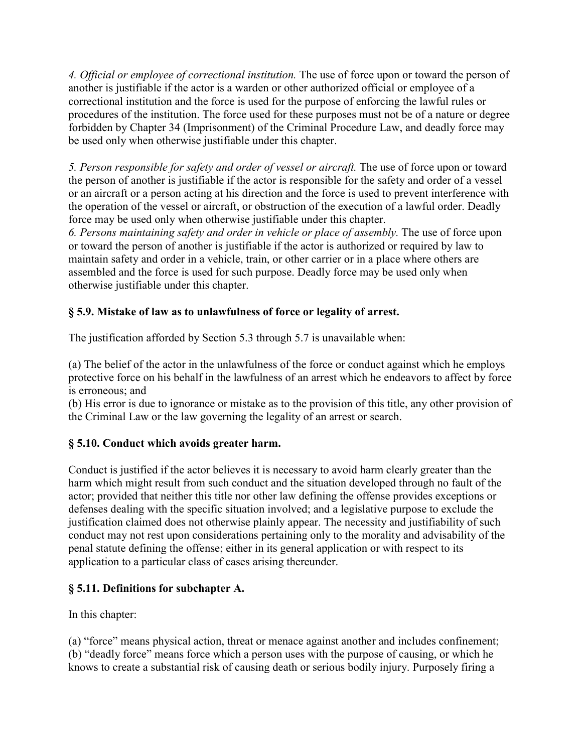*4. Official or employee of correctional institution.* The use of force upon or toward the person of another is justifiable if the actor is a warden or other authorized official or employee of a correctional institution and the force is used for the purpose of enforcing the lawful rules or procedures of the institution. The force used for these purposes must not be of a nature or degree forbidden by Chapter 34 (Imprisonment) of the Criminal Procedure Law, and deadly force may be used only when otherwise justifiable under this chapter.

*5. Person responsible for safety and order of vessel or aircraft.* The use of force upon or toward the person of another is justifiable if the actor is responsible for the safety and order of a vessel or an aircraft or a person acting at his direction and the force is used to prevent interference with the operation of the vessel or aircraft, or obstruction of the execution of a lawful order. Deadly force may be used only when otherwise justifiable under this chapter.

*6. Persons maintaining safety and order in vehicle or place of assembly.* The use of force upon or toward the person of another is justifiable if the actor is authorized or required by law to maintain safety and order in a vehicle, train, or other carrier or in a place where others are assembled and the force is used for such purpose. Deadly force may be used only when otherwise justifiable under this chapter.

### **§ 5.9. Mistake of law as to unlawfulness of force or legality of arrest.**

The justification afforded by Section 5.3 through 5.7 is unavailable when:

(a) The belief of the actor in the unlawfulness of the force or conduct against which he employs protective force on his behalf in the lawfulness of an arrest which he endeavors to affect by force is erroneous; and

(b) His error is due to ignorance or mistake as to the provision of this title, any other provision of the Criminal Law or the law governing the legality of an arrest or search.

#### **§ 5.10. Conduct which avoids greater harm.**

Conduct is justified if the actor believes it is necessary to avoid harm clearly greater than the harm which might result from such conduct and the situation developed through no fault of the actor; provided that neither this title nor other law defining the offense provides exceptions or defenses dealing with the specific situation involved; and a legislative purpose to exclude the justification claimed does not otherwise plainly appear. The necessity and justifiability of such conduct may not rest upon considerations pertaining only to the morality and advisability of the penal statute defining the offense; either in its general application or with respect to its application to a particular class of cases arising thereunder.

# **§ 5.11. Definitions for subchapter A.**

In this chapter:

(a) "force" means physical action, threat or menace against another and includes confinement; (b) "deadly force" means force which a person uses with the purpose of causing, or which he knows to create a substantial risk of causing death or serious bodily injury. Purposely firing a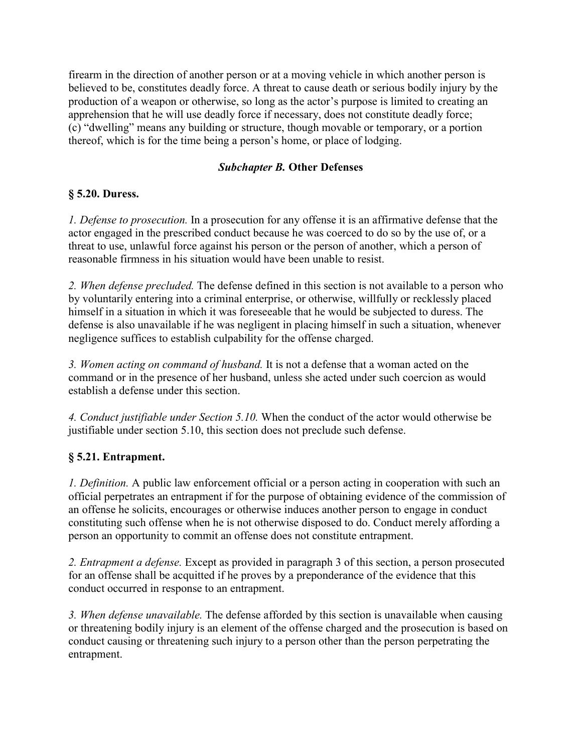firearm in the direction of another person or at a moving vehicle in which another person is believed to be, constitutes deadly force. A threat to cause death or serious bodily injury by the production of a weapon or otherwise, so long as the actor's purpose is limited to creating an apprehension that he will use deadly force if necessary, does not constitute deadly force; (c) "dwelling" means any building or structure, though movable or temporary, or a portion thereof, which is for the time being a person's home, or place of lodging.

#### *Subchapter B.* **Other Defenses**

#### **§ 5.20. Duress.**

*1. Defense to prosecution.* In a prosecution for any offense it is an affirmative defense that the actor engaged in the prescribed conduct because he was coerced to do so by the use of, or a threat to use, unlawful force against his person or the person of another, which a person of reasonable firmness in his situation would have been unable to resist.

*2. When defense precluded.* The defense defined in this section is not available to a person who by voluntarily entering into a criminal enterprise, or otherwise, willfully or recklessly placed himself in a situation in which it was foreseeable that he would be subjected to duress. The defense is also unavailable if he was negligent in placing himself in such a situation, whenever negligence suffices to establish culpability for the offense charged.

*3. Women acting on command of husband.* It is not a defense that a woman acted on the command or in the presence of her husband, unless she acted under such coercion as would establish a defense under this section.

*4. Conduct justifiable under Section 5.10.* When the conduct of the actor would otherwise be justifiable under section 5.10, this section does not preclude such defense.

#### **§ 5.21. Entrapment.**

*1. Definition.* A public law enforcement official or a person acting in cooperation with such an official perpetrates an entrapment if for the purpose of obtaining evidence of the commission of an offense he solicits, encourages or otherwise induces another person to engage in conduct constituting such offense when he is not otherwise disposed to do. Conduct merely affording a person an opportunity to commit an offense does not constitute entrapment.

*2. Entrapment a defense.* Except as provided in paragraph 3 of this section, a person prosecuted for an offense shall be acquitted if he proves by a preponderance of the evidence that this conduct occurred in response to an entrapment.

*3. When defense unavailable.* The defense afforded by this section is unavailable when causing or threatening bodily injury is an element of the offense charged and the prosecution is based on conduct causing or threatening such injury to a person other than the person perpetrating the entrapment.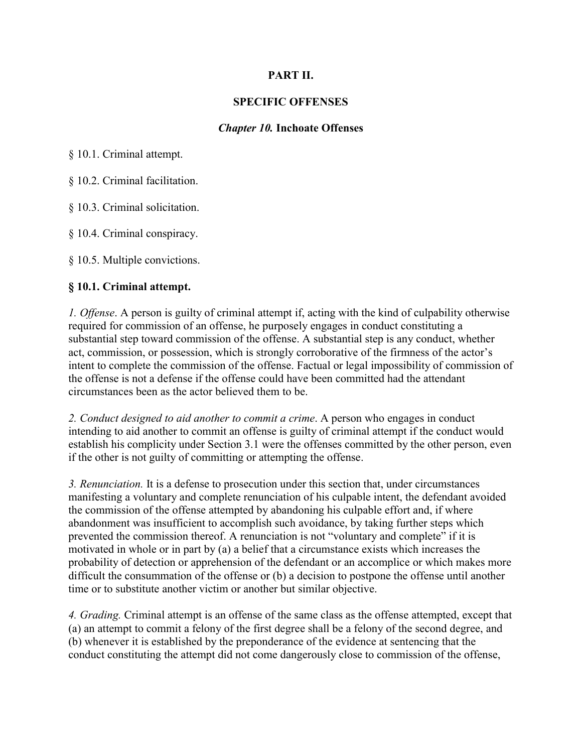#### **PART II.**

#### **SPECIFIC OFFENSES**

#### *Chapter 10.* **Inchoate Offenses**

§ 10.1. Criminal attempt.

§ 10.2. Criminal facilitation.

§ 10.3. Criminal solicitation.

§ 10.4. Criminal conspiracy.

§ 10.5. Multiple convictions.

#### **§ 10.1. Criminal attempt.**

*1. Offense*. A person is guilty of criminal attempt if, acting with the kind of culpability otherwise required for commission of an offense, he purposely engages in conduct constituting a substantial step toward commission of the offense. A substantial step is any conduct, whether act, commission, or possession, which is strongly corroborative of the firmness of the actor's intent to complete the commission of the offense. Factual or legal impossibility of commission of the offense is not a defense if the offense could have been committed had the attendant circumstances been as the actor believed them to be.

*2. Conduct designed to aid another to commit a crime*. A person who engages in conduct intending to aid another to commit an offense is guilty of criminal attempt if the conduct would establish his complicity under Section 3.1 were the offenses committed by the other person, even if the other is not guilty of committing or attempting the offense.

*3. Renunciation.* It is a defense to prosecution under this section that, under circumstances manifesting a voluntary and complete renunciation of his culpable intent, the defendant avoided the commission of the offense attempted by abandoning his culpable effort and, if where abandonment was insufficient to accomplish such avoidance, by taking further steps which prevented the commission thereof. A renunciation is not "voluntary and complete" if it is motivated in whole or in part by (a) a belief that a circumstance exists which increases the probability of detection or apprehension of the defendant or an accomplice or which makes more difficult the consummation of the offense or (b) a decision to postpone the offense until another time or to substitute another victim or another but similar objective.

*4. Grading.* Criminal attempt is an offense of the same class as the offense attempted, except that (a) an attempt to commit a felony of the first degree shall be a felony of the second degree, and (b) whenever it is established by the preponderance of the evidence at sentencing that the conduct constituting the attempt did not come dangerously close to commission of the offense,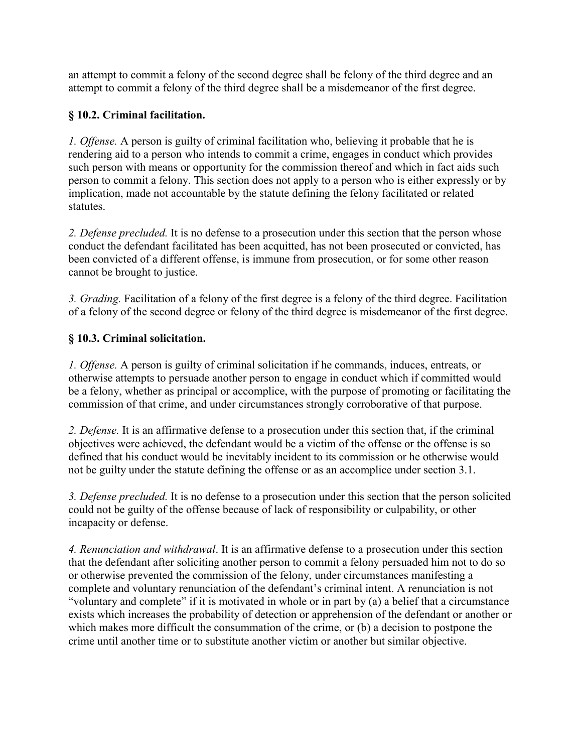an attempt to commit a felony of the second degree shall be felony of the third degree and an attempt to commit a felony of the third degree shall be a misdemeanor of the first degree.

# **§ 10.2. Criminal facilitation.**

*1. Offense.* A person is guilty of criminal facilitation who, believing it probable that he is rendering aid to a person who intends to commit a crime, engages in conduct which provides such person with means or opportunity for the commission thereof and which in fact aids such person to commit a felony. This section does not apply to a person who is either expressly or by implication, made not accountable by the statute defining the felony facilitated or related statutes.

*2. Defense precluded.* It is no defense to a prosecution under this section that the person whose conduct the defendant facilitated has been acquitted, has not been prosecuted or convicted, has been convicted of a different offense, is immune from prosecution, or for some other reason cannot be brought to justice.

*3. Grading.* Facilitation of a felony of the first degree is a felony of the third degree. Facilitation of a felony of the second degree or felony of the third degree is misdemeanor of the first degree.

### **§ 10.3. Criminal solicitation.**

*1. Offense.* A person is guilty of criminal solicitation if he commands, induces, entreats, or otherwise attempts to persuade another person to engage in conduct which if committed would be a felony, whether as principal or accomplice, with the purpose of promoting or facilitating the commission of that crime, and under circumstances strongly corroborative of that purpose.

*2. Defense.* It is an affirmative defense to a prosecution under this section that, if the criminal objectives were achieved, the defendant would be a victim of the offense or the offense is so defined that his conduct would be inevitably incident to its commission or he otherwise would not be guilty under the statute defining the offense or as an accomplice under section 3.1.

*3. Defense precluded.* It is no defense to a prosecution under this section that the person solicited could not be guilty of the offense because of lack of responsibility or culpability, or other incapacity or defense.

*4. Renunciation and withdrawal*. It is an affirmative defense to a prosecution under this section that the defendant after soliciting another person to commit a felony persuaded him not to do so or otherwise prevented the commission of the felony, under circumstances manifesting a complete and voluntary renunciation of the defendant's criminal intent. A renunciation is not "voluntary and complete" if it is motivated in whole or in part by (a) a belief that a circumstance exists which increases the probability of detection or apprehension of the defendant or another or which makes more difficult the consummation of the crime, or (b) a decision to postpone the crime until another time or to substitute another victim or another but similar objective.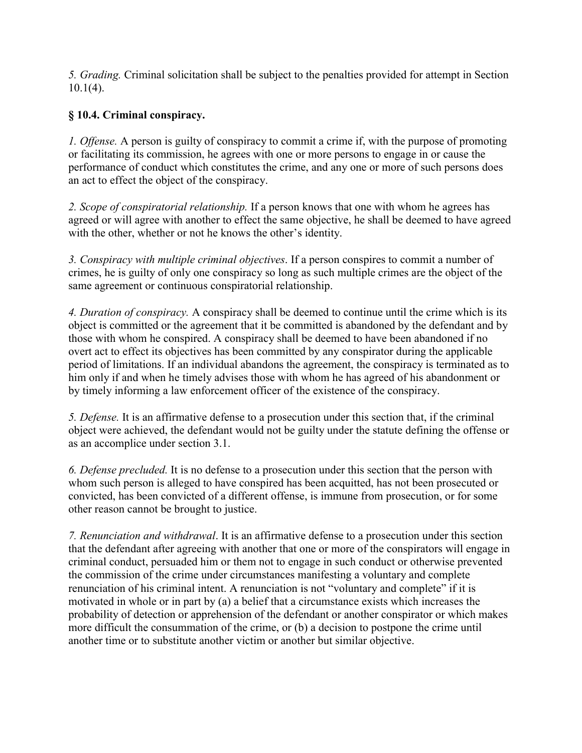*5. Grading.* Criminal solicitation shall be subject to the penalties provided for attempt in Section  $10.1(4)$ .

#### **§ 10.4. Criminal conspiracy.**

*1. Offense.* A person is guilty of conspiracy to commit a crime if, with the purpose of promoting or facilitating its commission, he agrees with one or more persons to engage in or cause the performance of conduct which constitutes the crime, and any one or more of such persons does an act to effect the object of the conspiracy.

*2. Scope of conspiratorial relationship.* If a person knows that one with whom he agrees has agreed or will agree with another to effect the same objective, he shall be deemed to have agreed with the other, whether or not he knows the other's identity.

*3. Conspiracy with multiple criminal objectives*. If a person conspires to commit a number of crimes, he is guilty of only one conspiracy so long as such multiple crimes are the object of the same agreement or continuous conspiratorial relationship.

*4. Duration of conspiracy.* A conspiracy shall be deemed to continue until the crime which is its object is committed or the agreement that it be committed is abandoned by the defendant and by those with whom he conspired. A conspiracy shall be deemed to have been abandoned if no overt act to effect its objectives has been committed by any conspirator during the applicable period of limitations. If an individual abandons the agreement, the conspiracy is terminated as to him only if and when he timely advises those with whom he has agreed of his abandonment or by timely informing a law enforcement officer of the existence of the conspiracy.

*5. Defense.* It is an affirmative defense to a prosecution under this section that, if the criminal object were achieved, the defendant would not be guilty under the statute defining the offense or as an accomplice under section 3.1.

*6. Defense precluded.* It is no defense to a prosecution under this section that the person with whom such person is alleged to have conspired has been acquitted, has not been prosecuted or convicted, has been convicted of a different offense, is immune from prosecution, or for some other reason cannot be brought to justice.

*7. Renunciation and withdrawal*. It is an affirmative defense to a prosecution under this section that the defendant after agreeing with another that one or more of the conspirators will engage in criminal conduct, persuaded him or them not to engage in such conduct or otherwise prevented the commission of the crime under circumstances manifesting a voluntary and complete renunciation of his criminal intent. A renunciation is not "voluntary and complete" if it is motivated in whole or in part by (a) a belief that a circumstance exists which increases the probability of detection or apprehension of the defendant or another conspirator or which makes more difficult the consummation of the crime, or (b) a decision to postpone the crime until another time or to substitute another victim or another but similar objective.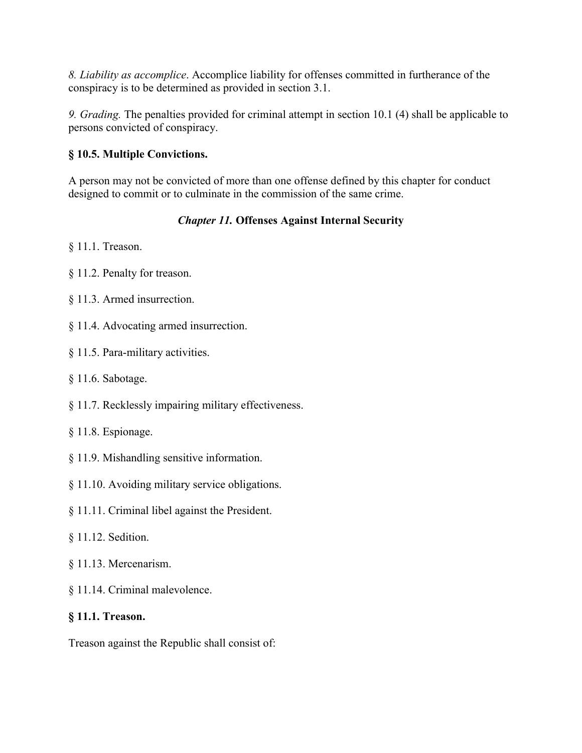*8. Liability as accomplice*. Accomplice liability for offenses committed in furtherance of the conspiracy is to be determined as provided in section 3.1.

*9. Grading.* The penalties provided for criminal attempt in section 10.1 (4) shall be applicable to persons convicted of conspiracy.

#### **§ 10.5. Multiple Convictions.**

A person may not be convicted of more than one offense defined by this chapter for conduct designed to commit or to culminate in the commission of the same crime.

#### *Chapter 11.* **Offenses Against Internal Security**

§ 11.1. Treason.

- § 11.2. Penalty for treason.
- § 11.3. Armed insurrection.
- § 11.4. Advocating armed insurrection.
- § 11.5. Para-military activities.
- § 11.6. Sabotage.
- § 11.7. Recklessly impairing military effectiveness.
- § 11.8. Espionage.
- § 11.9. Mishandling sensitive information.
- § 11.10. Avoiding military service obligations.
- § 11.11. Criminal libel against the President.
- § 11.12. Sedition.
- § 11.13. Mercenarism.
- § 11.14. Criminal malevolence.

#### **§ 11.1. Treason.**

Treason against the Republic shall consist of: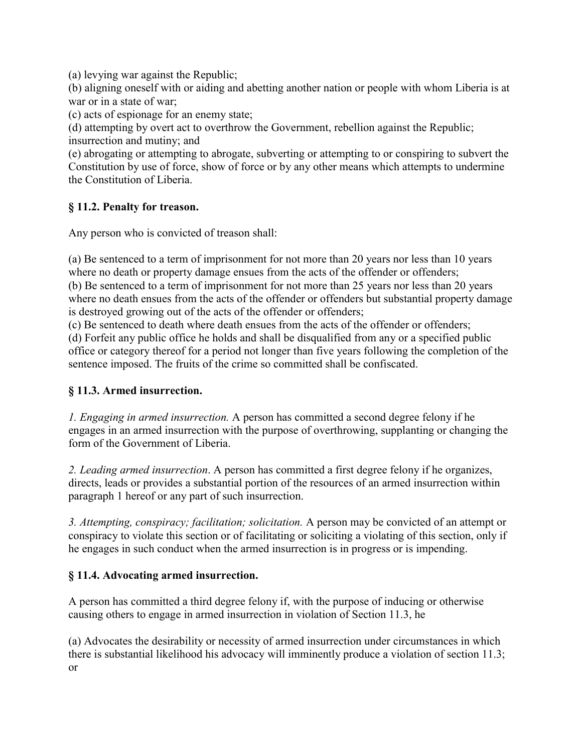(a) levying war against the Republic;

(b) aligning oneself with or aiding and abetting another nation or people with whom Liberia is at war or in a state of war;

(c) acts of espionage for an enemy state;

(d) attempting by overt act to overthrow the Government, rebellion against the Republic; insurrection and mutiny; and

(e) abrogating or attempting to abrogate, subverting or attempting to or conspiring to subvert the Constitution by use of force, show of force or by any other means which attempts to undermine the Constitution of Liberia.

### **§ 11.2. Penalty for treason.**

Any person who is convicted of treason shall:

(a) Be sentenced to a term of imprisonment for not more than 20 years nor less than 10 years where no death or property damage ensues from the acts of the offender or offenders; (b) Be sentenced to a term of imprisonment for not more than 25 years nor less than 20 years where no death ensues from the acts of the offender or offenders but substantial property damage is destroyed growing out of the acts of the offender or offenders;

(c) Be sentenced to death where death ensues from the acts of the offender or offenders; (d) Forfeit any public office he holds and shall be disqualified from any or a specified public office or category thereof for a period not longer than five years following the completion of the sentence imposed. The fruits of the crime so committed shall be confiscated.

#### **§ 11.3. Armed insurrection.**

*1. Engaging in armed insurrection.* A person has committed a second degree felony if he engages in an armed insurrection with the purpose of overthrowing, supplanting or changing the form of the Government of Liberia.

*2. Leading armed insurrection*. A person has committed a first degree felony if he organizes, directs, leads or provides a substantial portion of the resources of an armed insurrection within paragraph 1 hereof or any part of such insurrection.

*3. Attempting, conspiracy; facilitation; solicitation.* A person may be convicted of an attempt or conspiracy to violate this section or of facilitating or soliciting a violating of this section, only if he engages in such conduct when the armed insurrection is in progress or is impending.

#### **§ 11.4. Advocating armed insurrection.**

A person has committed a third degree felony if, with the purpose of inducing or otherwise causing others to engage in armed insurrection in violation of Section 11.3, he

(a) Advocates the desirability or necessity of armed insurrection under circumstances in which there is substantial likelihood his advocacy will imminently produce a violation of section 11.3; or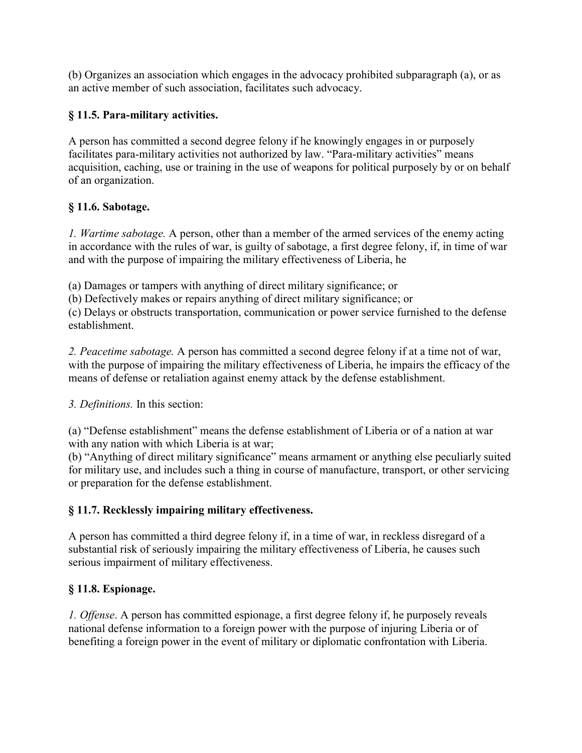(b) Organizes an association which engages in the advocacy prohibited subparagraph (a), or as an active member of such association, facilitates such advocacy.

# **§ 11.5. Para-military activities.**

A person has committed a second degree felony if he knowingly engages in or purposely facilitates para-military activities not authorized by law. "Para-military activities" means acquisition, caching, use or training in the use of weapons for political purposely by or on behalf of an organization.

### **§ 11.6. Sabotage.**

*1. Wartime sabotage.* A person, other than a member of the armed services of the enemy acting in accordance with the rules of war, is guilty of sabotage, a first degree felony, if, in time of war and with the purpose of impairing the military effectiveness of Liberia, he

(a) Damages or tampers with anything of direct military significance; or

(b) Defectively makes or repairs anything of direct military significance; or

(c) Delays or obstructs transportation, communication or power service furnished to the defense establishment.

*2. Peacetime sabotage.* A person has committed a second degree felony if at a time not of war, with the purpose of impairing the military effectiveness of Liberia, he impairs the efficacy of the means of defense or retaliation against enemy attack by the defense establishment.

*3. Definitions.* In this section:

(a) "Defense establishment" means the defense establishment of Liberia or of a nation at war with any nation with which Liberia is at war;

(b) "Anything of direct military significance" means armament or anything else peculiarly suited for military use, and includes such a thing in course of manufacture, transport, or other servicing or preparation for the defense establishment.

# **§ 11.7. Recklessly impairing military effectiveness.**

A person has committed a third degree felony if, in a time of war, in reckless disregard of a substantial risk of seriously impairing the military effectiveness of Liberia, he causes such serious impairment of military effectiveness.

# **§ 11.8. Espionage.**

*1. Offense*. A person has committed espionage, a first degree felony if, he purposely reveals national defense information to a foreign power with the purpose of injuring Liberia or of benefiting a foreign power in the event of military or diplomatic confrontation with Liberia.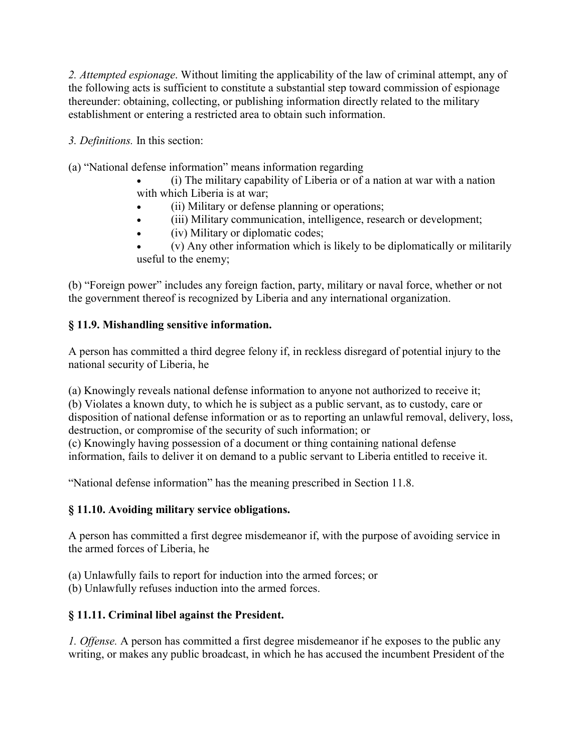*2. Attempted espionage*. Without limiting the applicability of the law of criminal attempt, any of the following acts is sufficient to constitute a substantial step toward commission of espionage thereunder: obtaining, collecting, or publishing information directly related to the military establishment or entering a restricted area to obtain such information.

#### *3. Definitions.* In this section:

(a) "National defense information" means information regarding

- · (i) The military capability of Liberia or of a nation at war with a nation with which Liberia is at war;
- (ii) Military or defense planning or operations;
- · (iii) Military communication, intelligence, research or development;
- · (iv) Military or diplomatic codes;
- · (v) Any other information which is likely to be diplomatically or militarily useful to the enemy;

(b) "Foreign power" includes any foreign faction, party, military or naval force, whether or not the government thereof is recognized by Liberia and any international organization.

### **§ 11.9. Mishandling sensitive information.**

A person has committed a third degree felony if, in reckless disregard of potential injury to the national security of Liberia, he

(a) Knowingly reveals national defense information to anyone not authorized to receive it;

(b) Violates a known duty, to which he is subject as a public servant, as to custody, care or disposition of national defense information or as to reporting an unlawful removal, delivery, loss, destruction, or compromise of the security of such information; or

(c) Knowingly having possession of a document or thing containing national defense information, fails to deliver it on demand to a public servant to Liberia entitled to receive it.

"National defense information" has the meaning prescribed in Section 11.8.

# **§ 11.10. Avoiding military service obligations.**

A person has committed a first degree misdemeanor if, with the purpose of avoiding service in the armed forces of Liberia, he

(a) Unlawfully fails to report for induction into the armed forces; or

(b) Unlawfully refuses induction into the armed forces.

# **§ 11.11. Criminal libel against the President.**

*1. Offense.* A person has committed a first degree misdemeanor if he exposes to the public any writing, or makes any public broadcast, in which he has accused the incumbent President of the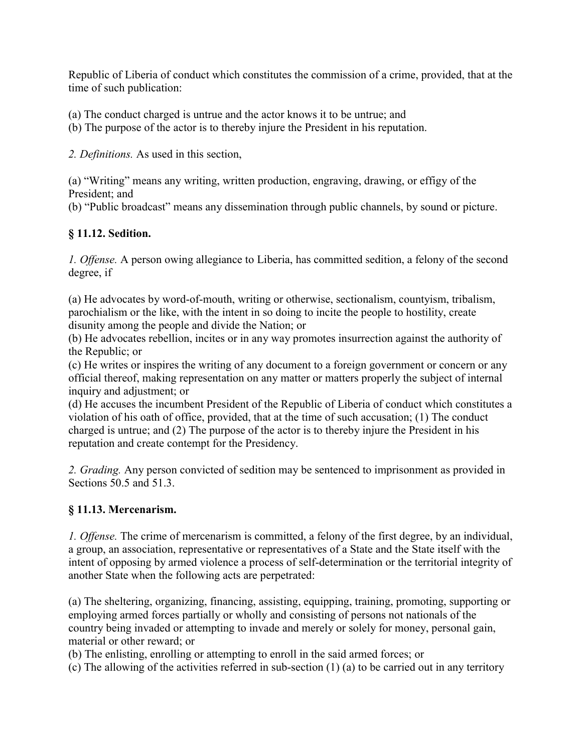Republic of Liberia of conduct which constitutes the commission of a crime, provided, that at the time of such publication:

(a) The conduct charged is untrue and the actor knows it to be untrue; and

(b) The purpose of the actor is to thereby injure the President in his reputation.

*2. Definitions.* As used in this section,

(a) "Writing" means any writing, written production, engraving, drawing, or effigy of the President; and

(b) "Public broadcast" means any dissemination through public channels, by sound or picture.

# **§ 11.12. Sedition.**

*1. Offense.* A person owing allegiance to Liberia, has committed sedition, a felony of the second degree, if

(a) He advocates by word-of-mouth, writing or otherwise, sectionalism, countyism, tribalism, parochialism or the like, with the intent in so doing to incite the people to hostility, create disunity among the people and divide the Nation; or

(b) He advocates rebellion, incites or in any way promotes insurrection against the authority of the Republic; or

(c) He writes or inspires the writing of any document to a foreign government or concern or any official thereof, making representation on any matter or matters properly the subject of internal inquiry and adjustment; or

(d) He accuses the incumbent President of the Republic of Liberia of conduct which constitutes a violation of his oath of office, provided, that at the time of such accusation; (1) The conduct charged is untrue; and (2) The purpose of the actor is to thereby injure the President in his reputation and create contempt for the Presidency.

*2. Grading.* Any person convicted of sedition may be sentenced to imprisonment as provided in Sections 50.5 and 51.3.

# **§ 11.13. Mercenarism.**

*1. Offense.* The crime of mercenarism is committed, a felony of the first degree, by an individual, a group, an association, representative or representatives of a State and the State itself with the intent of opposing by armed violence a process of self-determination or the territorial integrity of another State when the following acts are perpetrated:

(a) The sheltering, organizing, financing, assisting, equipping, training, promoting, supporting or employing armed forces partially or wholly and consisting of persons not nationals of the country being invaded or attempting to invade and merely or solely for money, personal gain, material or other reward; or

(b) The enlisting, enrolling or attempting to enroll in the said armed forces; or

(c) The allowing of the activities referred in sub-section (1) (a) to be carried out in any territory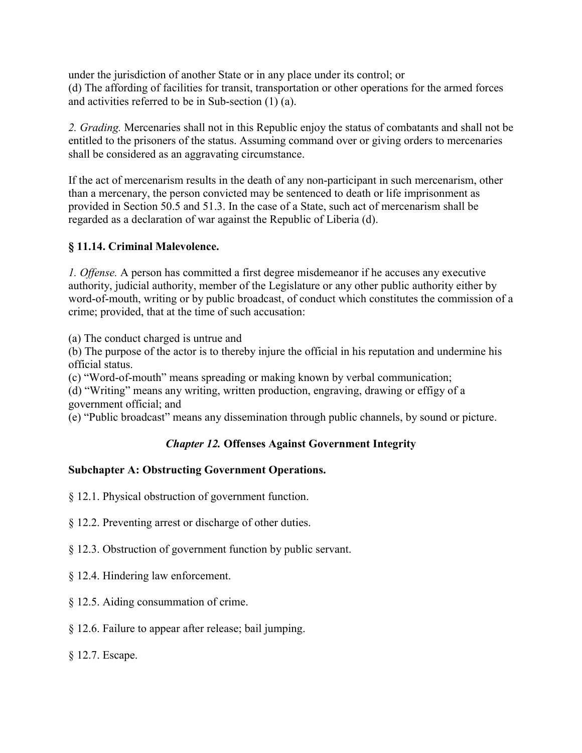under the jurisdiction of another State or in any place under its control; or (d) The affording of facilities for transit, transportation or other operations for the armed forces and activities referred to be in Sub-section (1) (a).

*2. Grading.* Mercenaries shall not in this Republic enjoy the status of combatants and shall not be entitled to the prisoners of the status. Assuming command over or giving orders to mercenaries shall be considered as an aggravating circumstance.

If the act of mercenarism results in the death of any non-participant in such mercenarism, other than a mercenary, the person convicted may be sentenced to death or life imprisonment as provided in Section 50.5 and 51.3. In the case of a State, such act of mercenarism shall be regarded as a declaration of war against the Republic of Liberia (d).

### **§ 11.14. Criminal Malevolence.**

*1. Offense.* A person has committed a first degree misdemeanor if he accuses any executive authority, judicial authority, member of the Legislature or any other public authority either by word-of-mouth, writing or by public broadcast, of conduct which constitutes the commission of a crime; provided, that at the time of such accusation:

(a) The conduct charged is untrue and

(b) The purpose of the actor is to thereby injure the official in his reputation and undermine his official status.

(c) "Word-of-mouth" means spreading or making known by verbal communication;

(d) "Writing" means any writing, written production, engraving, drawing or effigy of a government official; and

(e) "Public broadcast" means any dissemination through public channels, by sound or picture.

# *Chapter 12.* **Offenses Against Government Integrity**

#### **Subchapter A: Obstructing Government Operations.**

§ 12.1. Physical obstruction of government function.

- § 12.2. Preventing arrest or discharge of other duties.
- § 12.3. Obstruction of government function by public servant.
- § 12.4. Hindering law enforcement.
- § 12.5. Aiding consummation of crime.
- § 12.6. Failure to appear after release; bail jumping.
- § 12.7. Escape.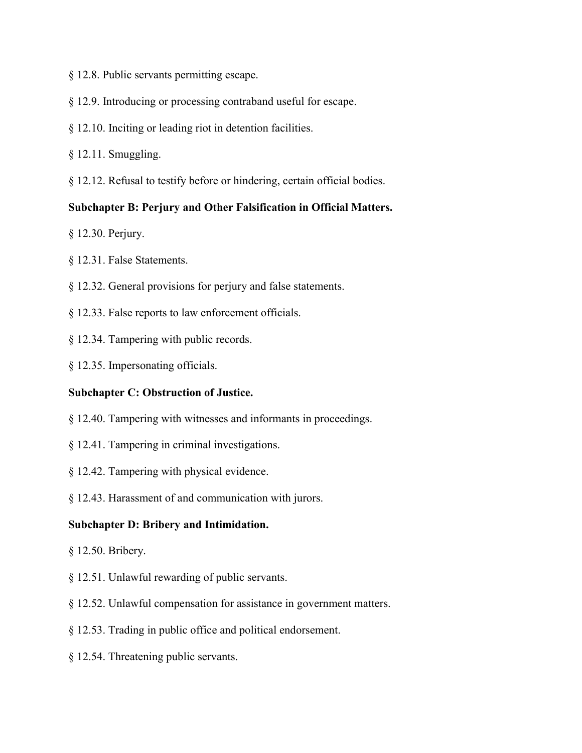- § 12.8. Public servants permitting escape.
- § 12.9. Introducing or processing contraband useful for escape.
- § 12.10. Inciting or leading riot in detention facilities.
- § 12.11. Smuggling.
- § 12.12. Refusal to testify before or hindering, certain official bodies.

#### **Subchapter B: Perjury and Other Falsification in Official Matters.**

- § 12.30. Perjury.
- § 12.31. False Statements.
- § 12.32. General provisions for perjury and false statements.
- § 12.33. False reports to law enforcement officials.
- § 12.34. Tampering with public records.
- § 12.35. Impersonating officials.

#### **Subchapter C: Obstruction of Justice.**

- § 12.40. Tampering with witnesses and informants in proceedings.
- § 12.41. Tampering in criminal investigations.
- § 12.42. Tampering with physical evidence.
- § 12.43. Harassment of and communication with jurors.

#### **Subchapter D: Bribery and Intimidation.**

- § 12.50. Bribery.
- § 12.51. Unlawful rewarding of public servants.
- § 12.52. Unlawful compensation for assistance in government matters.
- § 12.53. Trading in public office and political endorsement.
- § 12.54. Threatening public servants.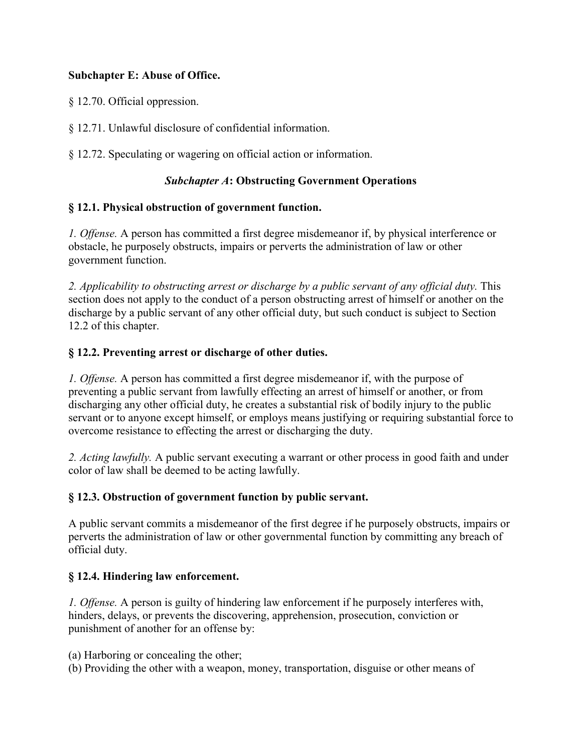#### **Subchapter E: Abuse of Office.**

§ 12.70. Official oppression.

§ 12.71. Unlawful disclosure of confidential information.

§ 12.72. Speculating or wagering on official action or information.

#### *Subchapter A***: Obstructing Government Operations**

#### **§ 12.1. Physical obstruction of government function.**

*1. Offense.* A person has committed a first degree misdemeanor if, by physical interference or obstacle, he purposely obstructs, impairs or perverts the administration of law or other government function.

*2. Applicability to obstructing arrest or discharge by a public servant of any official duty.* This section does not apply to the conduct of a person obstructing arrest of himself or another on the discharge by a public servant of any other official duty, but such conduct is subject to Section 12.2 of this chapter.

#### **§ 12.2. Preventing arrest or discharge of other duties.**

*1. Offense.* A person has committed a first degree misdemeanor if, with the purpose of preventing a public servant from lawfully effecting an arrest of himself or another, or from discharging any other official duty, he creates a substantial risk of bodily injury to the public servant or to anyone except himself, or employs means justifying or requiring substantial force to overcome resistance to effecting the arrest or discharging the duty.

*2. Acting lawfully.* A public servant executing a warrant or other process in good faith and under color of law shall be deemed to be acting lawfully.

#### **§ 12.3. Obstruction of government function by public servant.**

A public servant commits a misdemeanor of the first degree if he purposely obstructs, impairs or perverts the administration of law or other governmental function by committing any breach of official duty.

#### **§ 12.4. Hindering law enforcement.**

*1. Offense.* A person is guilty of hindering law enforcement if he purposely interferes with, hinders, delays, or prevents the discovering, apprehension, prosecution, conviction or punishment of another for an offense by:

(a) Harboring or concealing the other;

(b) Providing the other with a weapon, money, transportation, disguise or other means of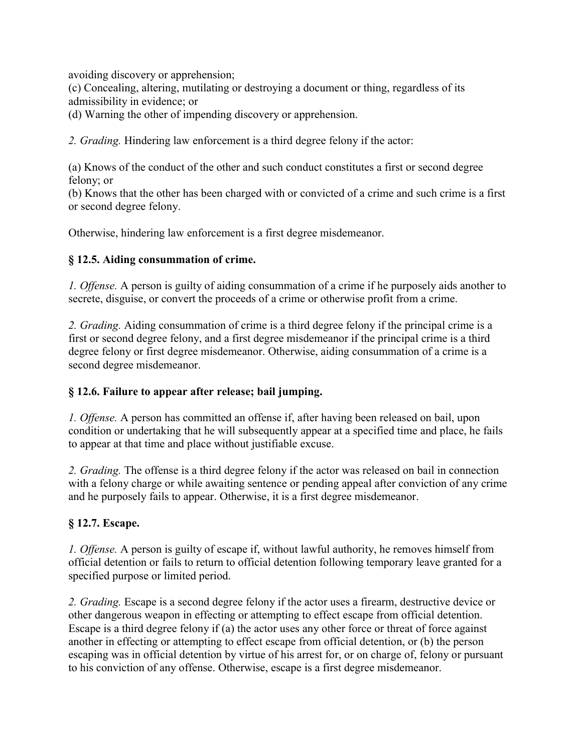avoiding discovery or apprehension;

(c) Concealing, altering, mutilating or destroying a document or thing, regardless of its admissibility in evidence; or

(d) Warning the other of impending discovery or apprehension.

*2. Grading.* Hindering law enforcement is a third degree felony if the actor:

(a) Knows of the conduct of the other and such conduct constitutes a first or second degree felony; or

(b) Knows that the other has been charged with or convicted of a crime and such crime is a first or second degree felony.

Otherwise, hindering law enforcement is a first degree misdemeanor.

#### **§ 12.5. Aiding consummation of crime.**

*1. Offense.* A person is guilty of aiding consummation of a crime if he purposely aids another to secrete, disguise, or convert the proceeds of a crime or otherwise profit from a crime.

*2. Grading.* Aiding consummation of crime is a third degree felony if the principal crime is a first or second degree felony, and a first degree misdemeanor if the principal crime is a third degree felony or first degree misdemeanor. Otherwise, aiding consummation of a crime is a second degree misdemeanor.

#### **§ 12.6. Failure to appear after release; bail jumping.**

*1. Offense.* A person has committed an offense if, after having been released on bail, upon condition or undertaking that he will subsequently appear at a specified time and place, he fails to appear at that time and place without justifiable excuse.

*2. Grading.* The offense is a third degree felony if the actor was released on bail in connection with a felony charge or while awaiting sentence or pending appeal after conviction of any crime and he purposely fails to appear. Otherwise, it is a first degree misdemeanor.

#### **§ 12.7. Escape.**

*1. Offense.* A person is guilty of escape if, without lawful authority, he removes himself from official detention or fails to return to official detention following temporary leave granted for a specified purpose or limited period.

*2. Grading.* Escape is a second degree felony if the actor uses a firearm, destructive device or other dangerous weapon in effecting or attempting to effect escape from official detention. Escape is a third degree felony if (a) the actor uses any other force or threat of force against another in effecting or attempting to effect escape from official detention, or (b) the person escaping was in official detention by virtue of his arrest for, or on charge of, felony or pursuant to his conviction of any offense. Otherwise, escape is a first degree misdemeanor.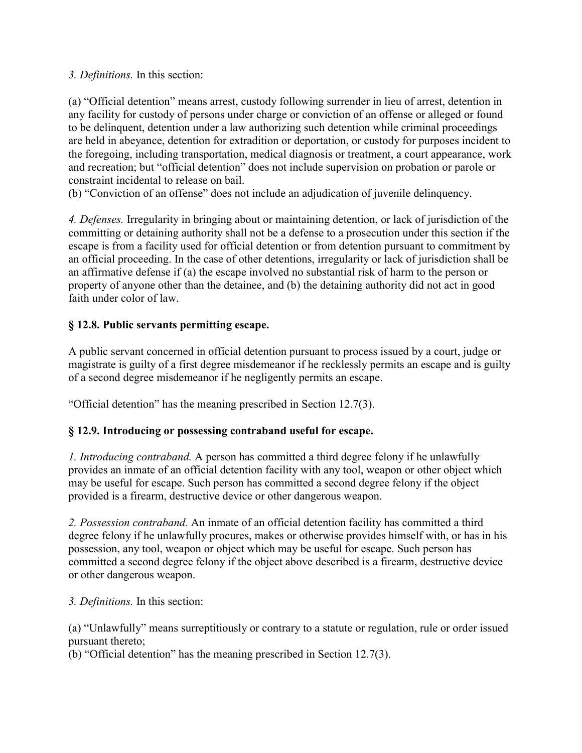*3. Definitions.* In this section:

(a) "Official detention" means arrest, custody following surrender in lieu of arrest, detention in any facility for custody of persons under charge or conviction of an offense or alleged or found to be delinquent, detention under a law authorizing such detention while criminal proceedings are held in abeyance, detention for extradition or deportation, or custody for purposes incident to the foregoing, including transportation, medical diagnosis or treatment, a court appearance, work and recreation; but "official detention" does not include supervision on probation or parole or constraint incidental to release on bail.

(b) "Conviction of an offense" does not include an adjudication of juvenile delinquency.

*4. Defenses.* Irregularity in bringing about or maintaining detention, or lack of jurisdiction of the committing or detaining authority shall not be a defense to a prosecution under this section if the escape is from a facility used for official detention or from detention pursuant to commitment by an official proceeding. In the case of other detentions, irregularity or lack of jurisdiction shall be an affirmative defense if (a) the escape involved no substantial risk of harm to the person or property of anyone other than the detainee, and (b) the detaining authority did not act in good faith under color of law.

#### **§ 12.8. Public servants permitting escape.**

A public servant concerned in official detention pursuant to process issued by a court, judge or magistrate is guilty of a first degree misdemeanor if he recklessly permits an escape and is guilty of a second degree misdemeanor if he negligently permits an escape.

"Official detention" has the meaning prescribed in Section 12.7(3).

#### **§ 12.9. Introducing or possessing contraband useful for escape.**

*1. Introducing contraband.* A person has committed a third degree felony if he unlawfully provides an inmate of an official detention facility with any tool, weapon or other object which may be useful for escape. Such person has committed a second degree felony if the object provided is a firearm, destructive device or other dangerous weapon.

*2. Possession contraband.* An inmate of an official detention facility has committed a third degree felony if he unlawfully procures, makes or otherwise provides himself with, or has in his possession, any tool, weapon or object which may be useful for escape. Such person has committed a second degree felony if the object above described is a firearm, destructive device or other dangerous weapon.

*3. Definitions.* In this section:

(a) "Unlawfully" means surreptitiously or contrary to a statute or regulation, rule or order issued pursuant thereto;

(b) "Official detention" has the meaning prescribed in Section 12.7(3).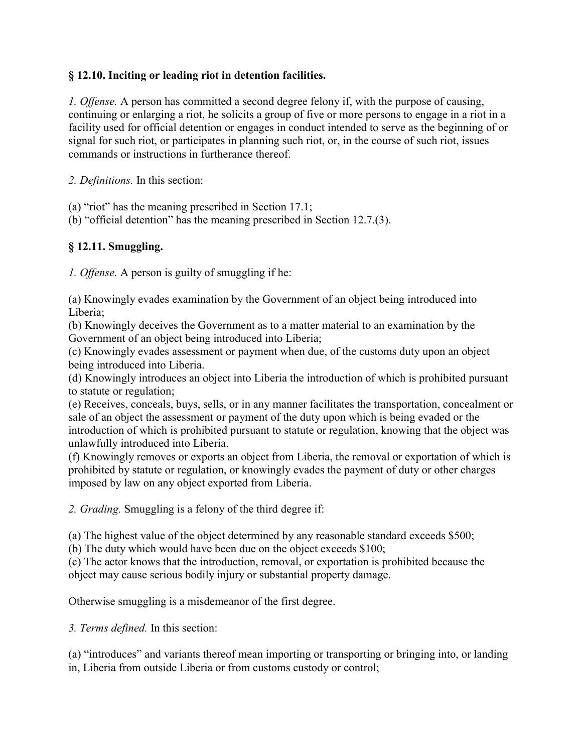#### **§ 12.10. Inciting or leading riot in detention facilities.**

*1. Offense.* A person has committed a second degree felony if, with the purpose of causing, continuing or enlarging a riot, he solicits a group of five or more persons to engage in a riot in a facility used for official detention or engages in conduct intended to serve as the beginning of or signal for such riot, or participates in planning such riot, or, in the course of such riot, issues commands or instructions in furtherance thereof.

*2. Definitions.* In this section:

(a) "riot" has the meaning prescribed in Section 17.1;

(b) "official detention" has the meaning prescribed in Section 12.7.(3).

#### **§ 12.11. Smuggling.**

*1. Offense.* A person is guilty of smuggling if he:

(a) Knowingly evades examination by the Government of an object being introduced into Liberia;

(b) Knowingly deceives the Government as to a matter material to an examination by the Government of an object being introduced into Liberia;

(c) Knowingly evades assessment or payment when due, of the customs duty upon an object being introduced into Liberia.

(d) Knowingly introduces an object into Liberia the introduction of which is prohibited pursuant to statute or regulation;

(e) Receives, conceals, buys, sells, or in any manner facilitates the transportation, concealment or sale of an object the assessment or payment of the duty upon which is being evaded or the introduction of which is prohibited pursuant to statute or regulation, knowing that the object was unlawfully introduced into Liberia.

(f) Knowingly removes or exports an object from Liberia, the removal or exportation of which is prohibited by statute or regulation, or knowingly evades the payment of duty or other charges imposed by law on any object exported from Liberia.

*2. Grading.* Smuggling is a felony of the third degree if:

(a) The highest value of the object determined by any reasonable standard exceeds \$500;

(b) The duty which would have been due on the object exceeds \$100;

(c) The actor knows that the introduction, removal, or exportation is prohibited because the object may cause serious bodily injury or substantial property damage.

Otherwise smuggling is a misdemeanor of the first degree.

*3. Terms defined.* In this section:

(a) "introduces" and variants thereof mean importing or transporting or bringing into, or landing in, Liberia from outside Liberia or from customs custody or control;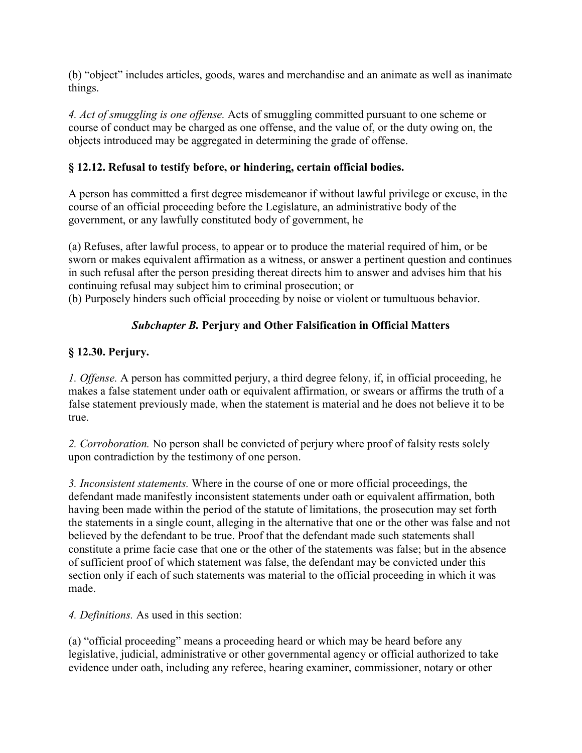(b) "object" includes articles, goods, wares and merchandise and an animate as well as inanimate things.

*4. Act of smuggling is one offense.* Acts of smuggling committed pursuant to one scheme or course of conduct may be charged as one offense, and the value of, or the duty owing on, the objects introduced may be aggregated in determining the grade of offense.

#### **§ 12.12. Refusal to testify before, or hindering, certain official bodies.**

A person has committed a first degree misdemeanor if without lawful privilege or excuse, in the course of an official proceeding before the Legislature, an administrative body of the government, or any lawfully constituted body of government, he

(a) Refuses, after lawful process, to appear or to produce the material required of him, or be sworn or makes equivalent affirmation as a witness, or answer a pertinent question and continues in such refusal after the person presiding thereat directs him to answer and advises him that his continuing refusal may subject him to criminal prosecution; or (b) Purposely hinders such official proceeding by noise or violent or tumultuous behavior.

# *Subchapter B.* **Perjury and Other Falsification in Official Matters**

### **§ 12.30. Perjury.**

*1. Offense.* A person has committed perjury, a third degree felony, if, in official proceeding, he makes a false statement under oath or equivalent affirmation, or swears or affirms the truth of a false statement previously made, when the statement is material and he does not believe it to be true.

*2. Corroboration.* No person shall be convicted of perjury where proof of falsity rests solely upon contradiction by the testimony of one person.

*3. Inconsistent statements.* Where in the course of one or more official proceedings, the defendant made manifestly inconsistent statements under oath or equivalent affirmation, both having been made within the period of the statute of limitations, the prosecution may set forth the statements in a single count, alleging in the alternative that one or the other was false and not believed by the defendant to be true. Proof that the defendant made such statements shall constitute a prime facie case that one or the other of the statements was false; but in the absence of sufficient proof of which statement was false, the defendant may be convicted under this section only if each of such statements was material to the official proceeding in which it was made.

*4. Definitions.* As used in this section:

(a) "official proceeding" means a proceeding heard or which may be heard before any legislative, judicial, administrative or other governmental agency or official authorized to take evidence under oath, including any referee, hearing examiner, commissioner, notary or other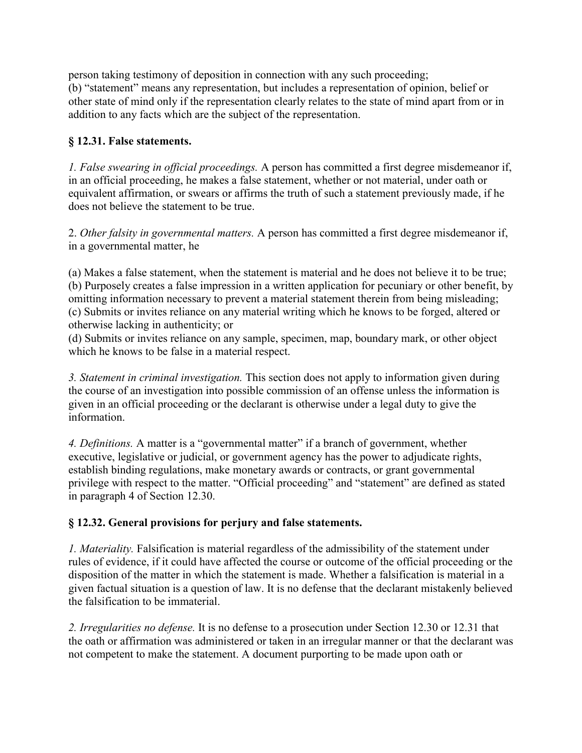person taking testimony of deposition in connection with any such proceeding; (b) "statement" means any representation, but includes a representation of opinion, belief or other state of mind only if the representation clearly relates to the state of mind apart from or in addition to any facts which are the subject of the representation.

### **§ 12.31. False statements.**

*1. False swearing in official proceedings.* A person has committed a first degree misdemeanor if, in an official proceeding, he makes a false statement, whether or not material, under oath or equivalent affirmation, or swears or affirms the truth of such a statement previously made, if he does not believe the statement to be true.

2. *Other falsity in governmental matters.* A person has committed a first degree misdemeanor if, in a governmental matter, he

(a) Makes a false statement, when the statement is material and he does not believe it to be true; (b) Purposely creates a false impression in a written application for pecuniary or other benefit, by omitting information necessary to prevent a material statement therein from being misleading; (c) Submits or invites reliance on any material writing which he knows to be forged, altered or otherwise lacking in authenticity; or

(d) Submits or invites reliance on any sample, specimen, map, boundary mark, or other object which he knows to be false in a material respect.

*3. Statement in criminal investigation.* This section does not apply to information given during the course of an investigation into possible commission of an offense unless the information is given in an official proceeding or the declarant is otherwise under a legal duty to give the information.

*4. Definitions.* A matter is a "governmental matter" if a branch of government, whether executive, legislative or judicial, or government agency has the power to adjudicate rights, establish binding regulations, make monetary awards or contracts, or grant governmental privilege with respect to the matter. "Official proceeding" and "statement" are defined as stated in paragraph 4 of Section 12.30.

#### **§ 12.32. General provisions for perjury and false statements.**

*1. Materiality.* Falsification is material regardless of the admissibility of the statement under rules of evidence, if it could have affected the course or outcome of the official proceeding or the disposition of the matter in which the statement is made. Whether a falsification is material in a given factual situation is a question of law. It is no defense that the declarant mistakenly believed the falsification to be immaterial.

*2. Irregularities no defense.* It is no defense to a prosecution under Section 12.30 or 12.31 that the oath or affirmation was administered or taken in an irregular manner or that the declarant was not competent to make the statement. A document purporting to be made upon oath or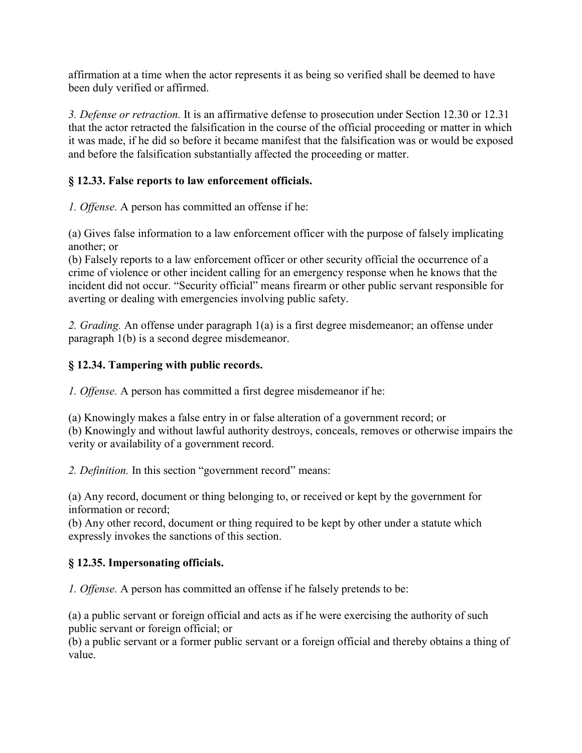affirmation at a time when the actor represents it as being so verified shall be deemed to have been duly verified or affirmed.

*3. Defense or retraction.* It is an affirmative defense to prosecution under Section 12.30 or 12.31 that the actor retracted the falsification in the course of the official proceeding or matter in which it was made, if he did so before it became manifest that the falsification was or would be exposed and before the falsification substantially affected the proceeding or matter.

# **§ 12.33. False reports to law enforcement officials.**

*1. Offense.* A person has committed an offense if he:

(a) Gives false information to a law enforcement officer with the purpose of falsely implicating another; or

(b) Falsely reports to a law enforcement officer or other security official the occurrence of a crime of violence or other incident calling for an emergency response when he knows that the incident did not occur. "Security official" means firearm or other public servant responsible for averting or dealing with emergencies involving public safety.

*2. Grading.* An offense under paragraph 1(a) is a first degree misdemeanor; an offense under paragraph 1(b) is a second degree misdemeanor.

### **§ 12.34. Tampering with public records.**

*1. Offense.* A person has committed a first degree misdemeanor if he:

(a) Knowingly makes a false entry in or false alteration of a government record; or (b) Knowingly and without lawful authority destroys, conceals, removes or otherwise impairs the verity or availability of a government record.

*2. Definition.* In this section "government record" means:

(a) Any record, document or thing belonging to, or received or kept by the government for information or record;

(b) Any other record, document or thing required to be kept by other under a statute which expressly invokes the sanctions of this section.

# **§ 12.35. Impersonating officials.**

*1. Offense.* A person has committed an offense if he falsely pretends to be:

(a) a public servant or foreign official and acts as if he were exercising the authority of such public servant or foreign official; or

(b) a public servant or a former public servant or a foreign official and thereby obtains a thing of value.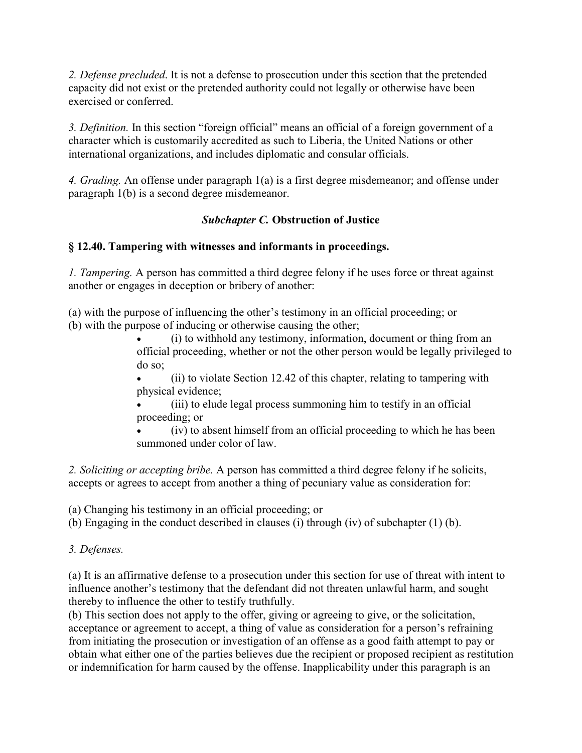*2. Defense precluded*. It is not a defense to prosecution under this section that the pretended capacity did not exist or the pretended authority could not legally or otherwise have been exercised or conferred.

*3. Definition.* In this section "foreign official" means an official of a foreign government of a character which is customarily accredited as such to Liberia, the United Nations or other international organizations, and includes diplomatic and consular officials.

*4. Grading.* An offense under paragraph 1(a) is a first degree misdemeanor; and offense under paragraph 1(b) is a second degree misdemeanor.

## *Subchapter C.* **Obstruction of Justice**

### **§ 12.40. Tampering with witnesses and informants in proceedings.**

*1. Tampering.* A person has committed a third degree felony if he uses force or threat against another or engages in deception or bribery of another:

(a) with the purpose of influencing the other's testimony in an official proceeding; or

(b) with the purpose of inducing or otherwise causing the other;

· (i) to withhold any testimony, information, document or thing from an official proceeding, whether or not the other person would be legally privileged to do so;

· (ii) to violate Section 12.42 of this chapter, relating to tampering with physical evidence;

· (iii) to elude legal process summoning him to testify in an official proceeding; or

· (iv) to absent himself from an official proceeding to which he has been summoned under color of law.

*2. Soliciting or accepting bribe.* A person has committed a third degree felony if he solicits, accepts or agrees to accept from another a thing of pecuniary value as consideration for:

(a) Changing his testimony in an official proceeding; or

(b) Engaging in the conduct described in clauses (i) through (iv) of subchapter (1) (b).

*3. Defenses.*

(a) It is an affirmative defense to a prosecution under this section for use of threat with intent to influence another's testimony that the defendant did not threaten unlawful harm, and sought thereby to influence the other to testify truthfully.

(b) This section does not apply to the offer, giving or agreeing to give, or the solicitation, acceptance or agreement to accept, a thing of value as consideration for a person's refraining from initiating the prosecution or investigation of an offense as a good faith attempt to pay or obtain what either one of the parties believes due the recipient or proposed recipient as restitution or indemnification for harm caused by the offense. Inapplicability under this paragraph is an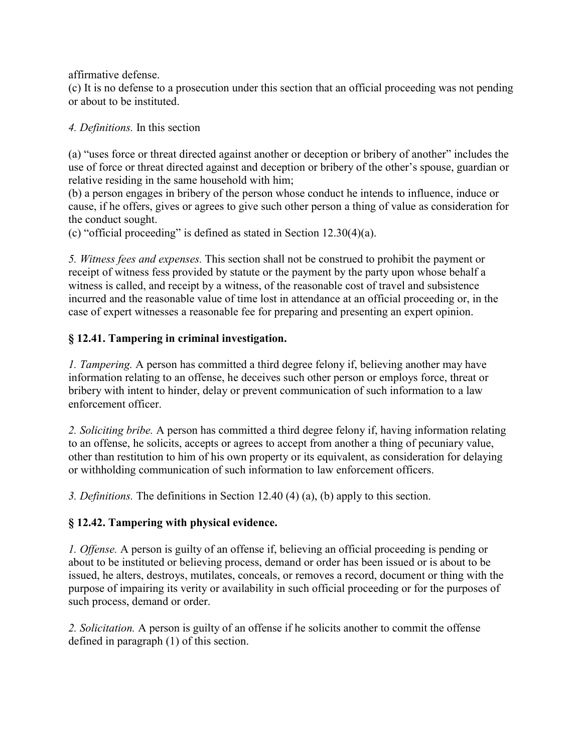affirmative defense.

(c) It is no defense to a prosecution under this section that an official proceeding was not pending or about to be instituted.

*4. Definitions.* In this section

(a) "uses force or threat directed against another or deception or bribery of another" includes the use of force or threat directed against and deception or bribery of the other's spouse, guardian or relative residing in the same household with him;

(b) a person engages in bribery of the person whose conduct he intends to influence, induce or cause, if he offers, gives or agrees to give such other person a thing of value as consideration for the conduct sought.

(c) "official proceeding" is defined as stated in Section 12.30(4)(a).

*5. Witness fees and expenses.* This section shall not be construed to prohibit the payment or receipt of witness fess provided by statute or the payment by the party upon whose behalf a witness is called, and receipt by a witness, of the reasonable cost of travel and subsistence incurred and the reasonable value of time lost in attendance at an official proceeding or, in the case of expert witnesses a reasonable fee for preparing and presenting an expert opinion.

## **§ 12.41. Tampering in criminal investigation.**

*1. Tampering.* A person has committed a third degree felony if, believing another may have information relating to an offense, he deceives such other person or employs force, threat or bribery with intent to hinder, delay or prevent communication of such information to a law enforcement officer.

*2. Soliciting bribe.* A person has committed a third degree felony if, having information relating to an offense, he solicits, accepts or agrees to accept from another a thing of pecuniary value, other than restitution to him of his own property or its equivalent, as consideration for delaying or withholding communication of such information to law enforcement officers.

*3. Definitions.* The definitions in Section 12.40 (4) (a), (b) apply to this section.

## **§ 12.42. Tampering with physical evidence.**

*1. Offense.* A person is guilty of an offense if, believing an official proceeding is pending or about to be instituted or believing process, demand or order has been issued or is about to be issued, he alters, destroys, mutilates, conceals, or removes a record, document or thing with the purpose of impairing its verity or availability in such official proceeding or for the purposes of such process, demand or order.

*2. Solicitation.* A person is guilty of an offense if he solicits another to commit the offense defined in paragraph (1) of this section.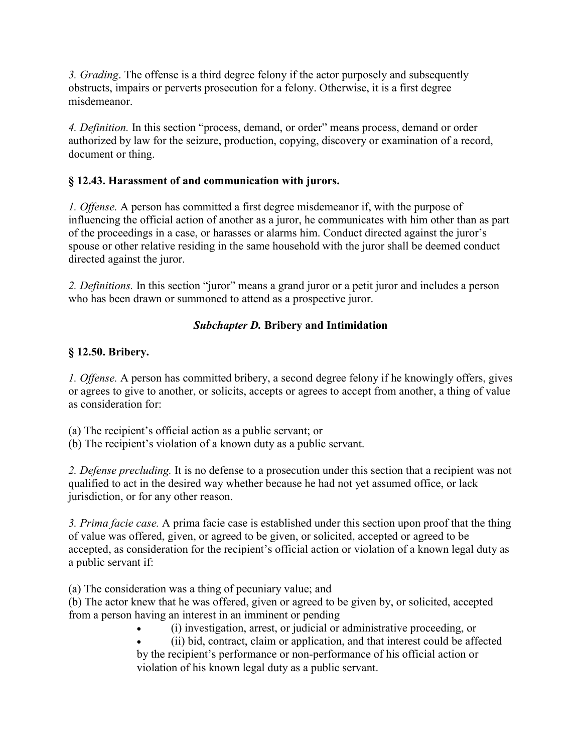*3. Grading*. The offense is a third degree felony if the actor purposely and subsequently obstructs, impairs or perverts prosecution for a felony. Otherwise, it is a first degree misdemeanor.

*4. Definition.* In this section "process, demand, or order" means process, demand or order authorized by law for the seizure, production, copying, discovery or examination of a record, document or thing.

## **§ 12.43. Harassment of and communication with jurors.**

*1. Offense.* A person has committed a first degree misdemeanor if, with the purpose of influencing the official action of another as a juror, he communicates with him other than as part of the proceedings in a case, or harasses or alarms him. Conduct directed against the juror's spouse or other relative residing in the same household with the juror shall be deemed conduct directed against the juror.

*2. Definitions.* In this section "juror" means a grand juror or a petit juror and includes a person who has been drawn or summoned to attend as a prospective juror.

### *Subchapter D.* **Bribery and Intimidation**

### **§ 12.50. Bribery.**

*1. Offense.* A person has committed bribery, a second degree felony if he knowingly offers, gives or agrees to give to another, or solicits, accepts or agrees to accept from another, a thing of value as consideration for:

(a) The recipient's official action as a public servant; or

(b) The recipient's violation of a known duty as a public servant.

*2. Defense precluding.* It is no defense to a prosecution under this section that a recipient was not qualified to act in the desired way whether because he had not yet assumed office, or lack jurisdiction, or for any other reason.

*3. Prima facie case.* A prima facie case is established under this section upon proof that the thing of value was offered, given, or agreed to be given, or solicited, accepted or agreed to be accepted, as consideration for the recipient's official action or violation of a known legal duty as a public servant if:

(a) The consideration was a thing of pecuniary value; and

(b) The actor knew that he was offered, given or agreed to be given by, or solicited, accepted from a person having an interest in an imminent or pending

- · (i) investigation, arrest, or judicial or administrative proceeding, or
- · (ii) bid, contract, claim or application, and that interest could be affected by the recipient's performance or non-performance of his official action or violation of his known legal duty as a public servant.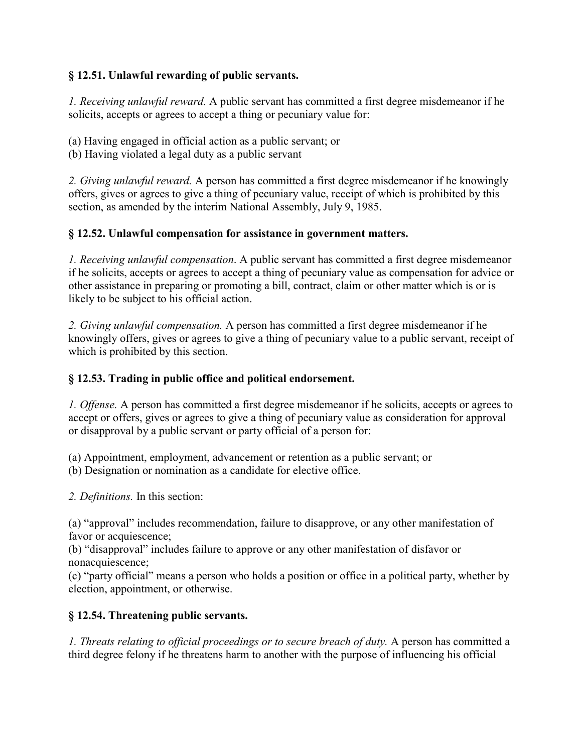## **§ 12.51. Unlawful rewarding of public servants.**

*1. Receiving unlawful reward.* A public servant has committed a first degree misdemeanor if he solicits, accepts or agrees to accept a thing or pecuniary value for:

- (a) Having engaged in official action as a public servant; or
- (b) Having violated a legal duty as a public servant

*2. Giving unlawful reward.* A person has committed a first degree misdemeanor if he knowingly offers, gives or agrees to give a thing of pecuniary value, receipt of which is prohibited by this section, as amended by the interim National Assembly, July 9, 1985.

## **§ 12.52. Unlawful compensation for assistance in government matters.**

*1. Receiving unlawful compensation*. A public servant has committed a first degree misdemeanor if he solicits, accepts or agrees to accept a thing of pecuniary value as compensation for advice or other assistance in preparing or promoting a bill, contract, claim or other matter which is or is likely to be subject to his official action.

*2. Giving unlawful compensation.* A person has committed a first degree misdemeanor if he knowingly offers, gives or agrees to give a thing of pecuniary value to a public servant, receipt of which is prohibited by this section.

## **§ 12.53. Trading in public office and political endorsement.**

*1. Offense.* A person has committed a first degree misdemeanor if he solicits, accepts or agrees to accept or offers, gives or agrees to give a thing of pecuniary value as consideration for approval or disapproval by a public servant or party official of a person for:

(a) Appointment, employment, advancement or retention as a public servant; or

(b) Designation or nomination as a candidate for elective office.

*2. Definitions.* In this section:

(a) "approval" includes recommendation, failure to disapprove, or any other manifestation of favor or acquiescence;

(b) "disapproval" includes failure to approve or any other manifestation of disfavor or nonacquiescence;

(c) "party official" means a person who holds a position or office in a political party, whether by election, appointment, or otherwise.

# **§ 12.54. Threatening public servants.**

*1. Threats relating to official proceedings or to secure breach of duty.* A person has committed a third degree felony if he threatens harm to another with the purpose of influencing his official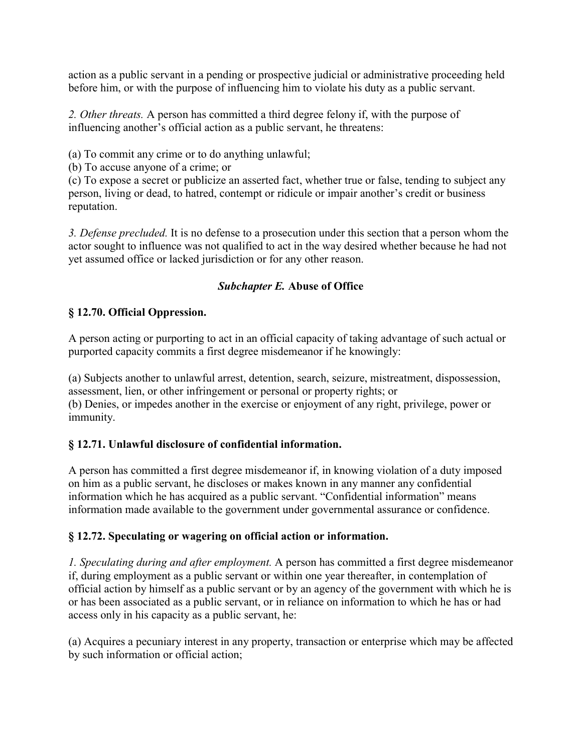action as a public servant in a pending or prospective judicial or administrative proceeding held before him, or with the purpose of influencing him to violate his duty as a public servant.

*2. Other threats.* A person has committed a third degree felony if, with the purpose of influencing another's official action as a public servant, he threatens:

(a) To commit any crime or to do anything unlawful;

(b) To accuse anyone of a crime; or

(c) To expose a secret or publicize an asserted fact, whether true or false, tending to subject any person, living or dead, to hatred, contempt or ridicule or impair another's credit or business reputation.

*3. Defense precluded.* It is no defense to a prosecution under this section that a person whom the actor sought to influence was not qualified to act in the way desired whether because he had not yet assumed office or lacked jurisdiction or for any other reason.

# *Subchapter E.* **Abuse of Office**

# **§ 12.70. Official Oppression.**

A person acting or purporting to act in an official capacity of taking advantage of such actual or purported capacity commits a first degree misdemeanor if he knowingly:

(a) Subjects another to unlawful arrest, detention, search, seizure, mistreatment, dispossession, assessment, lien, or other infringement or personal or property rights; or (b) Denies, or impedes another in the exercise or enjoyment of any right, privilege, power or immunity.

# **§ 12.71. Unlawful disclosure of confidential information.**

A person has committed a first degree misdemeanor if, in knowing violation of a duty imposed on him as a public servant, he discloses or makes known in any manner any confidential information which he has acquired as a public servant. "Confidential information" means information made available to the government under governmental assurance or confidence.

# **§ 12.72. Speculating or wagering on official action or information.**

*1. Speculating during and after employment.* A person has committed a first degree misdemeanor if, during employment as a public servant or within one year thereafter, in contemplation of official action by himself as a public servant or by an agency of the government with which he is or has been associated as a public servant, or in reliance on information to which he has or had access only in his capacity as a public servant, he:

(a) Acquires a pecuniary interest in any property, transaction or enterprise which may be affected by such information or official action;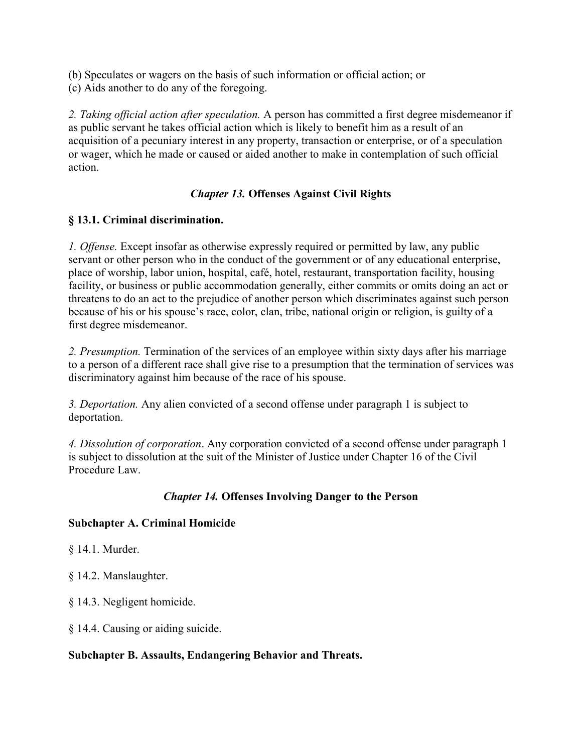(b) Speculates or wagers on the basis of such information or official action; or (c) Aids another to do any of the foregoing.

*2. Taking official action after speculation.* A person has committed a first degree misdemeanor if as public servant he takes official action which is likely to benefit him as a result of an acquisition of a pecuniary interest in any property, transaction or enterprise, or of a speculation or wager, which he made or caused or aided another to make in contemplation of such official action.

## *Chapter 13.* **Offenses Against Civil Rights**

## **§ 13.1. Criminal discrimination.**

*1. Offense.* Except insofar as otherwise expressly required or permitted by law, any public servant or other person who in the conduct of the government or of any educational enterprise, place of worship, labor union, hospital, café, hotel, restaurant, transportation facility, housing facility, or business or public accommodation generally, either commits or omits doing an act or threatens to do an act to the prejudice of another person which discriminates against such person because of his or his spouse's race, color, clan, tribe, national origin or religion, is guilty of a first degree misdemeanor.

*2. Presumption.* Termination of the services of an employee within sixty days after his marriage to a person of a different race shall give rise to a presumption that the termination of services was discriminatory against him because of the race of his spouse.

*3. Deportation.* Any alien convicted of a second offense under paragraph 1 is subject to deportation.

*4. Dissolution of corporation*. Any corporation convicted of a second offense under paragraph 1 is subject to dissolution at the suit of the Minister of Justice under Chapter 16 of the Civil Procedure Law.

# *Chapter 14.* **Offenses Involving Danger to the Person**

# **Subchapter A. Criminal Homicide**

- § 14.1. Murder.
- § 14.2. Manslaughter.
- § 14.3. Negligent homicide.

§ 14.4. Causing or aiding suicide.

## **Subchapter B. Assaults, Endangering Behavior and Threats.**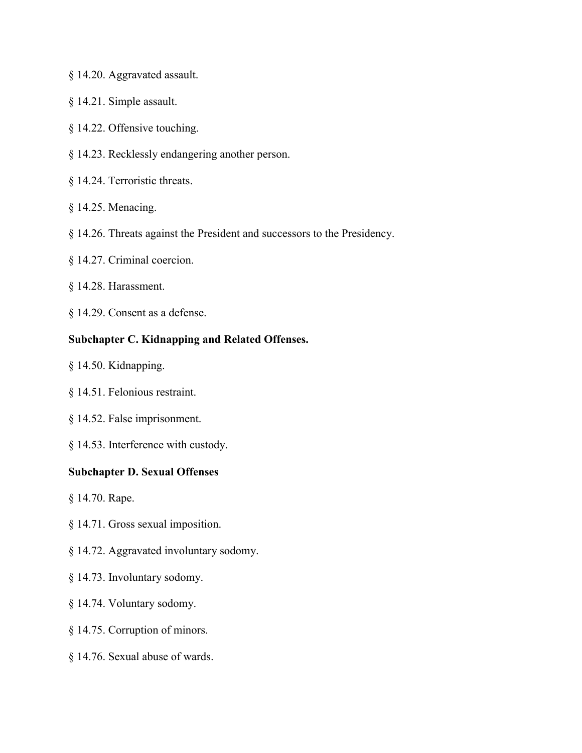- § 14.20. Aggravated assault.
- § 14.21. Simple assault.
- § 14.22. Offensive touching.
- § 14.23. Recklessly endangering another person.
- § 14.24. Terroristic threats.
- § 14.25. Menacing.
- § 14.26. Threats against the President and successors to the Presidency.
- § 14.27. Criminal coercion.
- § 14.28. Harassment.
- § 14.29. Consent as a defense.

#### **Subchapter C. Kidnapping and Related Offenses.**

- § 14.50. Kidnapping.
- § 14.51. Felonious restraint.
- § 14.52. False imprisonment.
- § 14.53. Interference with custody.

#### **Subchapter D. Sexual Offenses**

- § 14.70. Rape.
- § 14.71. Gross sexual imposition.
- § 14.72. Aggravated involuntary sodomy.
- § 14.73. Involuntary sodomy.
- § 14.74. Voluntary sodomy.
- § 14.75. Corruption of minors.
- § 14.76. Sexual abuse of wards.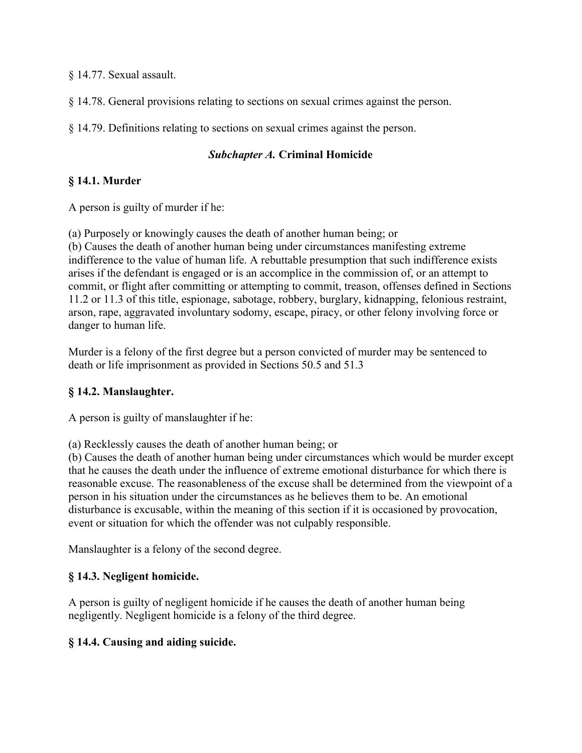§ 14.77. Sexual assault.

§ 14.78. General provisions relating to sections on sexual crimes against the person.

§ 14.79. Definitions relating to sections on sexual crimes against the person.

### *Subchapter A.* **Criminal Homicide**

### **§ 14.1. Murder**

A person is guilty of murder if he:

(a) Purposely or knowingly causes the death of another human being; or

(b) Causes the death of another human being under circumstances manifesting extreme indifference to the value of human life. A rebuttable presumption that such indifference exists arises if the defendant is engaged or is an accomplice in the commission of, or an attempt to commit, or flight after committing or attempting to commit, treason, offenses defined in Sections 11.2 or 11.3 of this title, espionage, sabotage, robbery, burglary, kidnapping, felonious restraint, arson, rape, aggravated involuntary sodomy, escape, piracy, or other felony involving force or danger to human life.

Murder is a felony of the first degree but a person convicted of murder may be sentenced to death or life imprisonment as provided in Sections 50.5 and 51.3

#### **§ 14.2. Manslaughter.**

A person is guilty of manslaughter if he:

(a) Recklessly causes the death of another human being; or

(b) Causes the death of another human being under circumstances which would be murder except that he causes the death under the influence of extreme emotional disturbance for which there is reasonable excuse. The reasonableness of the excuse shall be determined from the viewpoint of a person in his situation under the circumstances as he believes them to be. An emotional disturbance is excusable, within the meaning of this section if it is occasioned by provocation, event or situation for which the offender was not culpably responsible.

Manslaughter is a felony of the second degree.

## **§ 14.3. Negligent homicide.**

A person is guilty of negligent homicide if he causes the death of another human being negligently. Negligent homicide is a felony of the third degree.

#### **§ 14.4. Causing and aiding suicide.**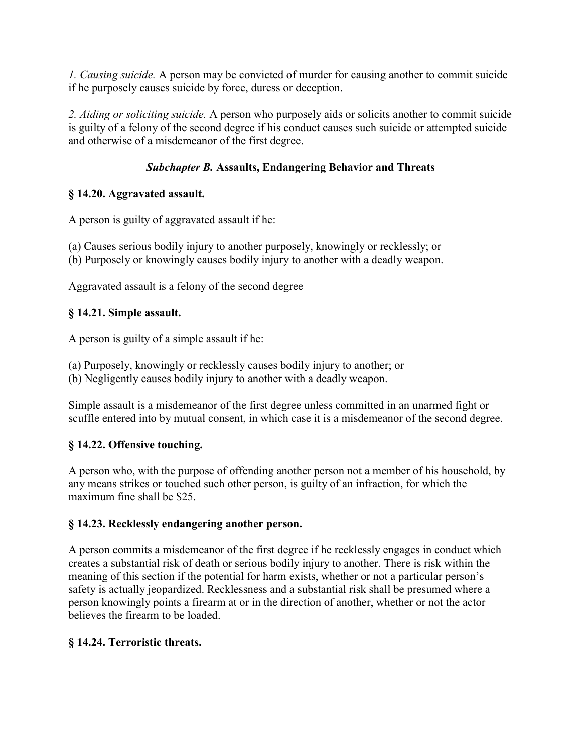*1. Causing suicide.* A person may be convicted of murder for causing another to commit suicide if he purposely causes suicide by force, duress or deception.

*2. Aiding or soliciting suicide.* A person who purposely aids or solicits another to commit suicide is guilty of a felony of the second degree if his conduct causes such suicide or attempted suicide and otherwise of a misdemeanor of the first degree.

# *Subchapter B.* **Assaults, Endangering Behavior and Threats**

# **§ 14.20. Aggravated assault.**

A person is guilty of aggravated assault if he:

- (a) Causes serious bodily injury to another purposely, knowingly or recklessly; or
- (b) Purposely or knowingly causes bodily injury to another with a deadly weapon.

Aggravated assault is a felony of the second degree

# **§ 14.21. Simple assault.**

A person is guilty of a simple assault if he:

- (a) Purposely, knowingly or recklessly causes bodily injury to another; or
- (b) Negligently causes bodily injury to another with a deadly weapon.

Simple assault is a misdemeanor of the first degree unless committed in an unarmed fight or scuffle entered into by mutual consent, in which case it is a misdemeanor of the second degree.

# **§ 14.22. Offensive touching.**

A person who, with the purpose of offending another person not a member of his household, by any means strikes or touched such other person, is guilty of an infraction, for which the maximum fine shall be \$25.

# **§ 14.23. Recklessly endangering another person.**

A person commits a misdemeanor of the first degree if he recklessly engages in conduct which creates a substantial risk of death or serious bodily injury to another. There is risk within the meaning of this section if the potential for harm exists, whether or not a particular person's safety is actually jeopardized. Recklessness and a substantial risk shall be presumed where a person knowingly points a firearm at or in the direction of another, whether or not the actor believes the firearm to be loaded.

# **§ 14.24. Terroristic threats.**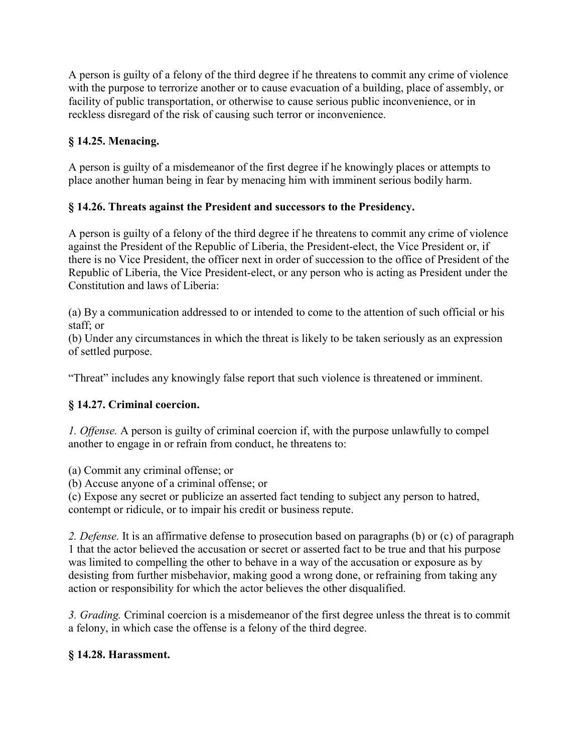A person is guilty of a felony of the third degree if he threatens to commit any crime of violence with the purpose to terrorize another or to cause evacuation of a building, place of assembly, or facility of public transportation, or otherwise to cause serious public inconvenience, or in reckless disregard of the risk of causing such terror or inconvenience.

## **§ 14.25. Menacing.**

A person is guilty of a misdemeanor of the first degree if he knowingly places or attempts to place another human being in fear by menacing him with imminent serious bodily harm.

## **§ 14.26. Threats against the President and successors to the Presidency.**

A person is guilty of a felony of the third degree if he threatens to commit any crime of violence against the President of the Republic of Liberia, the President-elect, the Vice President or, if there is no Vice President, the officer next in order of succession to the office of President of the Republic of Liberia, the Vice President-elect, or any person who is acting as President under the Constitution and laws of Liberia:

(a) By a communication addressed to or intended to come to the attention of such official or his staff; or

(b) Under any circumstances in which the threat is likely to be taken seriously as an expression of settled purpose.

"Threat" includes any knowingly false report that such violence is threatened or imminent.

## **§ 14.27. Criminal coercion.**

*1. Offense.* A person is guilty of criminal coercion if, with the purpose unlawfully to compel another to engage in or refrain from conduct, he threatens to:

(a) Commit any criminal offense; or

(b) Accuse anyone of a criminal offense; or

(c) Expose any secret or publicize an asserted fact tending to subject any person to hatred, contempt or ridicule, or to impair his credit or business repute.

*2. Defense.* It is an affirmative defense to prosecution based on paragraphs (b) or (c) of paragraph 1 that the actor believed the accusation or secret or asserted fact to be true and that his purpose was limited to compelling the other to behave in a way of the accusation or exposure as by desisting from further misbehavior, making good a wrong done, or refraining from taking any action or responsibility for which the actor believes the other disqualified.

*3. Grading.* Criminal coercion is a misdemeanor of the first degree unless the threat is to commit a felony, in which case the offense is a felony of the third degree.

## **§ 14.28. Harassment.**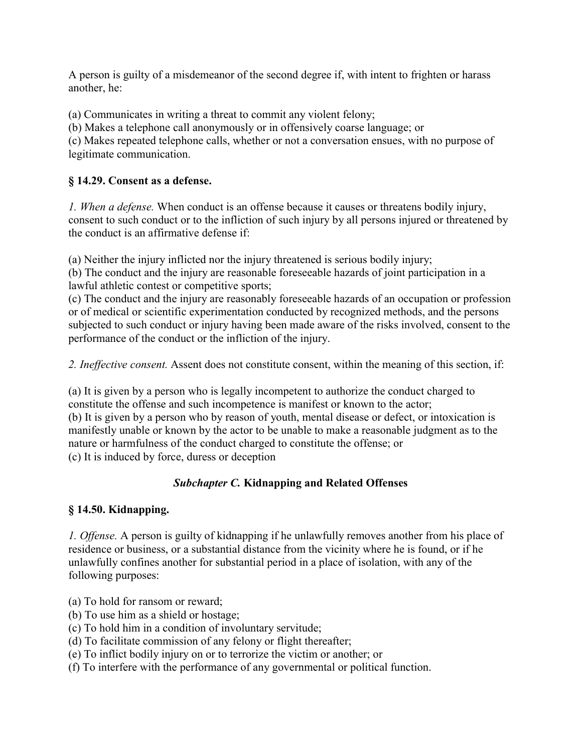A person is guilty of a misdemeanor of the second degree if, with intent to frighten or harass another, he:

(a) Communicates in writing a threat to commit any violent felony;

(b) Makes a telephone call anonymously or in offensively coarse language; or

(c) Makes repeated telephone calls, whether or not a conversation ensues, with no purpose of legitimate communication.

### **§ 14.29. Consent as a defense.**

*1. When a defense.* When conduct is an offense because it causes or threatens bodily injury, consent to such conduct or to the infliction of such injury by all persons injured or threatened by the conduct is an affirmative defense if:

(a) Neither the injury inflicted nor the injury threatened is serious bodily injury;

(b) The conduct and the injury are reasonable foreseeable hazards of joint participation in a lawful athletic contest or competitive sports;

(c) The conduct and the injury are reasonably foreseeable hazards of an occupation or profession or of medical or scientific experimentation conducted by recognized methods, and the persons subjected to such conduct or injury having been made aware of the risks involved, consent to the performance of the conduct or the infliction of the injury.

*2. Ineffective consent.* Assent does not constitute consent, within the meaning of this section, if:

(a) It is given by a person who is legally incompetent to authorize the conduct charged to constitute the offense and such incompetence is manifest or known to the actor; (b) It is given by a person who by reason of youth, mental disease or defect, or intoxication is manifestly unable or known by the actor to be unable to make a reasonable judgment as to the nature or harmfulness of the conduct charged to constitute the offense; or (c) It is induced by force, duress or deception

## *Subchapter C.* **Kidnapping and Related Offenses**

## **§ 14.50. Kidnapping.**

*1. Offense.* A person is guilty of kidnapping if he unlawfully removes another from his place of residence or business, or a substantial distance from the vicinity where he is found, or if he unlawfully confines another for substantial period in a place of isolation, with any of the following purposes:

- (a) To hold for ransom or reward;
- (b) To use him as a shield or hostage;
- (c) To hold him in a condition of involuntary servitude;
- (d) To facilitate commission of any felony or flight thereafter;
- (e) To inflict bodily injury on or to terrorize the victim or another; or
- (f) To interfere with the performance of any governmental or political function.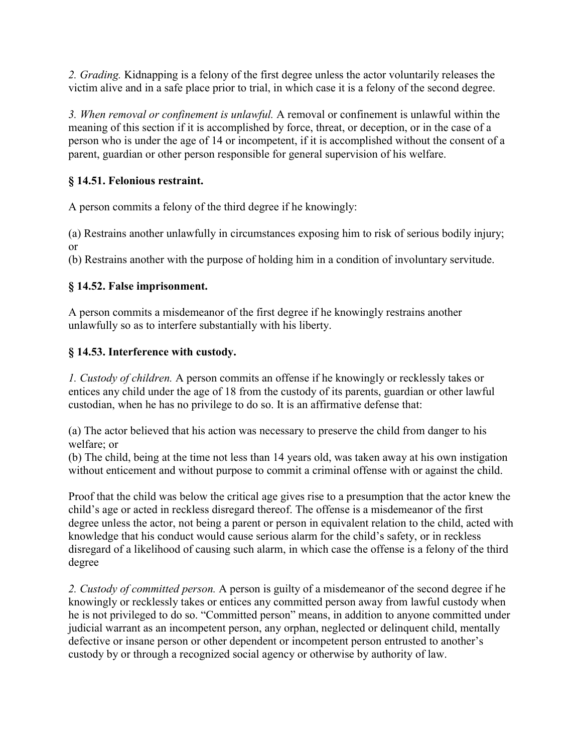*2. Grading.* Kidnapping is a felony of the first degree unless the actor voluntarily releases the victim alive and in a safe place prior to trial, in which case it is a felony of the second degree.

*3. When removal or confinement is unlawful.* A removal or confinement is unlawful within the meaning of this section if it is accomplished by force, threat, or deception, or in the case of a person who is under the age of 14 or incompetent, if it is accomplished without the consent of a parent, guardian or other person responsible for general supervision of his welfare.

## **§ 14.51. Felonious restraint.**

A person commits a felony of the third degree if he knowingly:

(a) Restrains another unlawfully in circumstances exposing him to risk of serious bodily injury; or

(b) Restrains another with the purpose of holding him in a condition of involuntary servitude.

# **§ 14.52. False imprisonment.**

A person commits a misdemeanor of the first degree if he knowingly restrains another unlawfully so as to interfere substantially with his liberty.

# **§ 14.53. Interference with custody.**

*1. Custody of children.* A person commits an offense if he knowingly or recklessly takes or entices any child under the age of 18 from the custody of its parents, guardian or other lawful custodian, when he has no privilege to do so. It is an affirmative defense that:

(a) The actor believed that his action was necessary to preserve the child from danger to his welfare; or

(b) The child, being at the time not less than 14 years old, was taken away at his own instigation without enticement and without purpose to commit a criminal offense with or against the child.

Proof that the child was below the critical age gives rise to a presumption that the actor knew the child's age or acted in reckless disregard thereof. The offense is a misdemeanor of the first degree unless the actor, not being a parent or person in equivalent relation to the child, acted with knowledge that his conduct would cause serious alarm for the child's safety, or in reckless disregard of a likelihood of causing such alarm, in which case the offense is a felony of the third degree

*2. Custody of committed person.* A person is guilty of a misdemeanor of the second degree if he knowingly or recklessly takes or entices any committed person away from lawful custody when he is not privileged to do so. "Committed person" means, in addition to anyone committed under judicial warrant as an incompetent person, any orphan, neglected or delinquent child, mentally defective or insane person or other dependent or incompetent person entrusted to another's custody by or through a recognized social agency or otherwise by authority of law.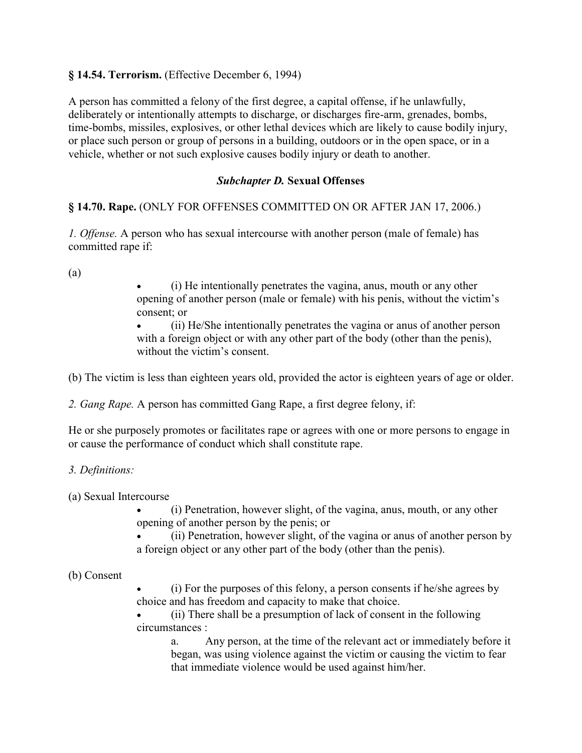#### **§ 14.54. Terrorism.** (Effective December 6, 1994)

A person has committed a felony of the first degree, a capital offense, if he unlawfully, deliberately or intentionally attempts to discharge, or discharges fire-arm, grenades, bombs, time-bombs, missiles, explosives, or other lethal devices which are likely to cause bodily injury, or place such person or group of persons in a building, outdoors or in the open space, or in a vehicle, whether or not such explosive causes bodily injury or death to another.

#### *Subchapter D.* **Sexual Offenses**

### **§ 14.70. Rape.** (ONLY FOR OFFENSES COMMITTED ON OR AFTER JAN 17, 2006.)

*1. Offense.* A person who has sexual intercourse with another person (male of female) has committed rape if:

(a)

· (i) He intentionally penetrates the vagina, anus, mouth or any other opening of another person (male or female) with his penis, without the victim's consent; or

· (ii) He/She intentionally penetrates the vagina or anus of another person with a foreign object or with any other part of the body (other than the penis), without the victim's consent.

(b) The victim is less than eighteen years old, provided the actor is eighteen years of age or older.

*2. Gang Rape.* A person has committed Gang Rape, a first degree felony, if:

He or she purposely promotes or facilitates rape or agrees with one or more persons to engage in or cause the performance of conduct which shall constitute rape.

#### *3. Definitions:*

(a) Sexual Intercourse

· (i) Penetration, however slight, of the vagina, anus, mouth, or any other opening of another person by the penis; or

· (ii) Penetration, however slight, of the vagina or anus of another person by a foreign object or any other part of the body (other than the penis).

(b) Consent

· (i) For the purposes of this felony, a person consents if he/she agrees by choice and has freedom and capacity to make that choice.

· (ii) There shall be a presumption of lack of consent in the following circumstances :

a. Any person, at the time of the relevant act or immediately before it began, was using violence against the victim or causing the victim to fear that immediate violence would be used against him/her.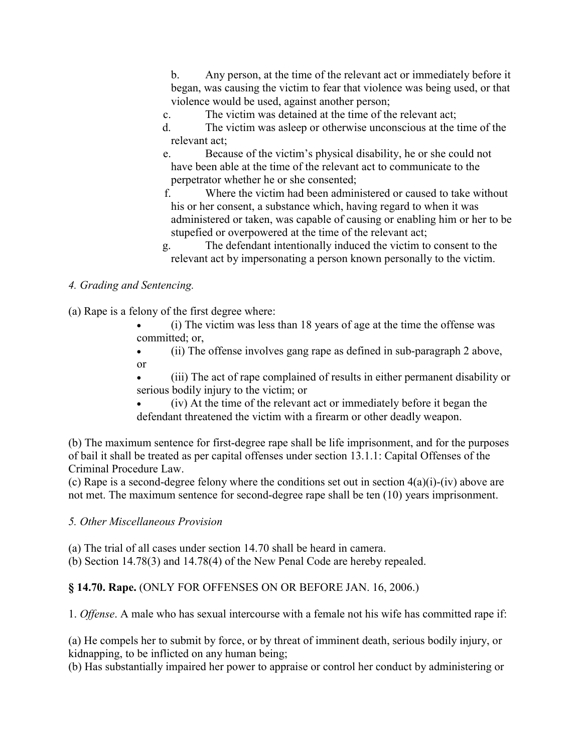b. Any person, at the time of the relevant act or immediately before it began, was causing the victim to fear that violence was being used, or that violence would be used, against another person;

- c. The victim was detained at the time of the relevant act;
- d. The victim was asleep or otherwise unconscious at the time of the relevant act;
- e. Because of the victim's physical disability, he or she could not have been able at the time of the relevant act to communicate to the perpetrator whether he or she consented;
- f. Where the victim had been administered or caused to take without his or her consent, a substance which, having regard to when it was administered or taken, was capable of causing or enabling him or her to be stupefied or overpowered at the time of the relevant act;
- g. The defendant intentionally induced the victim to consent to the relevant act by impersonating a person known personally to the victim.

#### *4. Grading and Sentencing.*

(a) Rape is a felony of the first degree where:

· (i) The victim was less than 18 years of age at the time the offense was committed; or,

· (ii) The offense involves gang rape as defined in sub-paragraph 2 above, or

· (iii) The act of rape complained of results in either permanent disability or serious bodily injury to the victim; or

· (iv) At the time of the relevant act or immediately before it began the defendant threatened the victim with a firearm or other deadly weapon.

(b) The maximum sentence for first-degree rape shall be life imprisonment, and for the purposes of bail it shall be treated as per capital offenses under section 13.1.1: Capital Offenses of the Criminal Procedure Law.

(c) Rape is a second-degree felony where the conditions set out in section 4(a)(i)-(iv) above are not met. The maximum sentence for second-degree rape shall be ten (10) years imprisonment.

#### *5. Other Miscellaneous Provision*

(a) The trial of all cases under section 14.70 shall be heard in camera.

(b) Section 14.78(3) and 14.78(4) of the New Penal Code are hereby repealed.

**§ 14.70. Rape.** (ONLY FOR OFFENSES ON OR BEFORE JAN. 16, 2006.)

1. *Offense*. A male who has sexual intercourse with a female not his wife has committed rape if:

(a) He compels her to submit by force, or by threat of imminent death, serious bodily injury, or kidnapping, to be inflicted on any human being;

(b) Has substantially impaired her power to appraise or control her conduct by administering or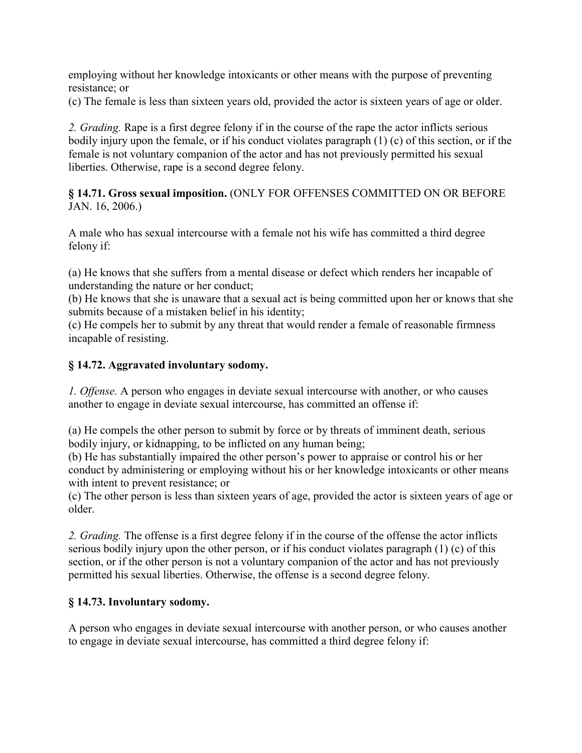employing without her knowledge intoxicants or other means with the purpose of preventing resistance; or

(c) The female is less than sixteen years old, provided the actor is sixteen years of age or older.

*2. Grading.* Rape is a first degree felony if in the course of the rape the actor inflicts serious bodily injury upon the female, or if his conduct violates paragraph (1) (c) of this section, or if the female is not voluntary companion of the actor and has not previously permitted his sexual liberties. Otherwise, rape is a second degree felony.

#### **§ 14.71. Gross sexual imposition.** (ONLY FOR OFFENSES COMMITTED ON OR BEFORE JAN. 16, 2006.)

A male who has sexual intercourse with a female not his wife has committed a third degree felony if:

(a) He knows that she suffers from a mental disease or defect which renders her incapable of understanding the nature or her conduct;

(b) He knows that she is unaware that a sexual act is being committed upon her or knows that she submits because of a mistaken belief in his identity;

(c) He compels her to submit by any threat that would render a female of reasonable firmness incapable of resisting.

#### **§ 14.72. Aggravated involuntary sodomy.**

*1. Offense.* A person who engages in deviate sexual intercourse with another, or who causes another to engage in deviate sexual intercourse, has committed an offense if:

(a) He compels the other person to submit by force or by threats of imminent death, serious bodily injury, or kidnapping, to be inflicted on any human being;

(b) He has substantially impaired the other person's power to appraise or control his or her conduct by administering or employing without his or her knowledge intoxicants or other means with intent to prevent resistance; or

(c) The other person is less than sixteen years of age, provided the actor is sixteen years of age or older.

*2. Grading.* The offense is a first degree felony if in the course of the offense the actor inflicts serious bodily injury upon the other person, or if his conduct violates paragraph (1) (c) of this section, or if the other person is not a voluntary companion of the actor and has not previously permitted his sexual liberties. Otherwise, the offense is a second degree felony.

## **§ 14.73. Involuntary sodomy.**

A person who engages in deviate sexual intercourse with another person, or who causes another to engage in deviate sexual intercourse, has committed a third degree felony if: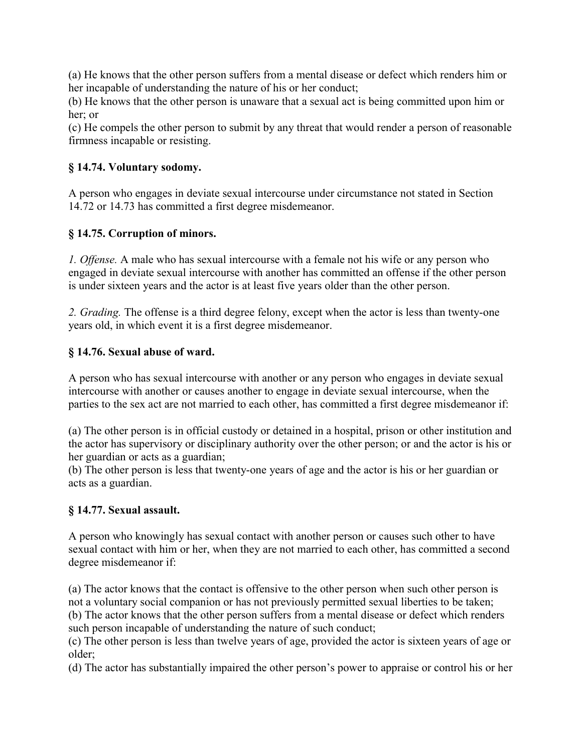(a) He knows that the other person suffers from a mental disease or defect which renders him or her incapable of understanding the nature of his or her conduct;

(b) He knows that the other person is unaware that a sexual act is being committed upon him or her; or

(c) He compels the other person to submit by any threat that would render a person of reasonable firmness incapable or resisting.

### **§ 14.74. Voluntary sodomy.**

A person who engages in deviate sexual intercourse under circumstance not stated in Section 14.72 or 14.73 has committed a first degree misdemeanor.

### **§ 14.75. Corruption of minors.**

*1. Offense.* A male who has sexual intercourse with a female not his wife or any person who engaged in deviate sexual intercourse with another has committed an offense if the other person is under sixteen years and the actor is at least five years older than the other person.

*2. Grading.* The offense is a third degree felony, except when the actor is less than twenty-one years old, in which event it is a first degree misdemeanor.

#### **§ 14.76. Sexual abuse of ward.**

A person who has sexual intercourse with another or any person who engages in deviate sexual intercourse with another or causes another to engage in deviate sexual intercourse, when the parties to the sex act are not married to each other, has committed a first degree misdemeanor if:

(a) The other person is in official custody or detained in a hospital, prison or other institution and the actor has supervisory or disciplinary authority over the other person; or and the actor is his or her guardian or acts as a guardian;

(b) The other person is less that twenty-one years of age and the actor is his or her guardian or acts as a guardian.

#### **§ 14.77. Sexual assault.**

A person who knowingly has sexual contact with another person or causes such other to have sexual contact with him or her, when they are not married to each other, has committed a second degree misdemeanor if:

(a) The actor knows that the contact is offensive to the other person when such other person is not a voluntary social companion or has not previously permitted sexual liberties to be taken; (b) The actor knows that the other person suffers from a mental disease or defect which renders such person incapable of understanding the nature of such conduct;

(c) The other person is less than twelve years of age, provided the actor is sixteen years of age or older;

(d) The actor has substantially impaired the other person's power to appraise or control his or her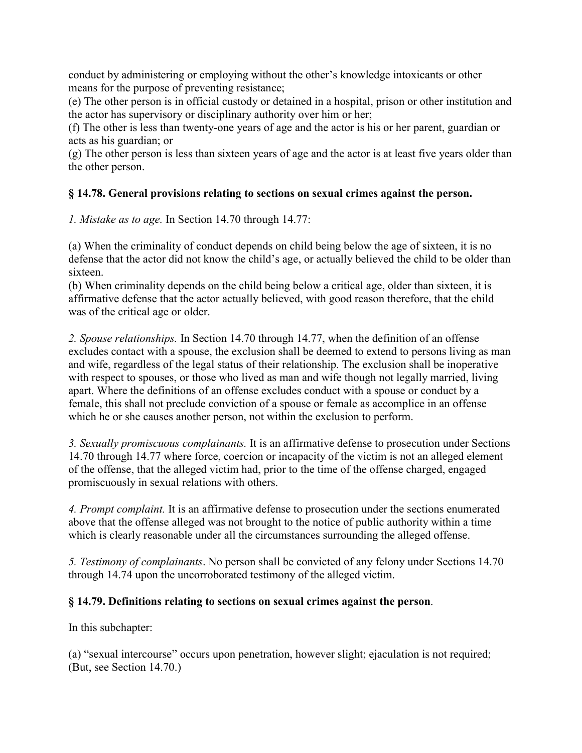conduct by administering or employing without the other's knowledge intoxicants or other means for the purpose of preventing resistance;

(e) The other person is in official custody or detained in a hospital, prison or other institution and the actor has supervisory or disciplinary authority over him or her;

(f) The other is less than twenty-one years of age and the actor is his or her parent, guardian or acts as his guardian; or

(g) The other person is less than sixteen years of age and the actor is at least five years older than the other person.

## **§ 14.78. General provisions relating to sections on sexual crimes against the person.**

*1. Mistake as to age.* In Section 14.70 through 14.77:

(a) When the criminality of conduct depends on child being below the age of sixteen, it is no defense that the actor did not know the child's age, or actually believed the child to be older than sixteen.

(b) When criminality depends on the child being below a critical age, older than sixteen, it is affirmative defense that the actor actually believed, with good reason therefore, that the child was of the critical age or older.

*2. Spouse relationships.* In Section 14.70 through 14.77, when the definition of an offense excludes contact with a spouse, the exclusion shall be deemed to extend to persons living as man and wife, regardless of the legal status of their relationship. The exclusion shall be inoperative with respect to spouses, or those who lived as man and wife though not legally married, living apart. Where the definitions of an offense excludes conduct with a spouse or conduct by a female, this shall not preclude conviction of a spouse or female as accomplice in an offense which he or she causes another person, not within the exclusion to perform.

*3. Sexually promiscuous complainants.* It is an affirmative defense to prosecution under Sections 14.70 through 14.77 where force, coercion or incapacity of the victim is not an alleged element of the offense, that the alleged victim had, prior to the time of the offense charged, engaged promiscuously in sexual relations with others.

*4. Prompt complaint.* It is an affirmative defense to prosecution under the sections enumerated above that the offense alleged was not brought to the notice of public authority within a time which is clearly reasonable under all the circumstances surrounding the alleged offense.

*5. Testimony of complainants*. No person shall be convicted of any felony under Sections 14.70 through 14.74 upon the uncorroborated testimony of the alleged victim.

#### **§ 14.79. Definitions relating to sections on sexual crimes against the person**.

In this subchapter:

(a) "sexual intercourse" occurs upon penetration, however slight; ejaculation is not required; (But, see Section 14.70.)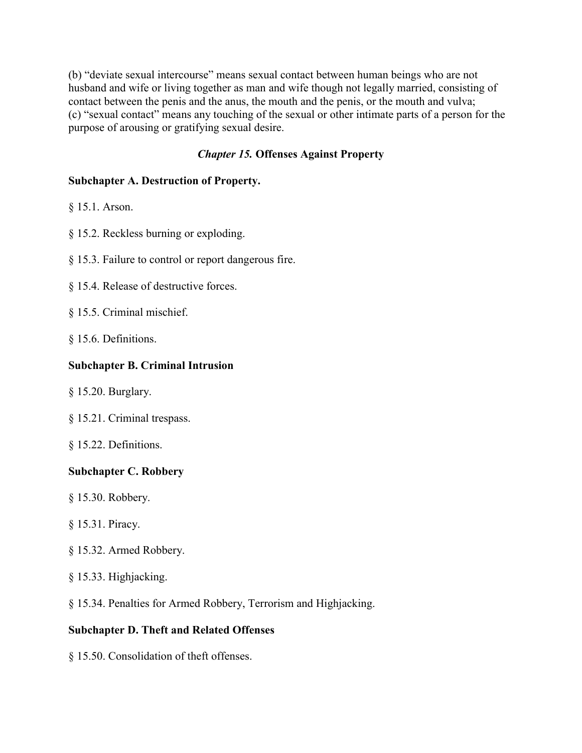(b) "deviate sexual intercourse" means sexual contact between human beings who are not husband and wife or living together as man and wife though not legally married, consisting of contact between the penis and the anus, the mouth and the penis, or the mouth and vulva; (c) "sexual contact" means any touching of the sexual or other intimate parts of a person for the purpose of arousing or gratifying sexual desire.

### *Chapter 15.* **Offenses Against Property**

#### **Subchapter A. Destruction of Property.**

§ 15.1. Arson.

§ 15.2. Reckless burning or exploding.

§ 15.3. Failure to control or report dangerous fire.

§ 15.4. Release of destructive forces.

§ 15.5. Criminal mischief.

§ 15.6. Definitions.

#### **Subchapter B. Criminal Intrusion**

§ 15.20. Burglary.

§ 15.21. Criminal trespass.

§ 15.22. Definitions.

#### **Subchapter C. Robbery**

§ 15.30. Robbery.

§ 15.31. Piracy.

§ 15.32. Armed Robbery.

§ 15.33. Highjacking.

§ 15.34. Penalties for Armed Robbery, Terrorism and Highjacking.

#### **Subchapter D. Theft and Related Offenses**

§ 15.50. Consolidation of theft offenses.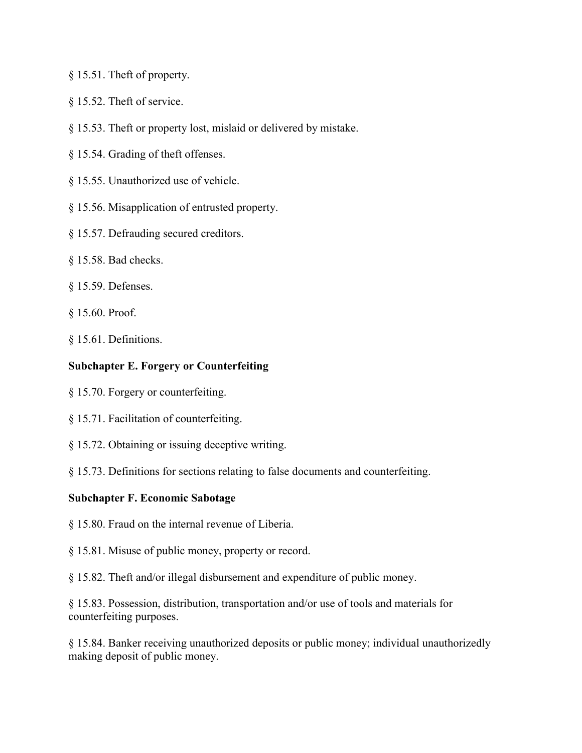§ 15.51. Theft of property.

- § 15.52. Theft of service.
- § 15.53. Theft or property lost, mislaid or delivered by mistake.
- § 15.54. Grading of theft offenses.
- § 15.55. Unauthorized use of vehicle.
- § 15.56. Misapplication of entrusted property.
- § 15.57. Defrauding secured creditors.
- § 15.58. Bad checks.
- § 15.59. Defenses.
- § 15.60. Proof.

§ 15.61. Definitions.

#### **Subchapter E. Forgery or Counterfeiting**

§ 15.70. Forgery or counterfeiting.

- § 15.71. Facilitation of counterfeiting.
- § 15.72. Obtaining or issuing deceptive writing.

§ 15.73. Definitions for sections relating to false documents and counterfeiting.

#### **Subchapter F. Economic Sabotage**

- § 15.80. Fraud on the internal revenue of Liberia.
- § 15.81. Misuse of public money, property or record.
- § 15.82. Theft and/or illegal disbursement and expenditure of public money.

§ 15.83. Possession, distribution, transportation and/or use of tools and materials for counterfeiting purposes.

§ 15.84. Banker receiving unauthorized deposits or public money; individual unauthorizedly making deposit of public money.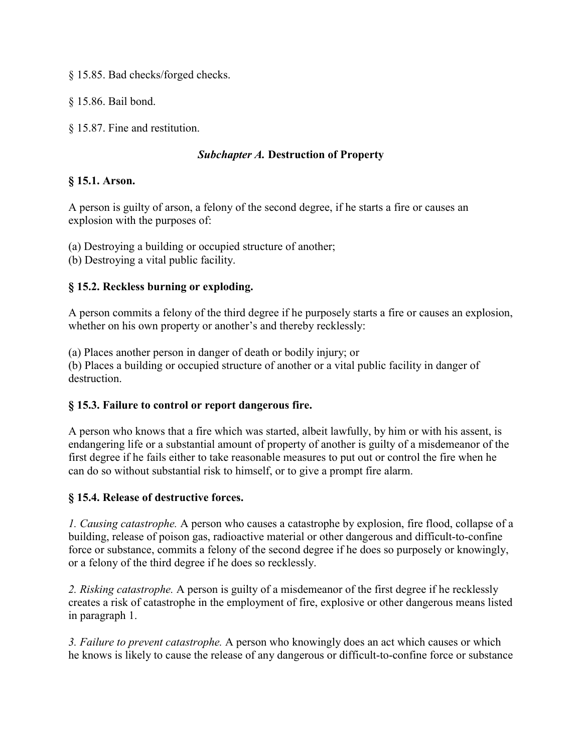§ 15.85. Bad checks/forged checks.

§ 15.86. Bail bond.

§ 15.87. Fine and restitution.

### *Subchapter A.* **Destruction of Property**

### **§ 15.1. Arson.**

A person is guilty of arson, a felony of the second degree, if he starts a fire or causes an explosion with the purposes of:

(a) Destroying a building or occupied structure of another;

(b) Destroying a vital public facility.

### **§ 15.2. Reckless burning or exploding.**

A person commits a felony of the third degree if he purposely starts a fire or causes an explosion, whether on his own property or another's and thereby recklessly:

(a) Places another person in danger of death or bodily injury; or (b) Places a building or occupied structure of another or a vital public facility in danger of destruction.

## **§ 15.3. Failure to control or report dangerous fire.**

A person who knows that a fire which was started, albeit lawfully, by him or with his assent, is endangering life or a substantial amount of property of another is guilty of a misdemeanor of the first degree if he fails either to take reasonable measures to put out or control the fire when he can do so without substantial risk to himself, or to give a prompt fire alarm.

#### **§ 15.4. Release of destructive forces.**

*1. Causing catastrophe.* A person who causes a catastrophe by explosion, fire flood, collapse of a building, release of poison gas, radioactive material or other dangerous and difficult-to-confine force or substance, commits a felony of the second degree if he does so purposely or knowingly, or a felony of the third degree if he does so recklessly.

*2. Risking catastrophe.* A person is guilty of a misdemeanor of the first degree if he recklessly creates a risk of catastrophe in the employment of fire, explosive or other dangerous means listed in paragraph 1.

*3. Failure to prevent catastrophe.* A person who knowingly does an act which causes or which he knows is likely to cause the release of any dangerous or difficult-to-confine force or substance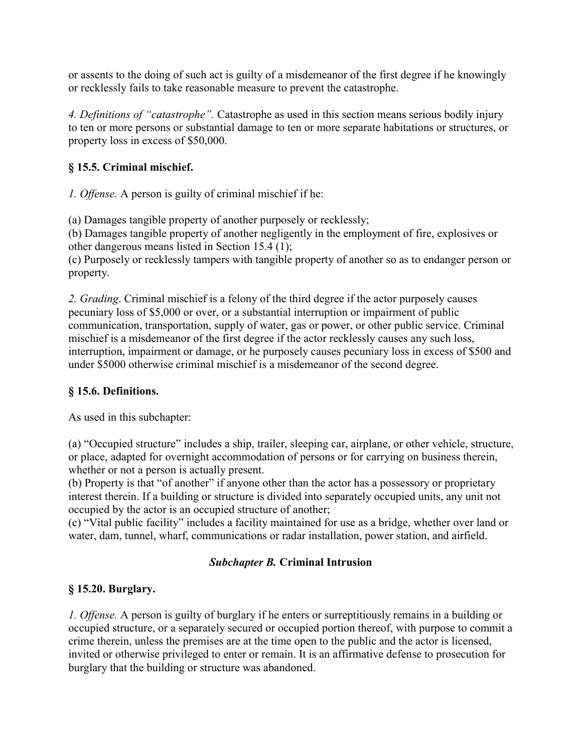or assents to the doing of such act is guilty of a misdemeanor of the first degree if he knowingly or recklessly fails to take reasonable measure to prevent the catastrophe.

*4. Definitions of "catastrophe".* Catastrophe as used in this section means serious bodily injury to ten or more persons or substantial damage to ten or more separate habitations or structures, or property loss in excess of \$50,000.

## **§ 15.5. Criminal mischief.**

*1. Offense.* A person is guilty of criminal mischief if he:

(a) Damages tangible property of another purposely or recklessly;

(b) Damages tangible property of another negligently in the employment of fire, explosives or other dangerous means listed in Section 15.4 (1);

(c) Purposely or recklessly tampers with tangible property of another so as to endanger person or property.

*2. Grading*. Criminal mischief is a felony of the third degree if the actor purposely causes pecuniary loss of \$5,000 or over, or a substantial interruption or impairment of public communication, transportation, supply of water, gas or power, or other public service. Criminal mischief is a misdemeanor of the first degree if the actor recklessly causes any such loss, interruption, impairment or damage, or he purposely causes pecuniary loss in excess of \$500 and under \$5000 otherwise criminal mischief is a misdemeanor of the second degree.

# **§ 15.6. Definitions.**

As used in this subchapter:

(a) "Occupied structure" includes a ship, trailer, sleeping car, airplane, or other vehicle, structure, or place, adapted for overnight accommodation of persons or for carrying on business therein, whether or not a person is actually present.

(b) Property is that "of another" if anyone other than the actor has a possessory or proprietary interest therein. If a building or structure is divided into separately occupied units, any unit not occupied by the actor is an occupied structure of another;

(c) "Vital public facility" includes a facility maintained for use as a bridge, whether over land or water, dam, tunnel, wharf, communications or radar installation, power station, and airfield.

# *Subchapter B.* **Criminal Intrusion**

# **§ 15.20. Burglary.**

*1. Offense.* A person is guilty of burglary if he enters or surreptitiously remains in a building or occupied structure, or a separately secured or occupied portion thereof, with purpose to commit a crime therein, unless the premises are at the time open to the public and the actor is licensed, invited or otherwise privileged to enter or remain. It is an affirmative defense to prosecution for burglary that the building or structure was abandoned.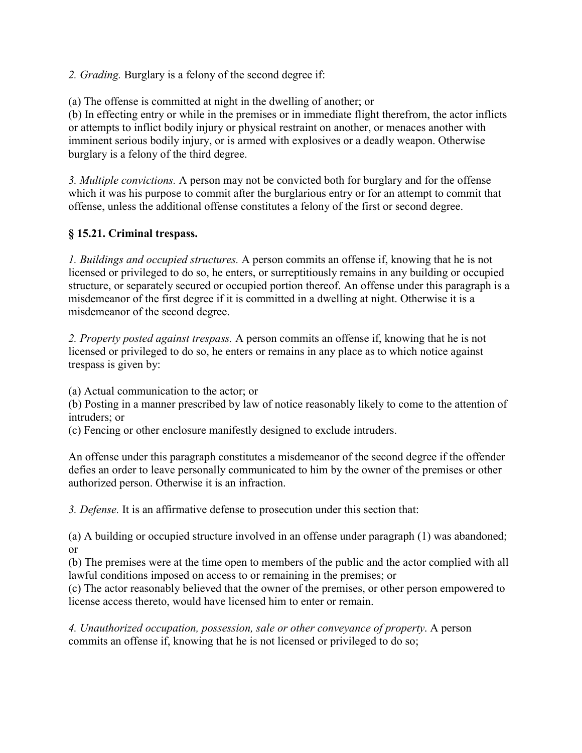*2. Grading.* Burglary is a felony of the second degree if:

(a) The offense is committed at night in the dwelling of another; or

(b) In effecting entry or while in the premises or in immediate flight therefrom, the actor inflicts or attempts to inflict bodily injury or physical restraint on another, or menaces another with imminent serious bodily injury, or is armed with explosives or a deadly weapon. Otherwise burglary is a felony of the third degree.

*3. Multiple convictions.* A person may not be convicted both for burglary and for the offense which it was his purpose to commit after the burglarious entry or for an attempt to commit that offense, unless the additional offense constitutes a felony of the first or second degree.

## **§ 15.21. Criminal trespass.**

*1. Buildings and occupied structures.* A person commits an offense if, knowing that he is not licensed or privileged to do so, he enters, or surreptitiously remains in any building or occupied structure, or separately secured or occupied portion thereof. An offense under this paragraph is a misdemeanor of the first degree if it is committed in a dwelling at night. Otherwise it is a misdemeanor of the second degree.

*2. Property posted against trespass.* A person commits an offense if, knowing that he is not licensed or privileged to do so, he enters or remains in any place as to which notice against trespass is given by:

(a) Actual communication to the actor; or

(b) Posting in a manner prescribed by law of notice reasonably likely to come to the attention of intruders; or

(c) Fencing or other enclosure manifestly designed to exclude intruders.

An offense under this paragraph constitutes a misdemeanor of the second degree if the offender defies an order to leave personally communicated to him by the owner of the premises or other authorized person. Otherwise it is an infraction.

*3. Defense.* It is an affirmative defense to prosecution under this section that:

(a) A building or occupied structure involved in an offense under paragraph (1) was abandoned; or

(b) The premises were at the time open to members of the public and the actor complied with all lawful conditions imposed on access to or remaining in the premises; or

(c) The actor reasonably believed that the owner of the premises, or other person empowered to license access thereto, would have licensed him to enter or remain.

*4. Unauthorized occupation, possession, sale or other conveyance of property*. A person commits an offense if, knowing that he is not licensed or privileged to do so;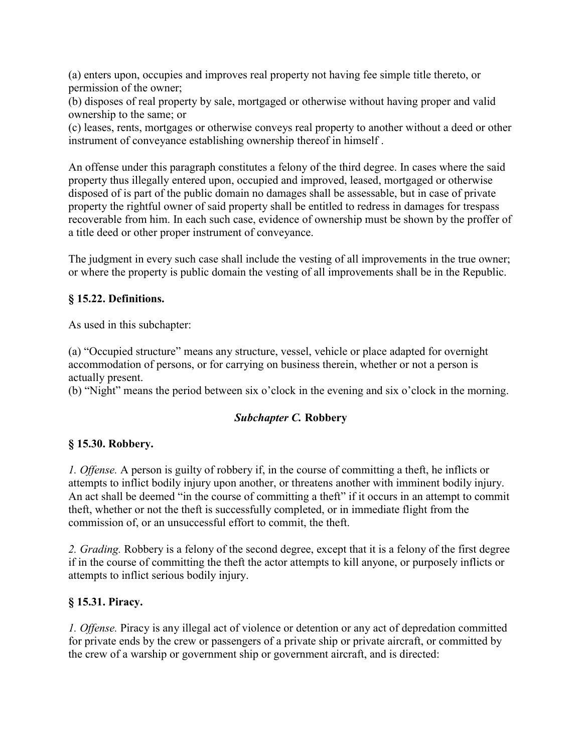(a) enters upon, occupies and improves real property not having fee simple title thereto, or permission of the owner;

(b) disposes of real property by sale, mortgaged or otherwise without having proper and valid ownership to the same; or

(c) leases, rents, mortgages or otherwise conveys real property to another without a deed or other instrument of conveyance establishing ownership thereof in himself .

An offense under this paragraph constitutes a felony of the third degree. In cases where the said property thus illegally entered upon, occupied and improved, leased, mortgaged or otherwise disposed of is part of the public domain no damages shall be assessable, but in case of private property the rightful owner of said property shall be entitled to redress in damages for trespass recoverable from him. In each such case, evidence of ownership must be shown by the proffer of a title deed or other proper instrument of conveyance.

The judgment in every such case shall include the vesting of all improvements in the true owner; or where the property is public domain the vesting of all improvements shall be in the Republic.

## **§ 15.22. Definitions.**

As used in this subchapter:

(a) "Occupied structure" means any structure, vessel, vehicle or place adapted for overnight accommodation of persons, or for carrying on business therein, whether or not a person is actually present.

(b) "Night" means the period between six o'clock in the evening and six o'clock in the morning.

## *Subchapter C.* **Robbery**

## **§ 15.30. Robbery.**

*1. Offense.* A person is guilty of robbery if, in the course of committing a theft, he inflicts or attempts to inflict bodily injury upon another, or threatens another with imminent bodily injury. An act shall be deemed "in the course of committing a theft" if it occurs in an attempt to commit theft, whether or not the theft is successfully completed, or in immediate flight from the commission of, or an unsuccessful effort to commit, the theft.

*2. Grading.* Robbery is a felony of the second degree, except that it is a felony of the first degree if in the course of committing the theft the actor attempts to kill anyone, or purposely inflicts or attempts to inflict serious bodily injury.

## **§ 15.31. Piracy.**

*1. Offense.* Piracy is any illegal act of violence or detention or any act of depredation committed for private ends by the crew or passengers of a private ship or private aircraft, or committed by the crew of a warship or government ship or government aircraft, and is directed: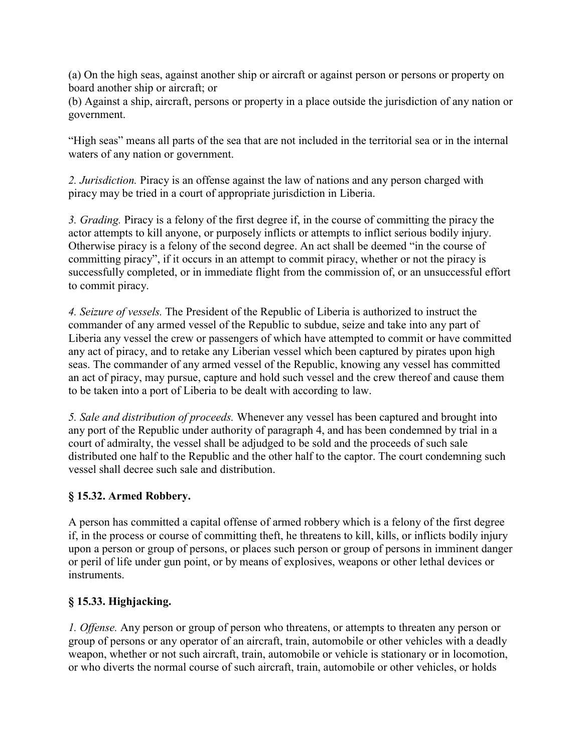(a) On the high seas, against another ship or aircraft or against person or persons or property on board another ship or aircraft; or

(b) Against a ship, aircraft, persons or property in a place outside the jurisdiction of any nation or government.

"High seas" means all parts of the sea that are not included in the territorial sea or in the internal waters of any nation or government.

*2. Jurisdiction.* Piracy is an offense against the law of nations and any person charged with piracy may be tried in a court of appropriate jurisdiction in Liberia.

*3. Grading.* Piracy is a felony of the first degree if, in the course of committing the piracy the actor attempts to kill anyone, or purposely inflicts or attempts to inflict serious bodily injury. Otherwise piracy is a felony of the second degree. An act shall be deemed "in the course of committing piracy", if it occurs in an attempt to commit piracy, whether or not the piracy is successfully completed, or in immediate flight from the commission of, or an unsuccessful effort to commit piracy.

*4. Seizure of vessels.* The President of the Republic of Liberia is authorized to instruct the commander of any armed vessel of the Republic to subdue, seize and take into any part of Liberia any vessel the crew or passengers of which have attempted to commit or have committed any act of piracy, and to retake any Liberian vessel which been captured by pirates upon high seas. The commander of any armed vessel of the Republic, knowing any vessel has committed an act of piracy, may pursue, capture and hold such vessel and the crew thereof and cause them to be taken into a port of Liberia to be dealt with according to law.

*5. Sale and distribution of proceeds.* Whenever any vessel has been captured and brought into any port of the Republic under authority of paragraph 4, and has been condemned by trial in a court of admiralty, the vessel shall be adjudged to be sold and the proceeds of such sale distributed one half to the Republic and the other half to the captor. The court condemning such vessel shall decree such sale and distribution.

## **§ 15.32. Armed Robbery.**

A person has committed a capital offense of armed robbery which is a felony of the first degree if, in the process or course of committing theft, he threatens to kill, kills, or inflicts bodily injury upon a person or group of persons, or places such person or group of persons in imminent danger or peril of life under gun point, or by means of explosives, weapons or other lethal devices or instruments.

## **§ 15.33. Highjacking.**

*1. Offense.* Any person or group of person who threatens, or attempts to threaten any person or group of persons or any operator of an aircraft, train, automobile or other vehicles with a deadly weapon, whether or not such aircraft, train, automobile or vehicle is stationary or in locomotion, or who diverts the normal course of such aircraft, train, automobile or other vehicles, or holds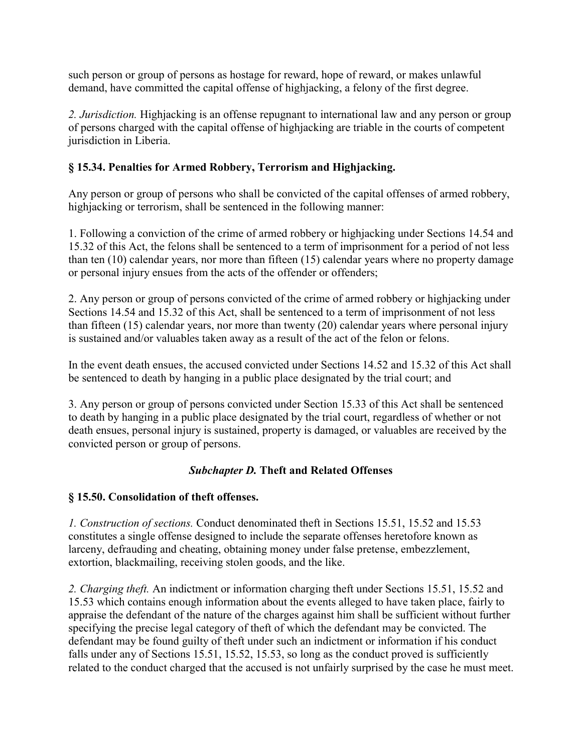such person or group of persons as hostage for reward, hope of reward, or makes unlawful demand, have committed the capital offense of highjacking, a felony of the first degree.

*2. Jurisdiction.* Highjacking is an offense repugnant to international law and any person or group of persons charged with the capital offense of highjacking are triable in the courts of competent jurisdiction in Liberia.

## **§ 15.34. Penalties for Armed Robbery, Terrorism and Highjacking.**

Any person or group of persons who shall be convicted of the capital offenses of armed robbery, highjacking or terrorism, shall be sentenced in the following manner:

1. Following a conviction of the crime of armed robbery or highjacking under Sections 14.54 and 15.32 of this Act, the felons shall be sentenced to a term of imprisonment for a period of not less than ten (10) calendar years, nor more than fifteen (15) calendar years where no property damage or personal injury ensues from the acts of the offender or offenders;

2. Any person or group of persons convicted of the crime of armed robbery or highjacking under Sections 14.54 and 15.32 of this Act, shall be sentenced to a term of imprisonment of not less than fifteen (15) calendar years, nor more than twenty (20) calendar years where personal injury is sustained and/or valuables taken away as a result of the act of the felon or felons.

In the event death ensues, the accused convicted under Sections 14.52 and 15.32 of this Act shall be sentenced to death by hanging in a public place designated by the trial court; and

3. Any person or group of persons convicted under Section 15.33 of this Act shall be sentenced to death by hanging in a public place designated by the trial court, regardless of whether or not death ensues, personal injury is sustained, property is damaged, or valuables are received by the convicted person or group of persons.

# *Subchapter D.* **Theft and Related Offenses**

## **§ 15.50. Consolidation of theft offenses.**

*1. Construction of sections.* Conduct denominated theft in Sections 15.51, 15.52 and 15.53 constitutes a single offense designed to include the separate offenses heretofore known as larceny, defrauding and cheating, obtaining money under false pretense, embezzlement, extortion, blackmailing, receiving stolen goods, and the like.

*2. Charging theft.* An indictment or information charging theft under Sections 15.51, 15.52 and 15.53 which contains enough information about the events alleged to have taken place, fairly to appraise the defendant of the nature of the charges against him shall be sufficient without further specifying the precise legal category of theft of which the defendant may be convicted. The defendant may be found guilty of theft under such an indictment or information if his conduct falls under any of Sections 15.51, 15.52, 15.53, so long as the conduct proved is sufficiently related to the conduct charged that the accused is not unfairly surprised by the case he must meet.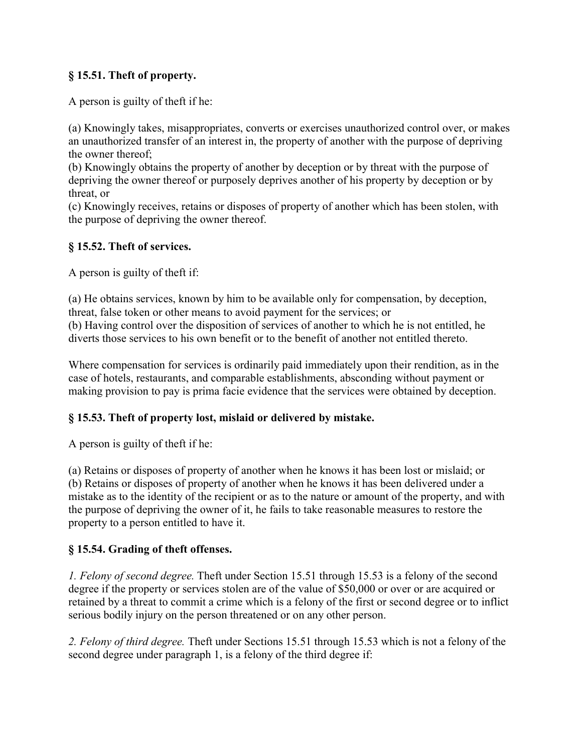## **§ 15.51. Theft of property.**

A person is guilty of theft if he:

(a) Knowingly takes, misappropriates, converts or exercises unauthorized control over, or makes an unauthorized transfer of an interest in, the property of another with the purpose of depriving the owner thereof;

(b) Knowingly obtains the property of another by deception or by threat with the purpose of depriving the owner thereof or purposely deprives another of his property by deception or by threat, or

(c) Knowingly receives, retains or disposes of property of another which has been stolen, with the purpose of depriving the owner thereof.

## **§ 15.52. Theft of services.**

A person is guilty of theft if:

(a) He obtains services, known by him to be available only for compensation, by deception, threat, false token or other means to avoid payment for the services; or (b) Having control over the disposition of services of another to which he is not entitled, he diverts those services to his own benefit or to the benefit of another not entitled thereto.

Where compensation for services is ordinarily paid immediately upon their rendition, as in the case of hotels, restaurants, and comparable establishments, absconding without payment or making provision to pay is prima facie evidence that the services were obtained by deception.

## **§ 15.53. Theft of property lost, mislaid or delivered by mistake.**

A person is guilty of theft if he:

(a) Retains or disposes of property of another when he knows it has been lost or mislaid; or (b) Retains or disposes of property of another when he knows it has been delivered under a mistake as to the identity of the recipient or as to the nature or amount of the property, and with the purpose of depriving the owner of it, he fails to take reasonable measures to restore the property to a person entitled to have it.

## **§ 15.54. Grading of theft offenses.**

*1. Felony of second degree.* Theft under Section 15.51 through 15.53 is a felony of the second degree if the property or services stolen are of the value of \$50,000 or over or are acquired or retained by a threat to commit a crime which is a felony of the first or second degree or to inflict serious bodily injury on the person threatened or on any other person.

*2. Felony of third degree.* Theft under Sections 15.51 through 15.53 which is not a felony of the second degree under paragraph 1, is a felony of the third degree if: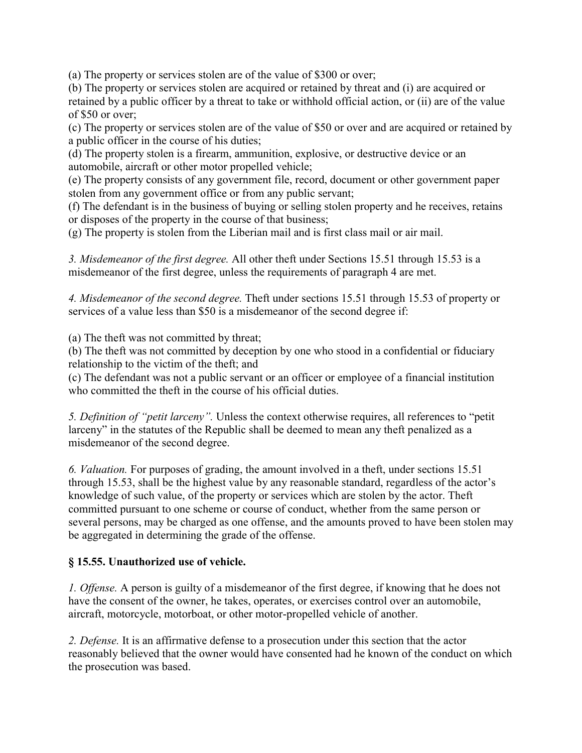(a) The property or services stolen are of the value of \$300 or over;

(b) The property or services stolen are acquired or retained by threat and (i) are acquired or retained by a public officer by a threat to take or withhold official action, or (ii) are of the value of \$50 or over;

(c) The property or services stolen are of the value of \$50 or over and are acquired or retained by a public officer in the course of his duties;

(d) The property stolen is a firearm, ammunition, explosive, or destructive device or an automobile, aircraft or other motor propelled vehicle;

(e) The property consists of any government file, record, document or other government paper stolen from any government office or from any public servant;

(f) The defendant is in the business of buying or selling stolen property and he receives, retains or disposes of the property in the course of that business;

(g) The property is stolen from the Liberian mail and is first class mail or air mail.

*3. Misdemeanor of the first degree.* All other theft under Sections 15.51 through 15.53 is a misdemeanor of the first degree, unless the requirements of paragraph 4 are met.

*4. Misdemeanor of the second degree.* Theft under sections 15.51 through 15.53 of property or services of a value less than \$50 is a misdemeanor of the second degree if:

(a) The theft was not committed by threat;

(b) The theft was not committed by deception by one who stood in a confidential or fiduciary relationship to the victim of the theft; and

(c) The defendant was not a public servant or an officer or employee of a financial institution who committed the theft in the course of his official duties.

*5. Definition of "petit larceny".* Unless the context otherwise requires, all references to "petit larceny" in the statutes of the Republic shall be deemed to mean any theft penalized as a misdemeanor of the second degree.

*6. Valuation.* For purposes of grading, the amount involved in a theft, under sections 15.51 through 15.53, shall be the highest value by any reasonable standard, regardless of the actor's knowledge of such value, of the property or services which are stolen by the actor. Theft committed pursuant to one scheme or course of conduct, whether from the same person or several persons, may be charged as one offense, and the amounts proved to have been stolen may be aggregated in determining the grade of the offense.

## **§ 15.55. Unauthorized use of vehicle.**

*1. Offense.* A person is guilty of a misdemeanor of the first degree, if knowing that he does not have the consent of the owner, he takes, operates, or exercises control over an automobile, aircraft, motorcycle, motorboat, or other motor-propelled vehicle of another.

*2. Defense.* It is an affirmative defense to a prosecution under this section that the actor reasonably believed that the owner would have consented had he known of the conduct on which the prosecution was based.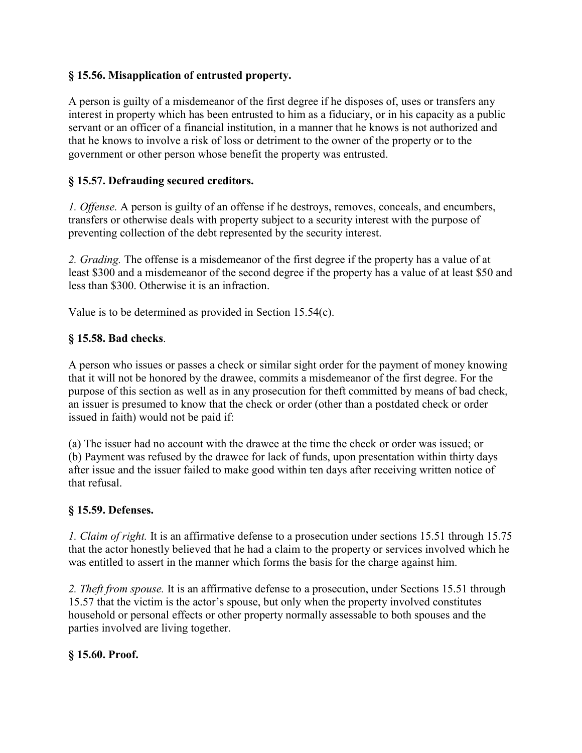### **§ 15.56. Misapplication of entrusted property.**

A person is guilty of a misdemeanor of the first degree if he disposes of, uses or transfers any interest in property which has been entrusted to him as a fiduciary, or in his capacity as a public servant or an officer of a financial institution, in a manner that he knows is not authorized and that he knows to involve a risk of loss or detriment to the owner of the property or to the government or other person whose benefit the property was entrusted.

### **§ 15.57. Defrauding secured creditors.**

*1. Offense.* A person is guilty of an offense if he destroys, removes, conceals, and encumbers, transfers or otherwise deals with property subject to a security interest with the purpose of preventing collection of the debt represented by the security interest.

*2. Grading.* The offense is a misdemeanor of the first degree if the property has a value of at least \$300 and a misdemeanor of the second degree if the property has a value of at least \$50 and less than \$300. Otherwise it is an infraction.

Value is to be determined as provided in Section 15.54(c).

### **§ 15.58. Bad checks**.

A person who issues or passes a check or similar sight order for the payment of money knowing that it will not be honored by the drawee, commits a misdemeanor of the first degree. For the purpose of this section as well as in any prosecution for theft committed by means of bad check, an issuer is presumed to know that the check or order (other than a postdated check or order issued in faith) would not be paid if:

(a) The issuer had no account with the drawee at the time the check or order was issued; or (b) Payment was refused by the drawee for lack of funds, upon presentation within thirty days after issue and the issuer failed to make good within ten days after receiving written notice of that refusal.

#### **§ 15.59. Defenses.**

*1. Claim of right.* It is an affirmative defense to a prosecution under sections 15.51 through 15.75 that the actor honestly believed that he had a claim to the property or services involved which he was entitled to assert in the manner which forms the basis for the charge against him.

*2. Theft from spouse.* It is an affirmative defense to a prosecution, under Sections 15.51 through 15.57 that the victim is the actor's spouse, but only when the property involved constitutes household or personal effects or other property normally assessable to both spouses and the parties involved are living together.

#### **§ 15.60. Proof.**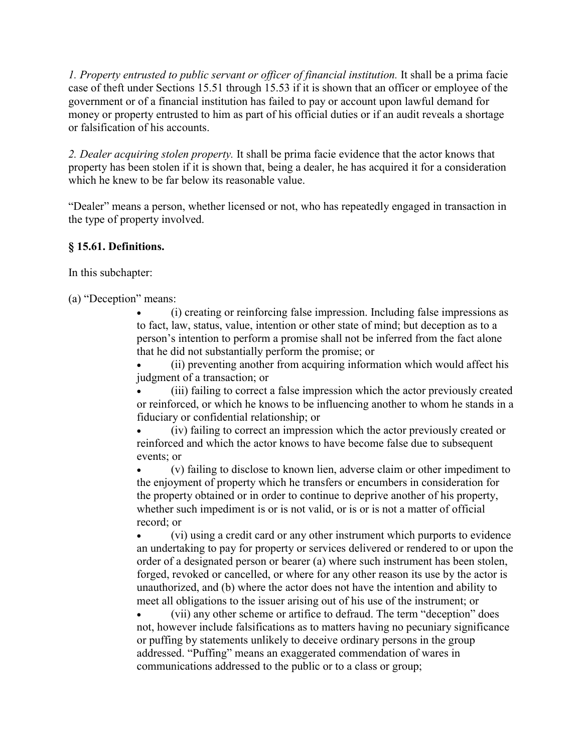*1. Property entrusted to public servant or officer of financial institution.* It shall be a prima facie case of theft under Sections 15.51 through 15.53 if it is shown that an officer or employee of the government or of a financial institution has failed to pay or account upon lawful demand for money or property entrusted to him as part of his official duties or if an audit reveals a shortage or falsification of his accounts.

*2. Dealer acquiring stolen property.* It shall be prima facie evidence that the actor knows that property has been stolen if it is shown that, being a dealer, he has acquired it for a consideration which he knew to be far below its reasonable value.

"Dealer" means a person, whether licensed or not, who has repeatedly engaged in transaction in the type of property involved.

## **§ 15.61. Definitions.**

In this subchapter:

(a) "Deception" means:

· (i) creating or reinforcing false impression. Including false impressions as to fact, law, status, value, intention or other state of mind; but deception as to a person's intention to perform a promise shall not be inferred from the fact alone that he did not substantially perform the promise; or

· (ii) preventing another from acquiring information which would affect his judgment of a transaction; or

· (iii) failing to correct a false impression which the actor previously created or reinforced, or which he knows to be influencing another to whom he stands in a fiduciary or confidential relationship; or

· (iv) failing to correct an impression which the actor previously created or reinforced and which the actor knows to have become false due to subsequent events; or

· (v) failing to disclose to known lien, adverse claim or other impediment to the enjoyment of property which he transfers or encumbers in consideration for the property obtained or in order to continue to deprive another of his property, whether such impediment is or is not valid, or is or is not a matter of official record; or

· (vi) using a credit card or any other instrument which purports to evidence an undertaking to pay for property or services delivered or rendered to or upon the order of a designated person or bearer (a) where such instrument has been stolen, forged, revoked or cancelled, or where for any other reason its use by the actor is unauthorized, and (b) where the actor does not have the intention and ability to meet all obligations to the issuer arising out of his use of the instrument; or

· (vii) any other scheme or artifice to defraud. The term "deception" does not, however include falsifications as to matters having no pecuniary significance or puffing by statements unlikely to deceive ordinary persons in the group addressed. "Puffing" means an exaggerated commendation of wares in communications addressed to the public or to a class or group;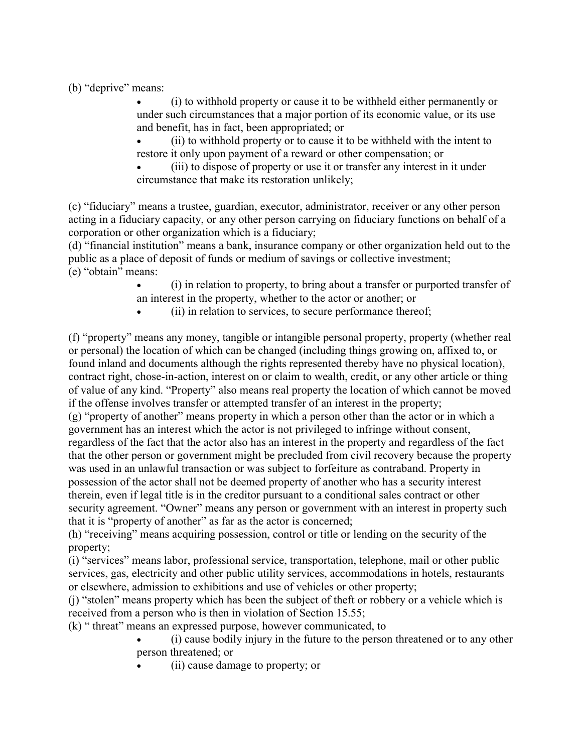(b) "deprive" means:

· (i) to withhold property or cause it to be withheld either permanently or under such circumstances that a major portion of its economic value, or its use and benefit, has in fact, been appropriated; or

· (ii) to withhold property or to cause it to be withheld with the intent to restore it only upon payment of a reward or other compensation; or

· (iii) to dispose of property or use it or transfer any interest in it under circumstance that make its restoration unlikely;

(c) "fiduciary" means a trustee, guardian, executor, administrator, receiver or any other person acting in a fiduciary capacity, or any other person carrying on fiduciary functions on behalf of a corporation or other organization which is a fiduciary;

(d) "financial institution" means a bank, insurance company or other organization held out to the public as a place of deposit of funds or medium of savings or collective investment; (e) "obtain" means:

> · (i) in relation to property, to bring about a transfer or purported transfer of an interest in the property, whether to the actor or another; or

(ii) in relation to services, to secure performance thereof;

(f) "property" means any money, tangible or intangible personal property, property (whether real or personal) the location of which can be changed (including things growing on, affixed to, or found inland and documents although the rights represented thereby have no physical location), contract right, chose-in-action, interest on or claim to wealth, credit, or any other article or thing of value of any kind. "Property" also means real property the location of which cannot be moved if the offense involves transfer or attempted transfer of an interest in the property;

(g) "property of another" means property in which a person other than the actor or in which a government has an interest which the actor is not privileged to infringe without consent, regardless of the fact that the actor also has an interest in the property and regardless of the fact that the other person or government might be precluded from civil recovery because the property was used in an unlawful transaction or was subject to forfeiture as contraband. Property in possession of the actor shall not be deemed property of another who has a security interest therein, even if legal title is in the creditor pursuant to a conditional sales contract or other security agreement. "Owner" means any person or government with an interest in property such that it is "property of another" as far as the actor is concerned;

(h) "receiving" means acquiring possession, control or title or lending on the security of the property;

(i) "services" means labor, professional service, transportation, telephone, mail or other public services, gas, electricity and other public utility services, accommodations in hotels, restaurants or elsewhere, admission to exhibitions and use of vehicles or other property;

(j) "stolen" means property which has been the subject of theft or robbery or a vehicle which is received from a person who is then in violation of Section 15.55;

- (k) " threat" means an expressed purpose, however communicated, to
	- · (i) cause bodily injury in the future to the person threatened or to any other person threatened; or
	- · (ii) cause damage to property; or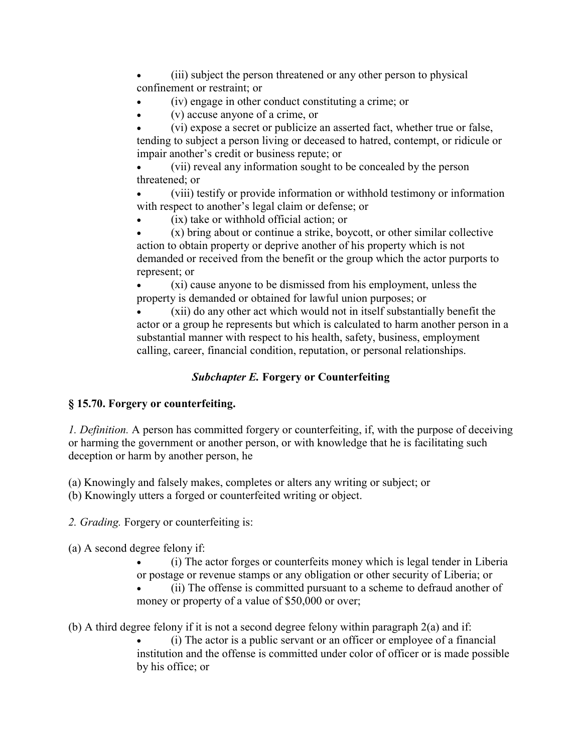(iii) subject the person threatened or any other person to physical confinement or restraint; or

- · (iv) engage in other conduct constituting a crime; or
- · (v) accuse anyone of a crime, or

· (vi) expose a secret or publicize an asserted fact, whether true or false, tending to subject a person living or deceased to hatred, contempt, or ridicule or impair another's credit or business repute; or

· (vii) reveal any information sought to be concealed by the person threatened; or

· (viii) testify or provide information or withhold testimony or information with respect to another's legal claim or defense; or

· (ix) take or withhold official action; or

 $(x)$  bring about or continue a strike, boycott, or other similar collective action to obtain property or deprive another of his property which is not demanded or received from the benefit or the group which the actor purports to represent; or

· (xi) cause anyone to be dismissed from his employment, unless the property is demanded or obtained for lawful union purposes; or

· (xii) do any other act which would not in itself substantially benefit the actor or a group he represents but which is calculated to harm another person in a substantial manner with respect to his health, safety, business, employment calling, career, financial condition, reputation, or personal relationships.

## *Subchapter E.* **Forgery or Counterfeiting**

#### **§ 15.70. Forgery or counterfeiting.**

*1. Definition.* A person has committed forgery or counterfeiting, if, with the purpose of deceiving or harming the government or another person, or with knowledge that he is facilitating such deception or harm by another person, he

(a) Knowingly and falsely makes, completes or alters any writing or subject; or

(b) Knowingly utters a forged or counterfeited writing or object.

*2. Grading.* Forgery or counterfeiting is:

## (a) A second degree felony if:

· (i) The actor forges or counterfeits money which is legal tender in Liberia or postage or revenue stamps or any obligation or other security of Liberia; or

(ii) The offense is committed pursuant to a scheme to defraud another of money or property of a value of \$50,000 or over;

(b) A third degree felony if it is not a second degree felony within paragraph 2(a) and if: · (i) The actor is a public servant or an officer or employee of a financial institution and the offense is committed under color of officer or is made possible by his office; or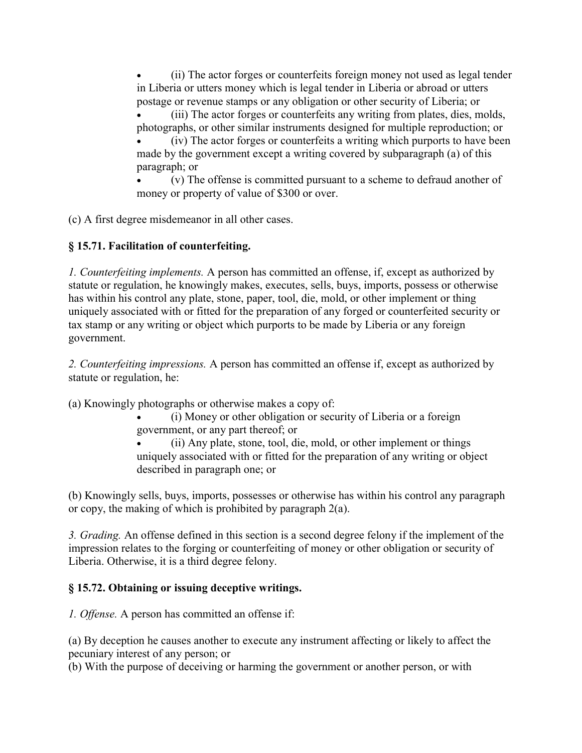· (ii) The actor forges or counterfeits foreign money not used as legal tender in Liberia or utters money which is legal tender in Liberia or abroad or utters postage or revenue stamps or any obligation or other security of Liberia; or

(iii) The actor forges or counterfeits any writing from plates, dies, molds, photographs, or other similar instruments designed for multiple reproduction; or · (iv) The actor forges or counterfeits a writing which purports to have been made by the government except a writing covered by subparagraph (a) of this paragraph; or

· (v) The offense is committed pursuant to a scheme to defraud another of money or property of value of \$300 or over.

(c) A first degree misdemeanor in all other cases.

## **§ 15.71. Facilitation of counterfeiting.**

*1. Counterfeiting implements.* A person has committed an offense, if, except as authorized by statute or regulation, he knowingly makes, executes, sells, buys, imports, possess or otherwise has within his control any plate, stone, paper, tool, die, mold, or other implement or thing uniquely associated with or fitted for the preparation of any forged or counterfeited security or tax stamp or any writing or object which purports to be made by Liberia or any foreign government.

*2. Counterfeiting impressions.* A person has committed an offense if, except as authorized by statute or regulation, he:

(a) Knowingly photographs or otherwise makes a copy of:

· (i) Money or other obligation or security of Liberia or a foreign government, or any part thereof; or

· (ii) Any plate, stone, tool, die, mold, or other implement or things uniquely associated with or fitted for the preparation of any writing or object described in paragraph one; or

(b) Knowingly sells, buys, imports, possesses or otherwise has within his control any paragraph or copy, the making of which is prohibited by paragraph 2(a).

*3. Grading.* An offense defined in this section is a second degree felony if the implement of the impression relates to the forging or counterfeiting of money or other obligation or security of Liberia. Otherwise, it is a third degree felony.

## **§ 15.72. Obtaining or issuing deceptive writings.**

*1. Offense.* A person has committed an offense if:

(a) By deception he causes another to execute any instrument affecting or likely to affect the pecuniary interest of any person; or

(b) With the purpose of deceiving or harming the government or another person, or with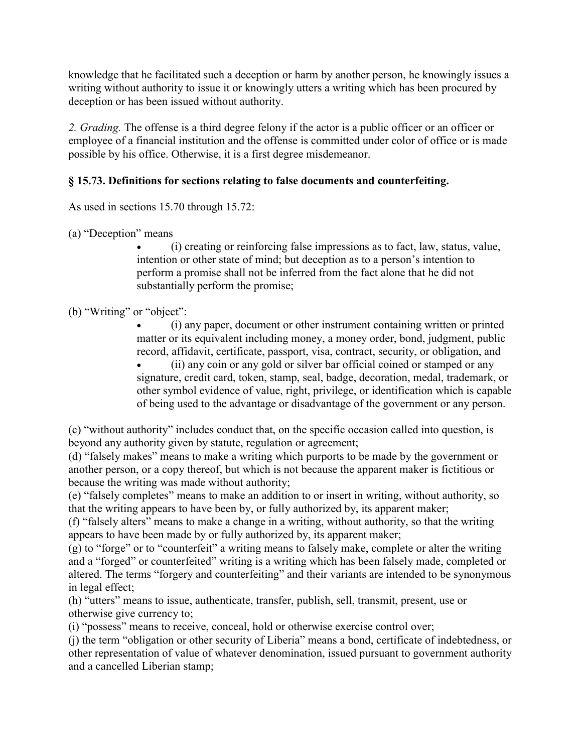knowledge that he facilitated such a deception or harm by another person, he knowingly issues a writing without authority to issue it or knowingly utters a writing which has been procured by deception or has been issued without authority.

*2. Grading.* The offense is a third degree felony if the actor is a public officer or an officer or employee of a financial institution and the offense is committed under color of office or is made possible by his office. Otherwise, it is a first degree misdemeanor.

## **§ 15.73. Definitions for sections relating to false documents and counterfeiting.**

As used in sections 15.70 through 15.72:

(a) "Deception" means

· (i) creating or reinforcing false impressions as to fact, law, status, value, intention or other state of mind; but deception as to a person's intention to perform a promise shall not be inferred from the fact alone that he did not substantially perform the promise;

(b) "Writing" or "object":

· (i) any paper, document or other instrument containing written or printed matter or its equivalent including money, a money order, bond, judgment, public record, affidavit, certificate, passport, visa, contract, security, or obligation, and

· (ii) any coin or any gold or silver bar official coined or stamped or any signature, credit card, token, stamp, seal, badge, decoration, medal, trademark, or other symbol evidence of value, right, privilege, or identification which is capable of being used to the advantage or disadvantage of the government or any person.

(c) "without authority" includes conduct that, on the specific occasion called into question, is beyond any authority given by statute, regulation or agreement;

(d) "falsely makes" means to make a writing which purports to be made by the government or another person, or a copy thereof, but which is not because the apparent maker is fictitious or because the writing was made without authority;

(e) "falsely completes" means to make an addition to or insert in writing, without authority, so that the writing appears to have been by, or fully authorized by, its apparent maker;

(f) "falsely alters" means to make a change in a writing, without authority, so that the writing appears to have been made by or fully authorized by, its apparent maker;

(g) to "forge" or to "counterfeit" a writing means to falsely make, complete or alter the writing and a "forged" or counterfeited" writing is a writing which has been falsely made, completed or altered. The terms "forgery and counterfeiting" and their variants are intended to be synonymous in legal effect;

(h) "utters" means to issue, authenticate, transfer, publish, sell, transmit, present, use or otherwise give currency to;

(i) "possess" means to receive, conceal, hold or otherwise exercise control over;

(j) the term "obligation or other security of Liberia" means a bond, certificate of indebtedness, or other representation of value of whatever denomination, issued pursuant to government authority and a cancelled Liberian stamp;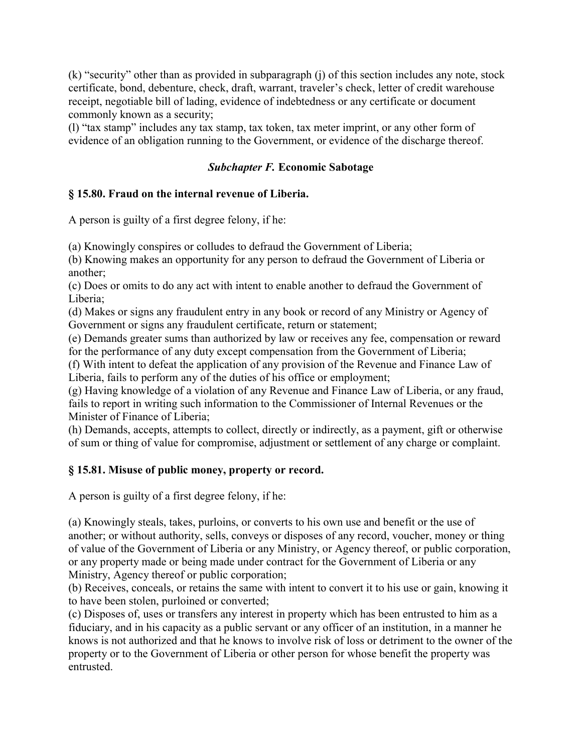(k) "security" other than as provided in subparagraph (j) of this section includes any note, stock certificate, bond, debenture, check, draft, warrant, traveler's check, letter of credit warehouse receipt, negotiable bill of lading, evidence of indebtedness or any certificate or document commonly known as a security;

(l) "tax stamp" includes any tax stamp, tax token, tax meter imprint, or any other form of evidence of an obligation running to the Government, or evidence of the discharge thereof.

## *Subchapter F.* **Economic Sabotage**

## **§ 15.80. Fraud on the internal revenue of Liberia.**

A person is guilty of a first degree felony, if he:

(a) Knowingly conspires or colludes to defraud the Government of Liberia;

(b) Knowing makes an opportunity for any person to defraud the Government of Liberia or another;

(c) Does or omits to do any act with intent to enable another to defraud the Government of Liberia;

(d) Makes or signs any fraudulent entry in any book or record of any Ministry or Agency of Government or signs any fraudulent certificate, return or statement;

(e) Demands greater sums than authorized by law or receives any fee, compensation or reward for the performance of any duty except compensation from the Government of Liberia;

(f) With intent to defeat the application of any provision of the Revenue and Finance Law of Liberia, fails to perform any of the duties of his office or employment;

(g) Having knowledge of a violation of any Revenue and Finance Law of Liberia, or any fraud, fails to report in writing such information to the Commissioner of Internal Revenues or the Minister of Finance of Liberia;

(h) Demands, accepts, attempts to collect, directly or indirectly, as a payment, gift or otherwise of sum or thing of value for compromise, adjustment or settlement of any charge or complaint.

## **§ 15.81. Misuse of public money, property or record.**

A person is guilty of a first degree felony, if he:

(a) Knowingly steals, takes, purloins, or converts to his own use and benefit or the use of another; or without authority, sells, conveys or disposes of any record, voucher, money or thing of value of the Government of Liberia or any Ministry, or Agency thereof, or public corporation, or any property made or being made under contract for the Government of Liberia or any Ministry, Agency thereof or public corporation;

(b) Receives, conceals, or retains the same with intent to convert it to his use or gain, knowing it to have been stolen, purloined or converted;

(c) Disposes of, uses or transfers any interest in property which has been entrusted to him as a fiduciary, and in his capacity as a public servant or any officer of an institution, in a manner he knows is not authorized and that he knows to involve risk of loss or detriment to the owner of the property or to the Government of Liberia or other person for whose benefit the property was entrusted.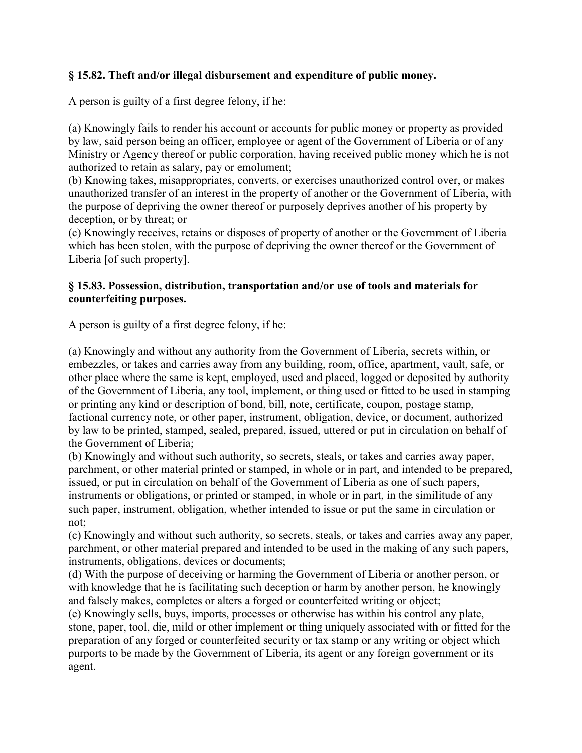## **§ 15.82. Theft and/or illegal disbursement and expenditure of public money.**

A person is guilty of a first degree felony, if he:

(a) Knowingly fails to render his account or accounts for public money or property as provided by law, said person being an officer, employee or agent of the Government of Liberia or of any Ministry or Agency thereof or public corporation, having received public money which he is not authorized to retain as salary, pay or emolument;

(b) Knowing takes, misappropriates, converts, or exercises unauthorized control over, or makes unauthorized transfer of an interest in the property of another or the Government of Liberia, with the purpose of depriving the owner thereof or purposely deprives another of his property by deception, or by threat; or

(c) Knowingly receives, retains or disposes of property of another or the Government of Liberia which has been stolen, with the purpose of depriving the owner thereof or the Government of Liberia [of such property].

#### **§ 15.83. Possession, distribution, transportation and/or use of tools and materials for counterfeiting purposes.**

A person is guilty of a first degree felony, if he:

(a) Knowingly and without any authority from the Government of Liberia, secrets within, or embezzles, or takes and carries away from any building, room, office, apartment, vault, safe, or other place where the same is kept, employed, used and placed, logged or deposited by authority of the Government of Liberia, any tool, implement, or thing used or fitted to be used in stamping or printing any kind or description of bond, bill, note, certificate, coupon, postage stamp, factional currency note, or other paper, instrument, obligation, device, or document, authorized by law to be printed, stamped, sealed, prepared, issued, uttered or put in circulation on behalf of the Government of Liberia;

(b) Knowingly and without such authority, so secrets, steals, or takes and carries away paper, parchment, or other material printed or stamped, in whole or in part, and intended to be prepared, issued, or put in circulation on behalf of the Government of Liberia as one of such papers, instruments or obligations, or printed or stamped, in whole or in part, in the similitude of any such paper, instrument, obligation, whether intended to issue or put the same in circulation or not;

(c) Knowingly and without such authority, so secrets, steals, or takes and carries away any paper, parchment, or other material prepared and intended to be used in the making of any such papers, instruments, obligations, devices or documents;

(d) With the purpose of deceiving or harming the Government of Liberia or another person, or with knowledge that he is facilitating such deception or harm by another person, he knowingly and falsely makes, completes or alters a forged or counterfeited writing or object;

(e) Knowingly sells, buys, imports, processes or otherwise has within his control any plate, stone, paper, tool, die, mild or other implement or thing uniquely associated with or fitted for the preparation of any forged or counterfeited security or tax stamp or any writing or object which purports to be made by the Government of Liberia, its agent or any foreign government or its agent.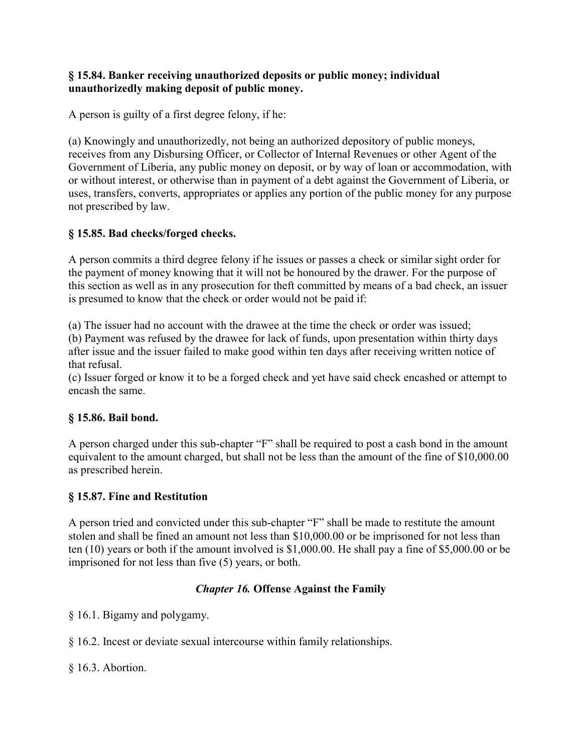#### **§ 15.84. Banker receiving unauthorized deposits or public money; individual unauthorizedly making deposit of public money.**

A person is guilty of a first degree felony, if he:

(a) Knowingly and unauthorizedly, not being an authorized depository of public moneys, receives from any Disbursing Officer, or Collector of Internal Revenues or other Agent of the Government of Liberia, any public money on deposit, or by way of loan or accommodation, with or without interest, or otherwise than in payment of a debt against the Government of Liberia, or uses, transfers, converts, appropriates or applies any portion of the public money for any purpose not prescribed by law.

# **§ 15.85. Bad checks/forged checks.**

A person commits a third degree felony if he issues or passes a check or similar sight order for the payment of money knowing that it will not be honoured by the drawer. For the purpose of this section as well as in any prosecution for theft committed by means of a bad check, an issuer is presumed to know that the check or order would not be paid if:

(a) The issuer had no account with the drawee at the time the check or order was issued;

(b) Payment was refused by the drawee for lack of funds, upon presentation within thirty days after issue and the issuer failed to make good within ten days after receiving written notice of that refusal.

(c) Issuer forged or know it to be a forged check and yet have said check encashed or attempt to encash the same.

# **§ 15.86. Bail bond.**

A person charged under this sub-chapter "F" shall be required to post a cash bond in the amount equivalent to the amount charged, but shall not be less than the amount of the fine of \$10,000.00 as prescribed herein.

# **§ 15.87. Fine and Restitution**

A person tried and convicted under this sub-chapter "F" shall be made to restitute the amount stolen and shall be fined an amount not less than \$10,000.00 or be imprisoned for not less than ten (10) years or both if the amount involved is \$1,000.00. He shall pay a fine of \$5,000.00 or be imprisoned for not less than five (5) years, or both.

# *Chapter 16.* **Offense Against the Family**

§ 16.1. Bigamy and polygamy.

§ 16.2. Incest or deviate sexual intercourse within family relationships.

§ 16.3. Abortion.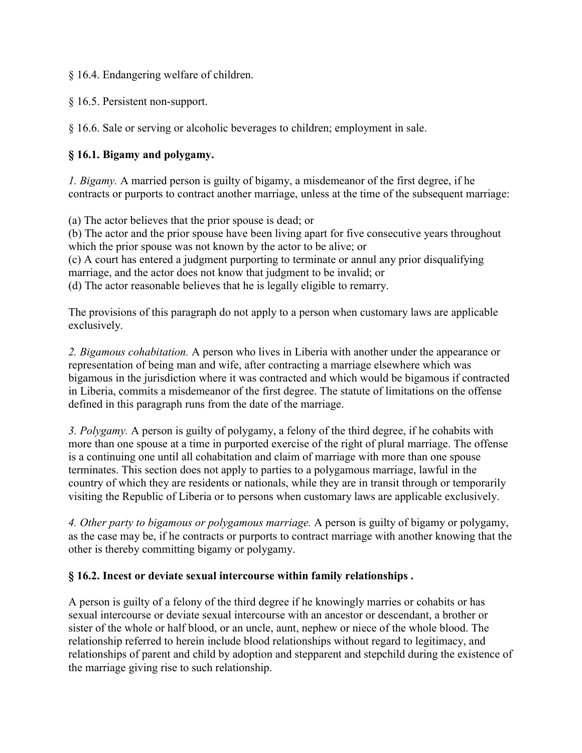§ 16.4. Endangering welfare of children.

§ 16.5. Persistent non-support.

§ 16.6. Sale or serving or alcoholic beverages to children; employment in sale.

## **§ 16.1. Bigamy and polygamy.**

*1. Bigamy.* A married person is guilty of bigamy, a misdemeanor of the first degree, if he contracts or purports to contract another marriage, unless at the time of the subsequent marriage:

(a) The actor believes that the prior spouse is dead; or (b) The actor and the prior spouse have been living apart for five consecutive years throughout which the prior spouse was not known by the actor to be alive; or (c) A court has entered a judgment purporting to terminate or annul any prior disqualifying

marriage, and the actor does not know that judgment to be invalid; or

(d) The actor reasonable believes that he is legally eligible to remarry.

The provisions of this paragraph do not apply to a person when customary laws are applicable exclusively.

*2. Bigamous cohabitation.* A person who lives in Liberia with another under the appearance or representation of being man and wife, after contracting a marriage elsewhere which was bigamous in the jurisdiction where it was contracted and which would be bigamous if contracted in Liberia, commits a misdemeanor of the first degree. The statute of limitations on the offense defined in this paragraph runs from the date of the marriage.

*3. Polygamy.* A person is guilty of polygamy, a felony of the third degree, if he cohabits with more than one spouse at a time in purported exercise of the right of plural marriage. The offense is a continuing one until all cohabitation and claim of marriage with more than one spouse terminates. This section does not apply to parties to a polygamous marriage, lawful in the country of which they are residents or nationals, while they are in transit through or temporarily visiting the Republic of Liberia or to persons when customary laws are applicable exclusively.

*4. Other party to bigamous or polygamous marriage.* A person is guilty of bigamy or polygamy, as the case may be, if he contracts or purports to contract marriage with another knowing that the other is thereby committing bigamy or polygamy.

### **§ 16.2. Incest or deviate sexual intercourse within family relationships .**

A person is guilty of a felony of the third degree if he knowingly marries or cohabits or has sexual intercourse or deviate sexual intercourse with an ancestor or descendant, a brother or sister of the whole or half blood, or an uncle, aunt, nephew or niece of the whole blood. The relationship referred to herein include blood relationships without regard to legitimacy, and relationships of parent and child by adoption and stepparent and stepchild during the existence of the marriage giving rise to such relationship.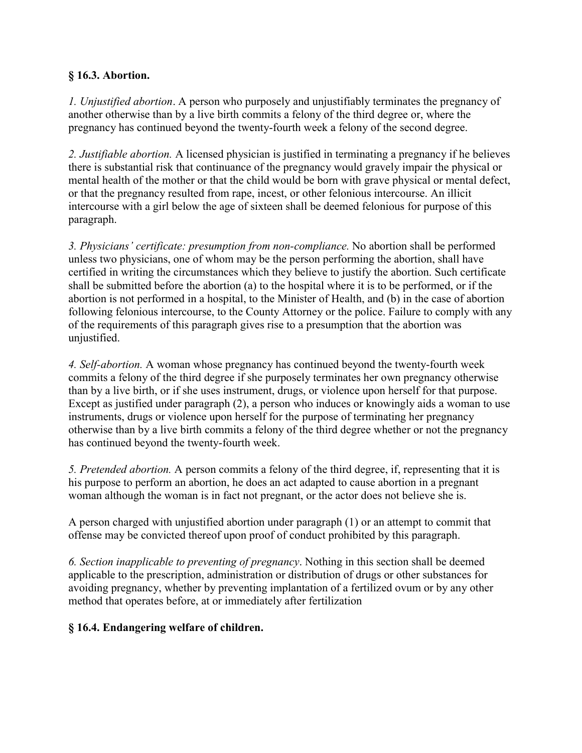### **§ 16.3. Abortion.**

*1. Unjustified abortion*. A person who purposely and unjustifiably terminates the pregnancy of another otherwise than by a live birth commits a felony of the third degree or, where the pregnancy has continued beyond the twenty-fourth week a felony of the second degree.

*2. Justifiable abortion.* A licensed physician is justified in terminating a pregnancy if he believes there is substantial risk that continuance of the pregnancy would gravely impair the physical or mental health of the mother or that the child would be born with grave physical or mental defect, or that the pregnancy resulted from rape, incest, or other felonious intercourse. An illicit intercourse with a girl below the age of sixteen shall be deemed felonious for purpose of this paragraph.

*3. Physicians' certificate: presumption from non-compliance.* No abortion shall be performed unless two physicians, one of whom may be the person performing the abortion, shall have certified in writing the circumstances which they believe to justify the abortion. Such certificate shall be submitted before the abortion (a) to the hospital where it is to be performed, or if the abortion is not performed in a hospital, to the Minister of Health, and (b) in the case of abortion following felonious intercourse, to the County Attorney or the police. Failure to comply with any of the requirements of this paragraph gives rise to a presumption that the abortion was unjustified.

*4. Self-abortion.* A woman whose pregnancy has continued beyond the twenty-fourth week commits a felony of the third degree if she purposely terminates her own pregnancy otherwise than by a live birth, or if she uses instrument, drugs, or violence upon herself for that purpose. Except as justified under paragraph (2), a person who induces or knowingly aids a woman to use instruments, drugs or violence upon herself for the purpose of terminating her pregnancy otherwise than by a live birth commits a felony of the third degree whether or not the pregnancy has continued beyond the twenty-fourth week.

*5. Pretended abortion.* A person commits a felony of the third degree, if, representing that it is his purpose to perform an abortion, he does an act adapted to cause abortion in a pregnant woman although the woman is in fact not pregnant, or the actor does not believe she is.

A person charged with unjustified abortion under paragraph (1) or an attempt to commit that offense may be convicted thereof upon proof of conduct prohibited by this paragraph.

*6. Section inapplicable to preventing of pregnancy*. Nothing in this section shall be deemed applicable to the prescription, administration or distribution of drugs or other substances for avoiding pregnancy, whether by preventing implantation of a fertilized ovum or by any other method that operates before, at or immediately after fertilization

## **§ 16.4. Endangering welfare of children.**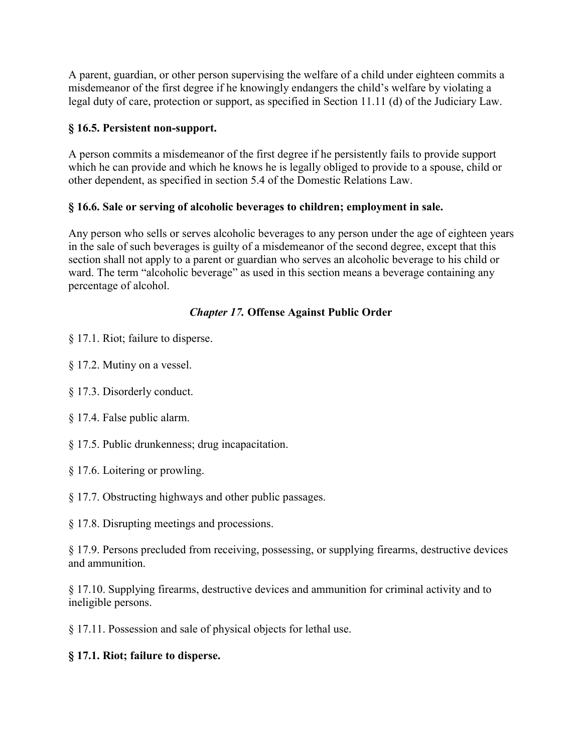A parent, guardian, or other person supervising the welfare of a child under eighteen commits a misdemeanor of the first degree if he knowingly endangers the child's welfare by violating a legal duty of care, protection or support, as specified in Section 11.11 (d) of the Judiciary Law.

## **§ 16.5. Persistent non-support.**

A person commits a misdemeanor of the first degree if he persistently fails to provide support which he can provide and which he knows he is legally obliged to provide to a spouse, child or other dependent, as specified in section 5.4 of the Domestic Relations Law.

## **§ 16.6. Sale or serving of alcoholic beverages to children; employment in sale.**

Any person who sells or serves alcoholic beverages to any person under the age of eighteen years in the sale of such beverages is guilty of a misdemeanor of the second degree, except that this section shall not apply to a parent or guardian who serves an alcoholic beverage to his child or ward. The term "alcoholic beverage" as used in this section means a beverage containing any percentage of alcohol.

## *Chapter 17.* **Offense Against Public Order**

- § 17.1. Riot; failure to disperse.
- § 17.2. Mutiny on a vessel.
- § 17.3. Disorderly conduct.
- § 17.4. False public alarm.
- § 17.5. Public drunkenness; drug incapacitation.
- § 17.6. Loitering or prowling.
- § 17.7. Obstructing highways and other public passages.
- § 17.8. Disrupting meetings and processions.

§ 17.9. Persons precluded from receiving, possessing, or supplying firearms, destructive devices and ammunition.

§ 17.10. Supplying firearms, destructive devices and ammunition for criminal activity and to ineligible persons.

§ 17.11. Possession and sale of physical objects for lethal use.

## **§ 17.1. Riot; failure to disperse.**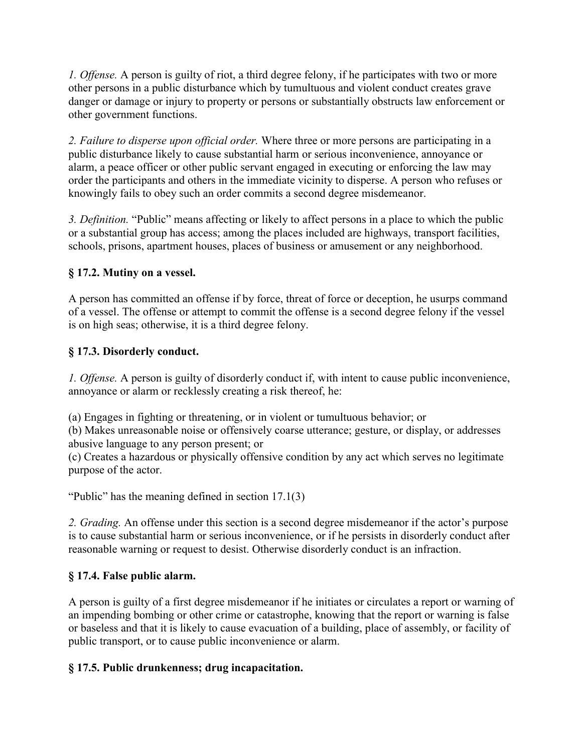*1. Offense.* A person is guilty of riot, a third degree felony, if he participates with two or more other persons in a public disturbance which by tumultuous and violent conduct creates grave danger or damage or injury to property or persons or substantially obstructs law enforcement or other government functions.

*2. Failure to disperse upon official order.* Where three or more persons are participating in a public disturbance likely to cause substantial harm or serious inconvenience, annoyance or alarm, a peace officer or other public servant engaged in executing or enforcing the law may order the participants and others in the immediate vicinity to disperse. A person who refuses or knowingly fails to obey such an order commits a second degree misdemeanor.

*3. Definition.* "Public" means affecting or likely to affect persons in a place to which the public or a substantial group has access; among the places included are highways, transport facilities, schools, prisons, apartment houses, places of business or amusement or any neighborhood.

## **§ 17.2. Mutiny on a vessel.**

A person has committed an offense if by force, threat of force or deception, he usurps command of a vessel. The offense or attempt to commit the offense is a second degree felony if the vessel is on high seas; otherwise, it is a third degree felony.

## **§ 17.3. Disorderly conduct.**

*1. Offense.* A person is guilty of disorderly conduct if, with intent to cause public inconvenience, annoyance or alarm or recklessly creating a risk thereof, he:

(a) Engages in fighting or threatening, or in violent or tumultuous behavior; or

(b) Makes unreasonable noise or offensively coarse utterance; gesture, or display, or addresses abusive language to any person present; or

(c) Creates a hazardous or physically offensive condition by any act which serves no legitimate purpose of the actor.

"Public" has the meaning defined in section 17.1(3)

*2. Grading.* An offense under this section is a second degree misdemeanor if the actor's purpose is to cause substantial harm or serious inconvenience, or if he persists in disorderly conduct after reasonable warning or request to desist. Otherwise disorderly conduct is an infraction.

## **§ 17.4. False public alarm.**

A person is guilty of a first degree misdemeanor if he initiates or circulates a report or warning of an impending bombing or other crime or catastrophe, knowing that the report or warning is false or baseless and that it is likely to cause evacuation of a building, place of assembly, or facility of public transport, or to cause public inconvenience or alarm.

## **§ 17.5. Public drunkenness; drug incapacitation.**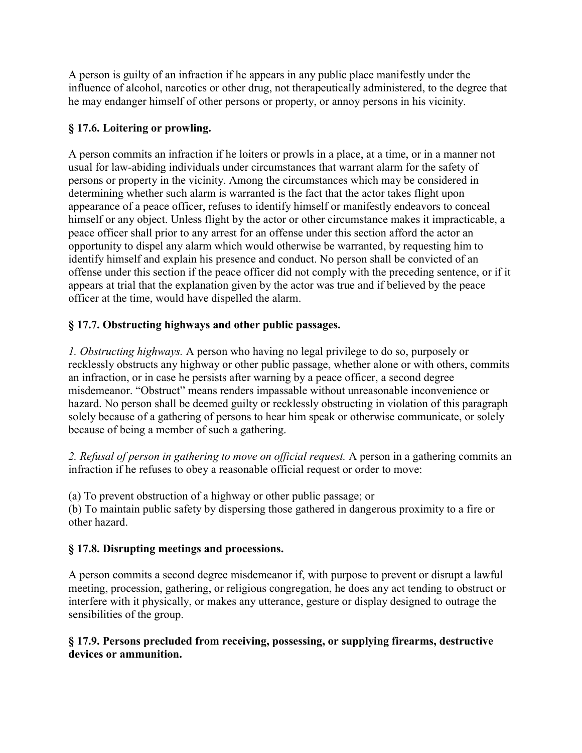A person is guilty of an infraction if he appears in any public place manifestly under the influence of alcohol, narcotics or other drug, not therapeutically administered, to the degree that he may endanger himself of other persons or property, or annoy persons in his vicinity.

# **§ 17.6. Loitering or prowling.**

A person commits an infraction if he loiters or prowls in a place, at a time, or in a manner not usual for law-abiding individuals under circumstances that warrant alarm for the safety of persons or property in the vicinity. Among the circumstances which may be considered in determining whether such alarm is warranted is the fact that the actor takes flight upon appearance of a peace officer, refuses to identify himself or manifestly endeavors to conceal himself or any object. Unless flight by the actor or other circumstance makes it impracticable, a peace officer shall prior to any arrest for an offense under this section afford the actor an opportunity to dispel any alarm which would otherwise be warranted, by requesting him to identify himself and explain his presence and conduct. No person shall be convicted of an offense under this section if the peace officer did not comply with the preceding sentence, or if it appears at trial that the explanation given by the actor was true and if believed by the peace officer at the time, would have dispelled the alarm.

# **§ 17.7. Obstructing highways and other public passages.**

*1. Obstructing highways.* A person who having no legal privilege to do so, purposely or recklessly obstructs any highway or other public passage, whether alone or with others, commits an infraction, or in case he persists after warning by a peace officer, a second degree misdemeanor. "Obstruct" means renders impassable without unreasonable inconvenience or hazard. No person shall be deemed guilty or recklessly obstructing in violation of this paragraph solely because of a gathering of persons to hear him speak or otherwise communicate, or solely because of being a member of such a gathering.

*2. Refusal of person in gathering to move on official request.* A person in a gathering commits an infraction if he refuses to obey a reasonable official request or order to move:

(a) To prevent obstruction of a highway or other public passage; or (b) To maintain public safety by dispersing those gathered in dangerous proximity to a fire or other hazard.

## **§ 17.8. Disrupting meetings and processions.**

A person commits a second degree misdemeanor if, with purpose to prevent or disrupt a lawful meeting, procession, gathering, or religious congregation, he does any act tending to obstruct or interfere with it physically, or makes any utterance, gesture or display designed to outrage the sensibilities of the group.

### **§ 17.9. Persons precluded from receiving, possessing, or supplying firearms, destructive devices or ammunition.**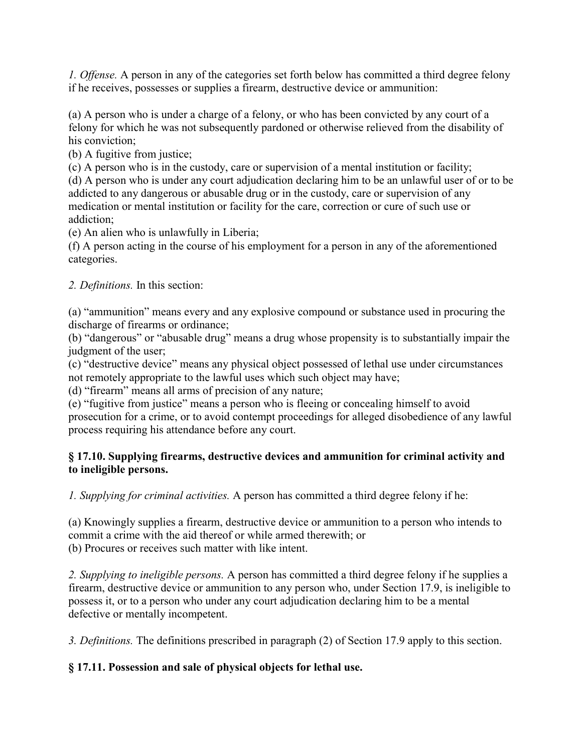*1. Offense.* A person in any of the categories set forth below has committed a third degree felony if he receives, possesses or supplies a firearm, destructive device or ammunition:

(a) A person who is under a charge of a felony, or who has been convicted by any court of a felony for which he was not subsequently pardoned or otherwise relieved from the disability of his conviction;

(b) A fugitive from justice;

(c) A person who is in the custody, care or supervision of a mental institution or facility;

(d) A person who is under any court adjudication declaring him to be an unlawful user of or to be addicted to any dangerous or abusable drug or in the custody, care or supervision of any medication or mental institution or facility for the care, correction or cure of such use or addiction;

(e) An alien who is unlawfully in Liberia;

(f) A person acting in the course of his employment for a person in any of the aforementioned categories.

*2. Definitions.* In this section:

(a) "ammunition" means every and any explosive compound or substance used in procuring the discharge of firearms or ordinance;

(b) "dangerous" or "abusable drug" means a drug whose propensity is to substantially impair the judgment of the user;

(c) "destructive device" means any physical object possessed of lethal use under circumstances not remotely appropriate to the lawful uses which such object may have;

(d) "firearm" means all arms of precision of any nature;

(e) "fugitive from justice" means a person who is fleeing or concealing himself to avoid prosecution for a crime, or to avoid contempt proceedings for alleged disobedience of any lawful process requiring his attendance before any court.

## **§ 17.10. Supplying firearms, destructive devices and ammunition for criminal activity and to ineligible persons.**

*1. Supplying for criminal activities.* A person has committed a third degree felony if he:

(a) Knowingly supplies a firearm, destructive device or ammunition to a person who intends to commit a crime with the aid thereof or while armed therewith; or (b) Procures or receives such matter with like intent.

*2. Supplying to ineligible persons.* A person has committed a third degree felony if he supplies a firearm, destructive device or ammunition to any person who, under Section 17.9, is ineligible to possess it, or to a person who under any court adjudication declaring him to be a mental defective or mentally incompetent.

*3. Definitions.* The definitions prescribed in paragraph (2) of Section 17.9 apply to this section.

# **§ 17.11. Possession and sale of physical objects for lethal use.**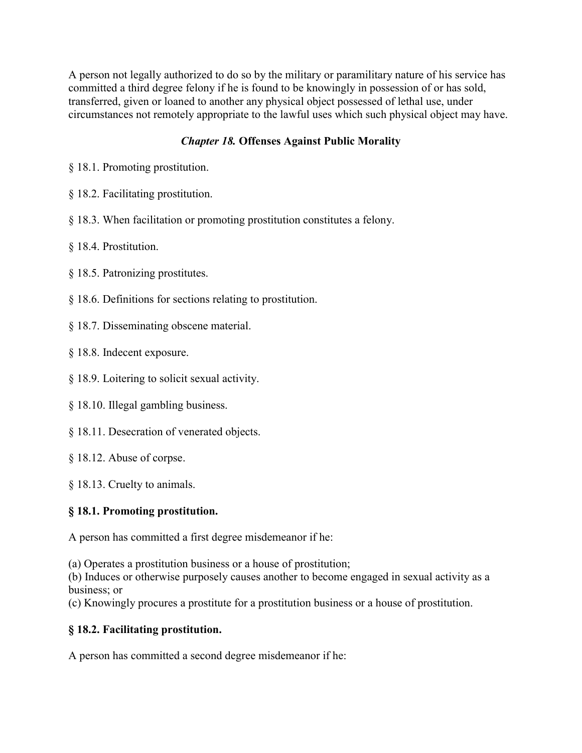A person not legally authorized to do so by the military or paramilitary nature of his service has committed a third degree felony if he is found to be knowingly in possession of or has sold, transferred, given or loaned to another any physical object possessed of lethal use, under circumstances not remotely appropriate to the lawful uses which such physical object may have.

## *Chapter 18.* **Offenses Against Public Morality**

- § 18.1. Promoting prostitution.
- § 18.2. Facilitating prostitution.
- § 18.3. When facilitation or promoting prostitution constitutes a felony.
- § 18.4. Prostitution.
- § 18.5. Patronizing prostitutes.
- § 18.6. Definitions for sections relating to prostitution.
- § 18.7. Disseminating obscene material.
- § 18.8. Indecent exposure.
- § 18.9. Loitering to solicit sexual activity.
- § 18.10. Illegal gambling business.
- § 18.11. Desecration of venerated objects.
- § 18.12. Abuse of corpse.
- § 18.13. Cruelty to animals.

## **§ 18.1. Promoting prostitution.**

A person has committed a first degree misdemeanor if he:

(a) Operates a prostitution business or a house of prostitution;

(b) Induces or otherwise purposely causes another to become engaged in sexual activity as a business; or

(c) Knowingly procures a prostitute for a prostitution business or a house of prostitution.

## **§ 18.2. Facilitating prostitution.**

A person has committed a second degree misdemeanor if he: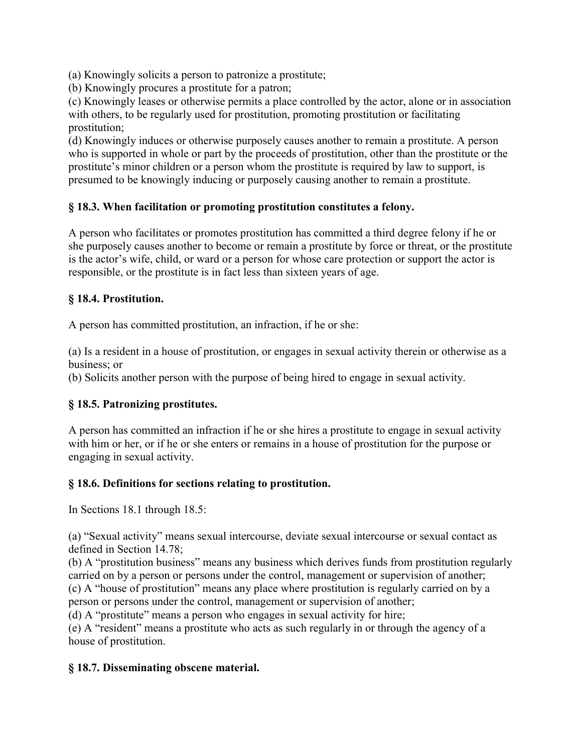(a) Knowingly solicits a person to patronize a prostitute;

(b) Knowingly procures a prostitute for a patron;

(c) Knowingly leases or otherwise permits a place controlled by the actor, alone or in association with others, to be regularly used for prostitution, promoting prostitution or facilitating prostitution;

(d) Knowingly induces or otherwise purposely causes another to remain a prostitute. A person who is supported in whole or part by the proceeds of prostitution, other than the prostitute or the prostitute's minor children or a person whom the prostitute is required by law to support, is presumed to be knowingly inducing or purposely causing another to remain a prostitute.

## **§ 18.3. When facilitation or promoting prostitution constitutes a felony.**

A person who facilitates or promotes prostitution has committed a third degree felony if he or she purposely causes another to become or remain a prostitute by force or threat, or the prostitute is the actor's wife, child, or ward or a person for whose care protection or support the actor is responsible, or the prostitute is in fact less than sixteen years of age.

### **§ 18.4. Prostitution.**

A person has committed prostitution, an infraction, if he or she:

(a) Is a resident in a house of prostitution, or engages in sexual activity therein or otherwise as a business; or

(b) Solicits another person with the purpose of being hired to engage in sexual activity.

### **§ 18.5. Patronizing prostitutes.**

A person has committed an infraction if he or she hires a prostitute to engage in sexual activity with him or her, or if he or she enters or remains in a house of prostitution for the purpose or engaging in sexual activity.

## **§ 18.6. Definitions for sections relating to prostitution.**

In Sections 18.1 through 18.5:

(a) "Sexual activity" means sexual intercourse, deviate sexual intercourse or sexual contact as defined in Section 14.78;

(b) A "prostitution business" means any business which derives funds from prostitution regularly carried on by a person or persons under the control, management or supervision of another;

(c) A "house of prostitution" means any place where prostitution is regularly carried on by a person or persons under the control, management or supervision of another;

(d) A "prostitute" means a person who engages in sexual activity for hire;

(e) A "resident" means a prostitute who acts as such regularly in or through the agency of a house of prostitution.

### **§ 18.7. Disseminating obscene material.**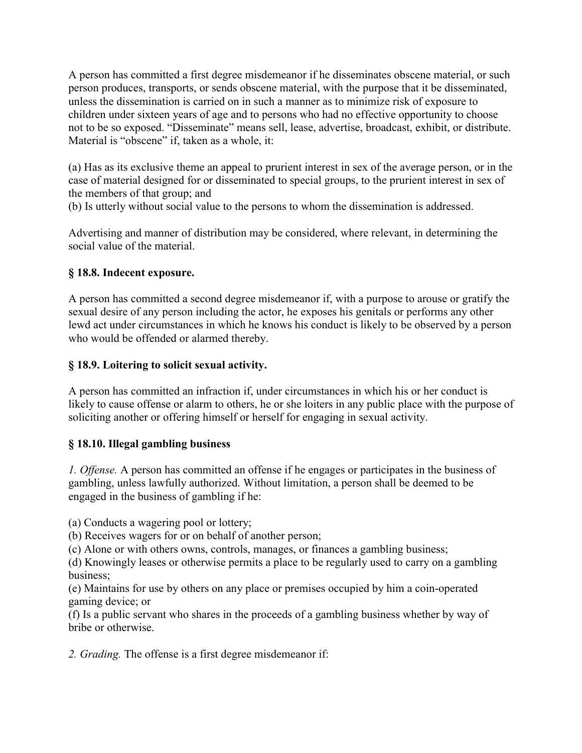A person has committed a first degree misdemeanor if he disseminates obscene material, or such person produces, transports, or sends obscene material, with the purpose that it be disseminated, unless the dissemination is carried on in such a manner as to minimize risk of exposure to children under sixteen years of age and to persons who had no effective opportunity to choose not to be so exposed. "Disseminate" means sell, lease, advertise, broadcast, exhibit, or distribute. Material is "obscene" if, taken as a whole, it:

(a) Has as its exclusive theme an appeal to prurient interest in sex of the average person, or in the case of material designed for or disseminated to special groups, to the prurient interest in sex of the members of that group; and

(b) Is utterly without social value to the persons to whom the dissemination is addressed.

Advertising and manner of distribution may be considered, where relevant, in determining the social value of the material.

## **§ 18.8. Indecent exposure.**

A person has committed a second degree misdemeanor if, with a purpose to arouse or gratify the sexual desire of any person including the actor, he exposes his genitals or performs any other lewd act under circumstances in which he knows his conduct is likely to be observed by a person who would be offended or alarmed thereby.

## **§ 18.9. Loitering to solicit sexual activity.**

A person has committed an infraction if, under circumstances in which his or her conduct is likely to cause offense or alarm to others, he or she loiters in any public place with the purpose of soliciting another or offering himself or herself for engaging in sexual activity.

## **§ 18.10. Illegal gambling business**

*1. Offense.* A person has committed an offense if he engages or participates in the business of gambling, unless lawfully authorized. Without limitation, a person shall be deemed to be engaged in the business of gambling if he:

(a) Conducts a wagering pool or lottery;

(b) Receives wagers for or on behalf of another person;

(c) Alone or with others owns, controls, manages, or finances a gambling business;

(d) Knowingly leases or otherwise permits a place to be regularly used to carry on a gambling business;

(e) Maintains for use by others on any place or premises occupied by him a coin-operated gaming device; or

(f) Is a public servant who shares in the proceeds of a gambling business whether by way of bribe or otherwise.

*2. Grading.* The offense is a first degree misdemeanor if: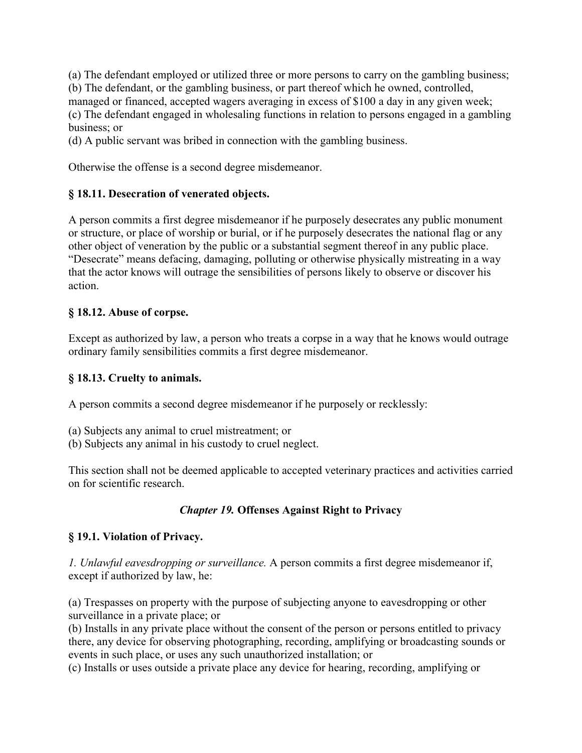(a) The defendant employed or utilized three or more persons to carry on the gambling business; (b) The defendant, or the gambling business, or part thereof which he owned, controlled,

managed or financed, accepted wagers averaging in excess of \$100 a day in any given week;

(c) The defendant engaged in wholesaling functions in relation to persons engaged in a gambling business; or

(d) A public servant was bribed in connection with the gambling business.

Otherwise the offense is a second degree misdemeanor.

## **§ 18.11. Desecration of venerated objects.**

A person commits a first degree misdemeanor if he purposely desecrates any public monument or structure, or place of worship or burial, or if he purposely desecrates the national flag or any other object of veneration by the public or a substantial segment thereof in any public place. "Desecrate" means defacing, damaging, polluting or otherwise physically mistreating in a way that the actor knows will outrage the sensibilities of persons likely to observe or discover his action.

## **§ 18.12. Abuse of corpse.**

Except as authorized by law, a person who treats a corpse in a way that he knows would outrage ordinary family sensibilities commits a first degree misdemeanor.

## **§ 18.13. Cruelty to animals.**

A person commits a second degree misdemeanor if he purposely or recklessly:

- (a) Subjects any animal to cruel mistreatment; or
- (b) Subjects any animal in his custody to cruel neglect.

This section shall not be deemed applicable to accepted veterinary practices and activities carried on for scientific research.

# *Chapter 19.* **Offenses Against Right to Privacy**

## **§ 19.1. Violation of Privacy.**

*1. Unlawful eavesdropping or surveillance.* A person commits a first degree misdemeanor if, except if authorized by law, he:

(a) Trespasses on property with the purpose of subjecting anyone to eavesdropping or other surveillance in a private place; or

(b) Installs in any private place without the consent of the person or persons entitled to privacy there, any device for observing photographing, recording, amplifying or broadcasting sounds or events in such place, or uses any such unauthorized installation; or

(c) Installs or uses outside a private place any device for hearing, recording, amplifying or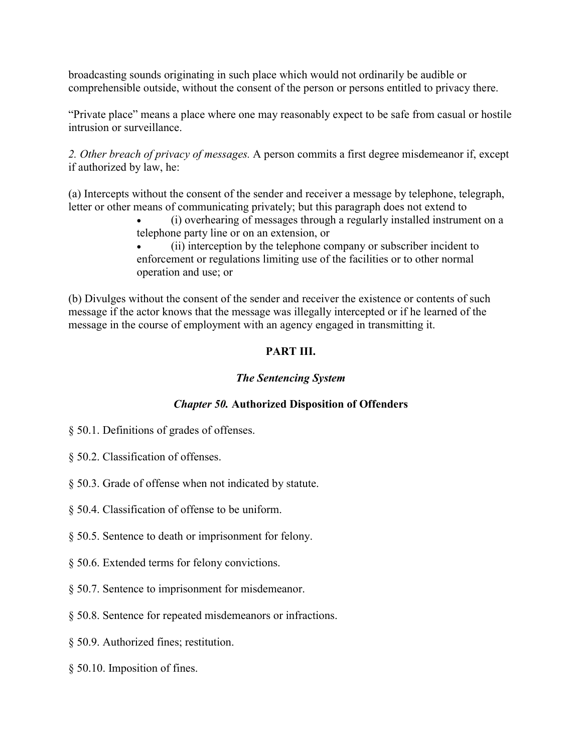broadcasting sounds originating in such place which would not ordinarily be audible or comprehensible outside, without the consent of the person or persons entitled to privacy there.

"Private place" means a place where one may reasonably expect to be safe from casual or hostile intrusion or surveillance.

*2. Other breach of privacy of messages.* A person commits a first degree misdemeanor if, except if authorized by law, he:

(a) Intercepts without the consent of the sender and receiver a message by telephone, telegraph, letter or other means of communicating privately; but this paragraph does not extend to

> · (i) overhearing of messages through a regularly installed instrument on a telephone party line or on an extension, or

· (ii) interception by the telephone company or subscriber incident to enforcement or regulations limiting use of the facilities or to other normal operation and use; or

(b) Divulges without the consent of the sender and receiver the existence or contents of such message if the actor knows that the message was illegally intercepted or if he learned of the message in the course of employment with an agency engaged in transmitting it.

## **PART III.**

## *The Sentencing System*

## *Chapter 50.* **Authorized Disposition of Offenders**

- § 50.1. Definitions of grades of offenses.
- § 50.2. Classification of offenses.
- § 50.3. Grade of offense when not indicated by statute.
- § 50.4. Classification of offense to be uniform.
- § 50.5. Sentence to death or imprisonment for felony.
- § 50.6. Extended terms for felony convictions.
- § 50.7. Sentence to imprisonment for misdemeanor.
- § 50.8. Sentence for repeated misdemeanors or infractions.
- § 50.9. Authorized fines; restitution.
- § 50.10. Imposition of fines.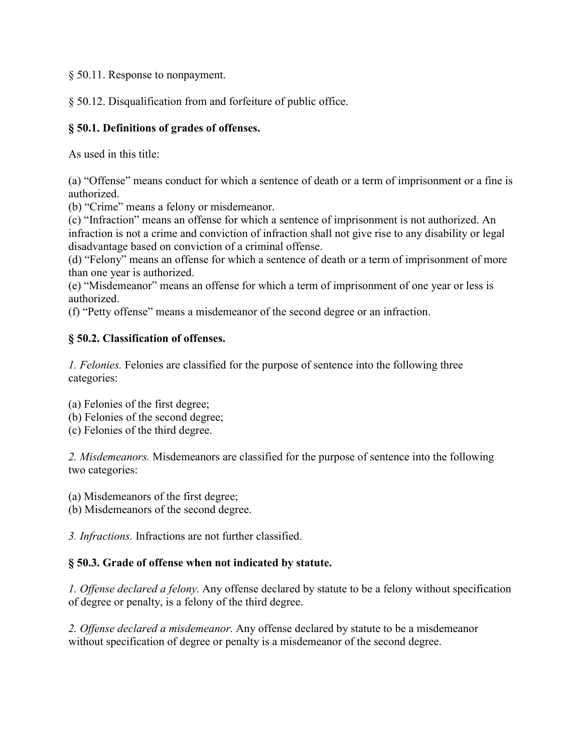§ 50.11. Response to nonpayment.

§ 50.12. Disqualification from and forfeiture of public office.

## **§ 50.1. Definitions of grades of offenses.**

As used in this title:

(a) "Offense" means conduct for which a sentence of death or a term of imprisonment or a fine is authorized.

(b) "Crime" means a felony or misdemeanor.

(c) "Infraction" means an offense for which a sentence of imprisonment is not authorized. An infraction is not a crime and conviction of infraction shall not give rise to any disability or legal disadvantage based on conviction of a criminal offense.

(d) "Felony" means an offense for which a sentence of death or a term of imprisonment of more than one year is authorized.

(e) "Misdemeanor" means an offense for which a term of imprisonment of one year or less is authorized.

(f) "Petty offense" means a misdemeanor of the second degree or an infraction.

## **§ 50.2. Classification of offenses.**

*1. Felonies.* Felonies are classified for the purpose of sentence into the following three categories:

(a) Felonies of the first degree;

(b) Felonies of the second degree;

(c) Felonies of the third degree.

*2. Misdemeanors.* Misdemeanors are classified for the purpose of sentence into the following two categories:

(a) Misdemeanors of the first degree;

(b) Misdemeanors of the second degree.

*3. Infractions.* Infractions are not further classified.

## **§ 50.3. Grade of offense when not indicated by statute.**

*1. Offense declared a felony*. Any offense declared by statute to be a felony without specification of degree or penalty, is a felony of the third degree.

*2. Offense declared a misdemeanor.* Any offense declared by statute to be a misdemeanor without specification of degree or penalty is a misdemeanor of the second degree.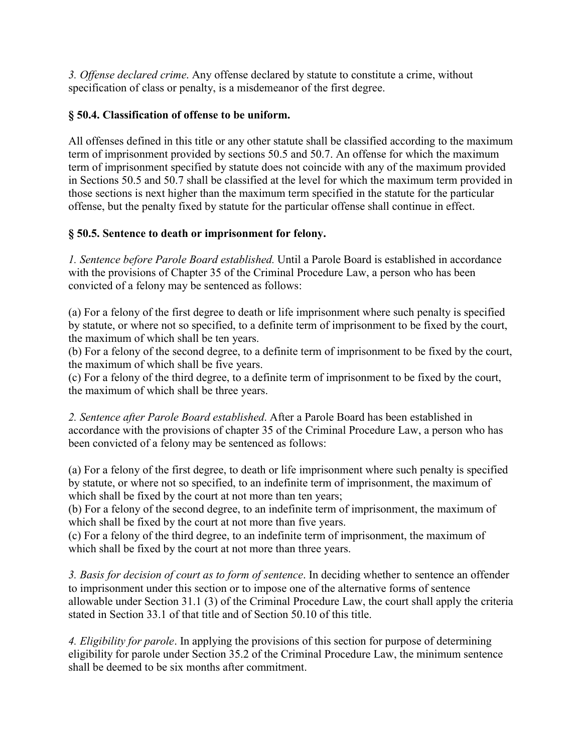*3. Offense declared crime*. Any offense declared by statute to constitute a crime, without specification of class or penalty, is a misdemeanor of the first degree.

## **§ 50.4. Classification of offense to be uniform.**

All offenses defined in this title or any other statute shall be classified according to the maximum term of imprisonment provided by sections 50.5 and 50.7. An offense for which the maximum term of imprisonment specified by statute does not coincide with any of the maximum provided in Sections 50.5 and 50.7 shall be classified at the level for which the maximum term provided in those sections is next higher than the maximum term specified in the statute for the particular offense, but the penalty fixed by statute for the particular offense shall continue in effect.

## **§ 50.5. Sentence to death or imprisonment for felony.**

*1. Sentence before Parole Board established.* Until a Parole Board is established in accordance with the provisions of Chapter 35 of the Criminal Procedure Law, a person who has been convicted of a felony may be sentenced as follows:

(a) For a felony of the first degree to death or life imprisonment where such penalty is specified by statute, or where not so specified, to a definite term of imprisonment to be fixed by the court, the maximum of which shall be ten years.

(b) For a felony of the second degree, to a definite term of imprisonment to be fixed by the court, the maximum of which shall be five years.

(c) For a felony of the third degree, to a definite term of imprisonment to be fixed by the court, the maximum of which shall be three years.

*2. Sentence after Parole Board established*. After a Parole Board has been established in accordance with the provisions of chapter 35 of the Criminal Procedure Law, a person who has been convicted of a felony may be sentenced as follows:

(a) For a felony of the first degree, to death or life imprisonment where such penalty is specified by statute, or where not so specified, to an indefinite term of imprisonment, the maximum of which shall be fixed by the court at not more than ten years;

(b) For a felony of the second degree, to an indefinite term of imprisonment, the maximum of which shall be fixed by the court at not more than five years.

(c) For a felony of the third degree, to an indefinite term of imprisonment, the maximum of which shall be fixed by the court at not more than three years.

*3. Basis for decision of court as to form of sentence*. In deciding whether to sentence an offender to imprisonment under this section or to impose one of the alternative forms of sentence allowable under Section 31.1 (3) of the Criminal Procedure Law, the court shall apply the criteria stated in Section 33.1 of that title and of Section 50.10 of this title.

*4. Eligibility for parole*. In applying the provisions of this section for purpose of determining eligibility for parole under Section 35.2 of the Criminal Procedure Law, the minimum sentence shall be deemed to be six months after commitment.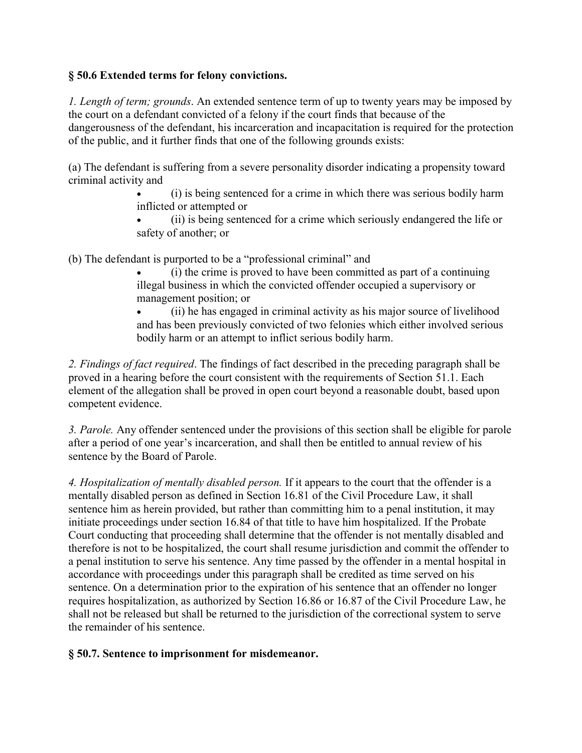### **§ 50.6 Extended terms for felony convictions.**

*1. Length of term; grounds*. An extended sentence term of up to twenty years may be imposed by the court on a defendant convicted of a felony if the court finds that because of the dangerousness of the defendant, his incarceration and incapacitation is required for the protection of the public, and it further finds that one of the following grounds exists:

(a) The defendant is suffering from a severe personality disorder indicating a propensity toward criminal activity and

· (i) is being sentenced for a crime in which there was serious bodily harm inflicted or attempted or

· (ii) is being sentenced for a crime which seriously endangered the life or safety of another; or

(b) The defendant is purported to be a "professional criminal" and

· (i) the crime is proved to have been committed as part of a continuing illegal business in which the convicted offender occupied a supervisory or management position; or

· (ii) he has engaged in criminal activity as his major source of livelihood and has been previously convicted of two felonies which either involved serious bodily harm or an attempt to inflict serious bodily harm.

*2. Findings of fact required*. The findings of fact described in the preceding paragraph shall be proved in a hearing before the court consistent with the requirements of Section 51.1. Each element of the allegation shall be proved in open court beyond a reasonable doubt, based upon competent evidence.

*3. Parole.* Any offender sentenced under the provisions of this section shall be eligible for parole after a period of one year's incarceration, and shall then be entitled to annual review of his sentence by the Board of Parole.

*4. Hospitalization of mentally disabled person.* If it appears to the court that the offender is a mentally disabled person as defined in Section 16.81 of the Civil Procedure Law, it shall sentence him as herein provided, but rather than committing him to a penal institution, it may initiate proceedings under section 16.84 of that title to have him hospitalized. If the Probate Court conducting that proceeding shall determine that the offender is not mentally disabled and therefore is not to be hospitalized, the court shall resume jurisdiction and commit the offender to a penal institution to serve his sentence. Any time passed by the offender in a mental hospital in accordance with proceedings under this paragraph shall be credited as time served on his sentence. On a determination prior to the expiration of his sentence that an offender no longer requires hospitalization, as authorized by Section 16.86 or 16.87 of the Civil Procedure Law, he shall not be released but shall be returned to the jurisdiction of the correctional system to serve the remainder of his sentence.

### **§ 50.7. Sentence to imprisonment for misdemeanor.**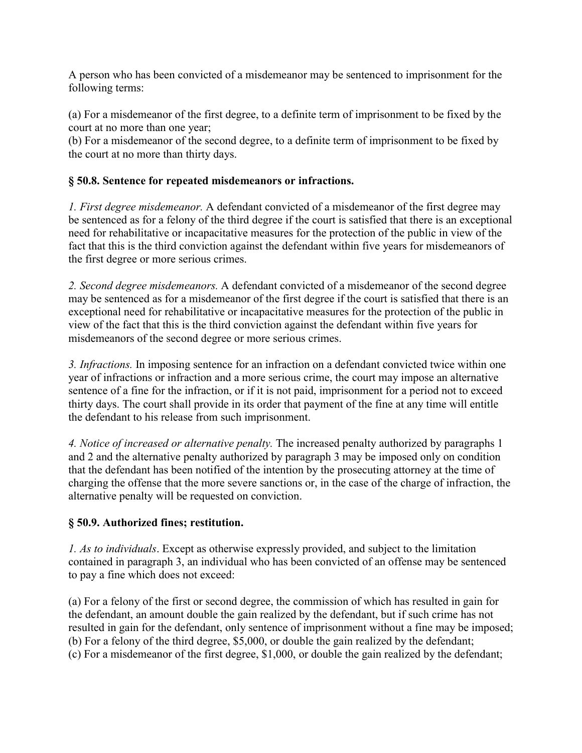A person who has been convicted of a misdemeanor may be sentenced to imprisonment for the following terms:

(a) For a misdemeanor of the first degree, to a definite term of imprisonment to be fixed by the court at no more than one year;

(b) For a misdemeanor of the second degree, to a definite term of imprisonment to be fixed by the court at no more than thirty days.

## **§ 50.8. Sentence for repeated misdemeanors or infractions.**

*1. First degree misdemeanor.* A defendant convicted of a misdemeanor of the first degree may be sentenced as for a felony of the third degree if the court is satisfied that there is an exceptional need for rehabilitative or incapacitative measures for the protection of the public in view of the fact that this is the third conviction against the defendant within five years for misdemeanors of the first degree or more serious crimes.

*2. Second degree misdemeanors.* A defendant convicted of a misdemeanor of the second degree may be sentenced as for a misdemeanor of the first degree if the court is satisfied that there is an exceptional need for rehabilitative or incapacitative measures for the protection of the public in view of the fact that this is the third conviction against the defendant within five years for misdemeanors of the second degree or more serious crimes.

*3. Infractions.* In imposing sentence for an infraction on a defendant convicted twice within one year of infractions or infraction and a more serious crime, the court may impose an alternative sentence of a fine for the infraction, or if it is not paid, imprisonment for a period not to exceed thirty days. The court shall provide in its order that payment of the fine at any time will entitle the defendant to his release from such imprisonment.

*4. Notice of increased or alternative penalty.* The increased penalty authorized by paragraphs 1 and 2 and the alternative penalty authorized by paragraph 3 may be imposed only on condition that the defendant has been notified of the intention by the prosecuting attorney at the time of charging the offense that the more severe sanctions or, in the case of the charge of infraction, the alternative penalty will be requested on conviction.

# **§ 50.9. Authorized fines; restitution.**

*1. As to individuals*. Except as otherwise expressly provided, and subject to the limitation contained in paragraph 3, an individual who has been convicted of an offense may be sentenced to pay a fine which does not exceed:

(a) For a felony of the first or second degree, the commission of which has resulted in gain for the defendant, an amount double the gain realized by the defendant, but if such crime has not resulted in gain for the defendant, only sentence of imprisonment without a fine may be imposed; (b) For a felony of the third degree, \$5,000, or double the gain realized by the defendant; (c) For a misdemeanor of the first degree, \$1,000, or double the gain realized by the defendant;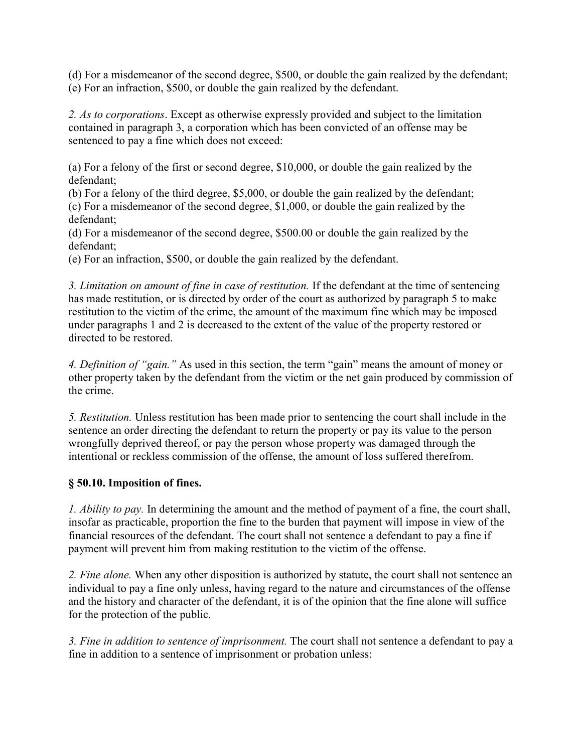(d) For a misdemeanor of the second degree, \$500, or double the gain realized by the defendant; (e) For an infraction, \$500, or double the gain realized by the defendant.

*2. As to corporations*. Except as otherwise expressly provided and subject to the limitation contained in paragraph 3, a corporation which has been convicted of an offense may be sentenced to pay a fine which does not exceed:

(a) For a felony of the first or second degree, \$10,000, or double the gain realized by the defendant;

(b) For a felony of the third degree, \$5,000, or double the gain realized by the defendant; (c) For a misdemeanor of the second degree, \$1,000, or double the gain realized by the defendant;

(d) For a misdemeanor of the second degree, \$500.00 or double the gain realized by the defendant;

(e) For an infraction, \$500, or double the gain realized by the defendant.

*3. Limitation on amount of fine in case of restitution.* If the defendant at the time of sentencing has made restitution, or is directed by order of the court as authorized by paragraph 5 to make restitution to the victim of the crime, the amount of the maximum fine which may be imposed under paragraphs 1 and 2 is decreased to the extent of the value of the property restored or directed to be restored.

*4. Definition of "gain."* As used in this section, the term "gain" means the amount of money or other property taken by the defendant from the victim or the net gain produced by commission of the crime.

*5. Restitution.* Unless restitution has been made prior to sentencing the court shall include in the sentence an order directing the defendant to return the property or pay its value to the person wrongfully deprived thereof, or pay the person whose property was damaged through the intentional or reckless commission of the offense, the amount of loss suffered therefrom.

### **§ 50.10. Imposition of fines.**

*1. Ability to pay.* In determining the amount and the method of payment of a fine, the court shall, insofar as practicable, proportion the fine to the burden that payment will impose in view of the financial resources of the defendant. The court shall not sentence a defendant to pay a fine if payment will prevent him from making restitution to the victim of the offense.

*2. Fine alone.* When any other disposition is authorized by statute, the court shall not sentence an individual to pay a fine only unless, having regard to the nature and circumstances of the offense and the history and character of the defendant, it is of the opinion that the fine alone will suffice for the protection of the public.

*3. Fine in addition to sentence of imprisonment.* The court shall not sentence a defendant to pay a fine in addition to a sentence of imprisonment or probation unless: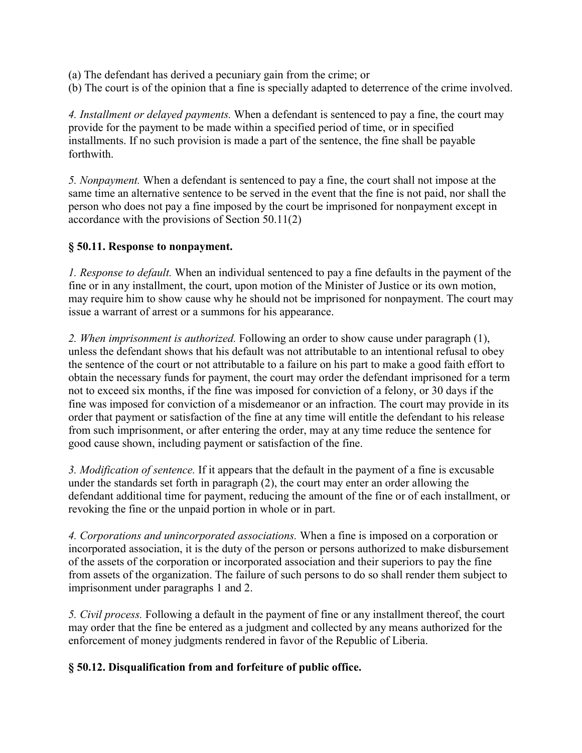- (a) The defendant has derived a pecuniary gain from the crime; or
- (b) The court is of the opinion that a fine is specially adapted to deterrence of the crime involved.

*4. Installment or delayed payments.* When a defendant is sentenced to pay a fine, the court may provide for the payment to be made within a specified period of time, or in specified installments. If no such provision is made a part of the sentence, the fine shall be payable forthwith.

*5. Nonpayment.* When a defendant is sentenced to pay a fine, the court shall not impose at the same time an alternative sentence to be served in the event that the fine is not paid, nor shall the person who does not pay a fine imposed by the court be imprisoned for nonpayment except in accordance with the provisions of Section 50.11(2)

### **§ 50.11. Response to nonpayment.**

*1. Response to default.* When an individual sentenced to pay a fine defaults in the payment of the fine or in any installment, the court, upon motion of the Minister of Justice or its own motion, may require him to show cause why he should not be imprisoned for nonpayment. The court may issue a warrant of arrest or a summons for his appearance.

*2. When imprisonment is authorized.* Following an order to show cause under paragraph (1), unless the defendant shows that his default was not attributable to an intentional refusal to obey the sentence of the court or not attributable to a failure on his part to make a good faith effort to obtain the necessary funds for payment, the court may order the defendant imprisoned for a term not to exceed six months, if the fine was imposed for conviction of a felony, or 30 days if the fine was imposed for conviction of a misdemeanor or an infraction. The court may provide in its order that payment or satisfaction of the fine at any time will entitle the defendant to his release from such imprisonment, or after entering the order, may at any time reduce the sentence for good cause shown, including payment or satisfaction of the fine.

*3. Modification of sentence.* If it appears that the default in the payment of a fine is excusable under the standards set forth in paragraph (2), the court may enter an order allowing the defendant additional time for payment, reducing the amount of the fine or of each installment, or revoking the fine or the unpaid portion in whole or in part.

*4. Corporations and unincorporated associations.* When a fine is imposed on a corporation or incorporated association, it is the duty of the person or persons authorized to make disbursement of the assets of the corporation or incorporated association and their superiors to pay the fine from assets of the organization. The failure of such persons to do so shall render them subject to imprisonment under paragraphs 1 and 2.

*5. Civil process.* Following a default in the payment of fine or any installment thereof, the court may order that the fine be entered as a judgment and collected by any means authorized for the enforcement of money judgments rendered in favor of the Republic of Liberia.

## **§ 50.12. Disqualification from and forfeiture of public office.**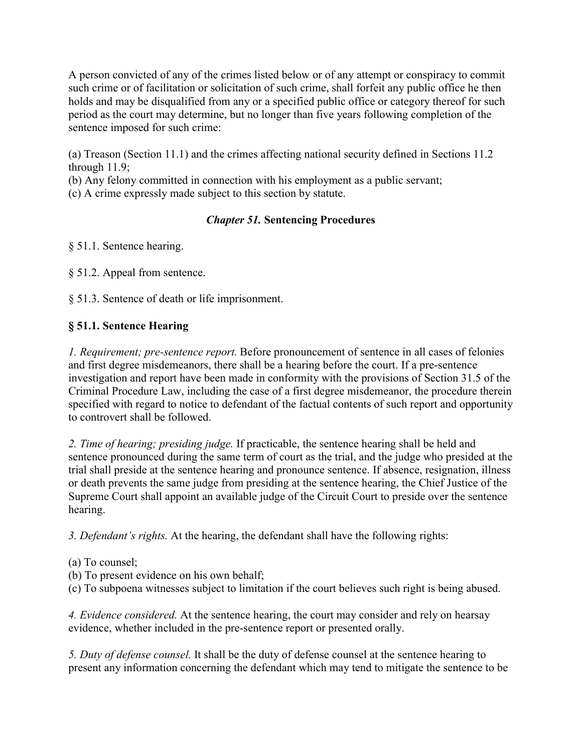A person convicted of any of the crimes listed below or of any attempt or conspiracy to commit such crime or of facilitation or solicitation of such crime, shall forfeit any public office he then holds and may be disqualified from any or a specified public office or category thereof for such period as the court may determine, but no longer than five years following completion of the sentence imposed for such crime:

(a) Treason (Section 11.1) and the crimes affecting national security defined in Sections 11.2 through 11.9;

(b) Any felony committed in connection with his employment as a public servant;

(c) A crime expressly made subject to this section by statute.

## *Chapter 51.* **Sentencing Procedures**

§ 51.1. Sentence hearing.

§ 51.2. Appeal from sentence.

§ 51.3. Sentence of death or life imprisonment.

## **§ 51.1. Sentence Hearing**

*1. Requirement; pre-sentence report.* Before pronouncement of sentence in all cases of felonies and first degree misdemeanors, there shall be a hearing before the court. If a pre-sentence investigation and report have been made in conformity with the provisions of Section 31.5 of the Criminal Procedure Law, including the case of a first degree misdemeanor, the procedure therein specified with regard to notice to defendant of the factual contents of such report and opportunity to controvert shall be followed.

*2. Time of hearing; presiding judge.* If practicable, the sentence hearing shall be held and sentence pronounced during the same term of court as the trial, and the judge who presided at the trial shall preside at the sentence hearing and pronounce sentence. If absence, resignation, illness or death prevents the same judge from presiding at the sentence hearing, the Chief Justice of the Supreme Court shall appoint an available judge of the Circuit Court to preside over the sentence hearing.

*3. Defendant's rights.* At the hearing, the defendant shall have the following rights:

### (a) To counsel;

(b) To present evidence on his own behalf;

(c) To subpoena witnesses subject to limitation if the court believes such right is being abused.

*4. Evidence considered.* At the sentence hearing, the court may consider and rely on hearsay evidence, whether included in the pre-sentence report or presented orally.

*5. Duty of defense counsel.* It shall be the duty of defense counsel at the sentence hearing to present any information concerning the defendant which may tend to mitigate the sentence to be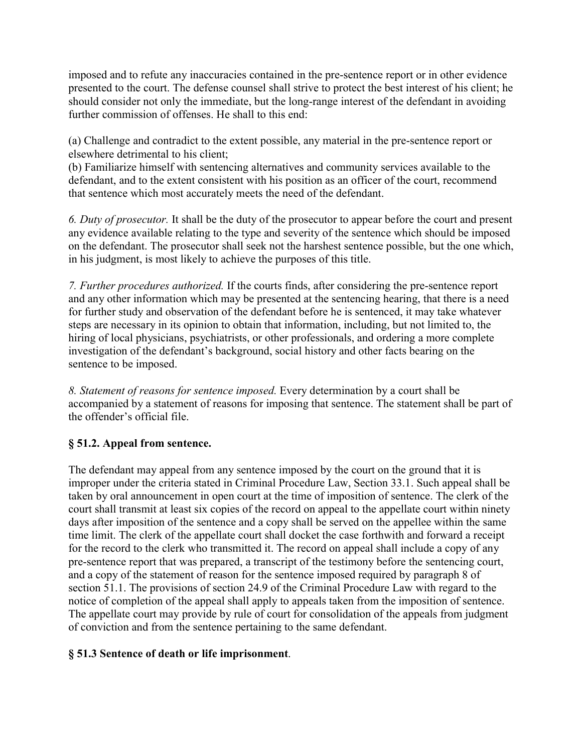imposed and to refute any inaccuracies contained in the pre-sentence report or in other evidence presented to the court. The defense counsel shall strive to protect the best interest of his client; he should consider not only the immediate, but the long-range interest of the defendant in avoiding further commission of offenses. He shall to this end:

(a) Challenge and contradict to the extent possible, any material in the pre-sentence report or elsewhere detrimental to his client;

(b) Familiarize himself with sentencing alternatives and community services available to the defendant, and to the extent consistent with his position as an officer of the court, recommend that sentence which most accurately meets the need of the defendant.

*6. Duty of prosecutor.* It shall be the duty of the prosecutor to appear before the court and present any evidence available relating to the type and severity of the sentence which should be imposed on the defendant. The prosecutor shall seek not the harshest sentence possible, but the one which, in his judgment, is most likely to achieve the purposes of this title.

*7. Further procedures authorized.* If the courts finds, after considering the pre-sentence report and any other information which may be presented at the sentencing hearing, that there is a need for further study and observation of the defendant before he is sentenced, it may take whatever steps are necessary in its opinion to obtain that information, including, but not limited to, the hiring of local physicians, psychiatrists, or other professionals, and ordering a more complete investigation of the defendant's background, social history and other facts bearing on the sentence to be imposed.

*8. Statement of reasons for sentence imposed.* Every determination by a court shall be accompanied by a statement of reasons for imposing that sentence. The statement shall be part of the offender's official file.

## **§ 51.2. Appeal from sentence.**

The defendant may appeal from any sentence imposed by the court on the ground that it is improper under the criteria stated in Criminal Procedure Law, Section 33.1. Such appeal shall be taken by oral announcement in open court at the time of imposition of sentence. The clerk of the court shall transmit at least six copies of the record on appeal to the appellate court within ninety days after imposition of the sentence and a copy shall be served on the appellee within the same time limit. The clerk of the appellate court shall docket the case forthwith and forward a receipt for the record to the clerk who transmitted it. The record on appeal shall include a copy of any pre-sentence report that was prepared, a transcript of the testimony before the sentencing court, and a copy of the statement of reason for the sentence imposed required by paragraph 8 of section 51.1. The provisions of section 24.9 of the Criminal Procedure Law with regard to the notice of completion of the appeal shall apply to appeals taken from the imposition of sentence. The appellate court may provide by rule of court for consolidation of the appeals from judgment of conviction and from the sentence pertaining to the same defendant.

## **§ 51.3 Sentence of death or life imprisonment**.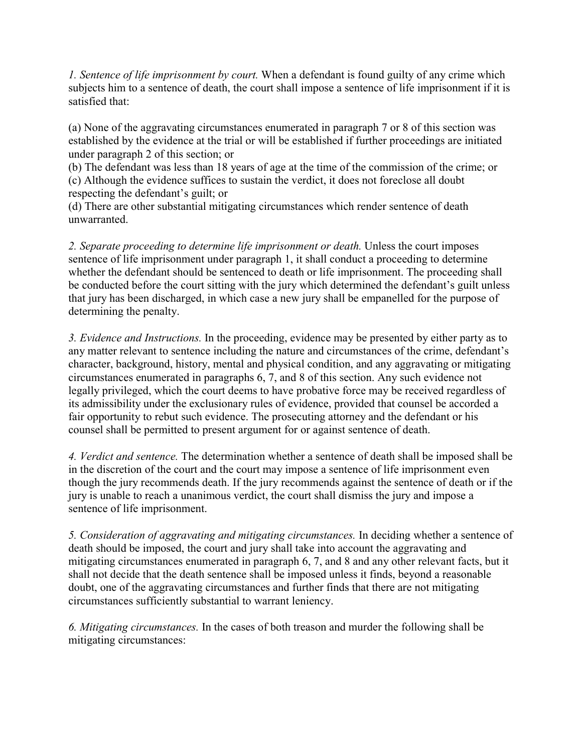*1. Sentence of life imprisonment by court.* When a defendant is found guilty of any crime which subjects him to a sentence of death, the court shall impose a sentence of life imprisonment if it is satisfied that:

(a) None of the aggravating circumstances enumerated in paragraph 7 or 8 of this section was established by the evidence at the trial or will be established if further proceedings are initiated under paragraph 2 of this section; or

(b) The defendant was less than 18 years of age at the time of the commission of the crime; or (c) Although the evidence suffices to sustain the verdict, it does not foreclose all doubt respecting the defendant's guilt; or

(d) There are other substantial mitigating circumstances which render sentence of death unwarranted.

*2. Separate proceeding to determine life imprisonment or death.* Unless the court imposes sentence of life imprisonment under paragraph 1, it shall conduct a proceeding to determine whether the defendant should be sentenced to death or life imprisonment. The proceeding shall be conducted before the court sitting with the jury which determined the defendant's guilt unless that jury has been discharged, in which case a new jury shall be empanelled for the purpose of determining the penalty.

*3. Evidence and Instructions.* In the proceeding, evidence may be presented by either party as to any matter relevant to sentence including the nature and circumstances of the crime, defendant's character, background, history, mental and physical condition, and any aggravating or mitigating circumstances enumerated in paragraphs 6, 7, and 8 of this section. Any such evidence not legally privileged, which the court deems to have probative force may be received regardless of its admissibility under the exclusionary rules of evidence, provided that counsel be accorded a fair opportunity to rebut such evidence. The prosecuting attorney and the defendant or his counsel shall be permitted to present argument for or against sentence of death.

*4. Verdict and sentence.* The determination whether a sentence of death shall be imposed shall be in the discretion of the court and the court may impose a sentence of life imprisonment even though the jury recommends death. If the jury recommends against the sentence of death or if the jury is unable to reach a unanimous verdict, the court shall dismiss the jury and impose a sentence of life imprisonment.

*5. Consideration of aggravating and mitigating circumstances.* In deciding whether a sentence of death should be imposed, the court and jury shall take into account the aggravating and mitigating circumstances enumerated in paragraph 6, 7, and 8 and any other relevant facts, but it shall not decide that the death sentence shall be imposed unless it finds, beyond a reasonable doubt, one of the aggravating circumstances and further finds that there are not mitigating circumstances sufficiently substantial to warrant leniency.

*6. Mitigating circumstances.* In the cases of both treason and murder the following shall be mitigating circumstances: